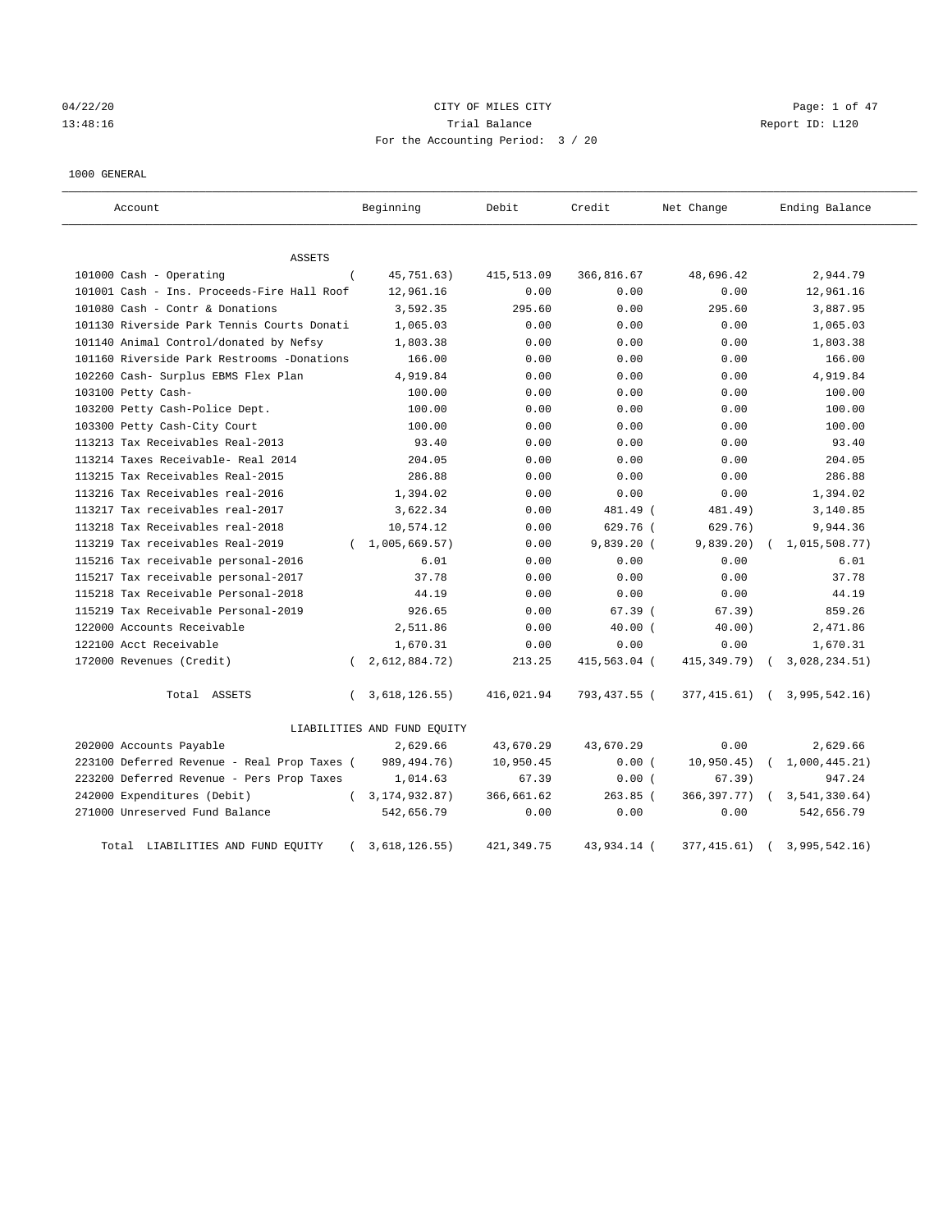04/22/20 **CITY OF MILES CITY** CONTROLLER CONTROLLER Page: 1 of 47 13:48:16 Trial Balance Report ID: L120 For the Accounting Period: 3 / 20

## 1000 GENERAL

| Account                                     |          | Beginning                   | Debit       | Credit       | Net Change    | Ending Balance                 |
|---------------------------------------------|----------|-----------------------------|-------------|--------------|---------------|--------------------------------|
| ASSETS                                      |          |                             |             |              |               |                                |
| 101000 Cash - Operating                     | $\left($ | 45,751.63)                  | 415,513.09  | 366,816.67   | 48,696.42     | 2,944.79                       |
| 101001 Cash - Ins. Proceeds-Fire Hall Roof  |          | 12,961.16                   | 0.00        | 0.00         | 0.00          | 12,961.16                      |
| 101080 Cash - Contr & Donations             |          | 3,592.35                    | 295.60      | 0.00         | 295.60        | 3,887.95                       |
| 101130 Riverside Park Tennis Courts Donati  |          | 1,065.03                    | 0.00        | 0.00         | 0.00          | 1,065.03                       |
| 101140 Animal Control/donated by Nefsy      |          | 1,803.38                    | 0.00        | 0.00         | 0.00          | 1,803.38                       |
| 101160 Riverside Park Restrooms -Donations  |          | 166.00                      | 0.00        | 0.00         | 0.00          | 166.00                         |
| 102260 Cash- Surplus EBMS Flex Plan         |          | 4,919.84                    | 0.00        | 0.00         | 0.00          | 4,919.84                       |
| 103100 Petty Cash-                          |          | 100.00                      | 0.00        | 0.00         | 0.00          | 100.00                         |
| 103200 Petty Cash-Police Dept.              |          | 100.00                      | 0.00        | 0.00         | 0.00          | 100.00                         |
| 103300 Petty Cash-City Court                |          | 100.00                      | 0.00        | 0.00         | 0.00          | 100.00                         |
| 113213 Tax Receivables Real-2013            |          | 93.40                       | 0.00        | 0.00         | 0.00          | 93.40                          |
| 113214 Taxes Receivable- Real 2014          |          | 204.05                      | 0.00        | 0.00         | 0.00          | 204.05                         |
| 113215 Tax Receivables Real-2015            |          | 286.88                      | 0.00        | 0.00         | 0.00          | 286.88                         |
| 113216 Tax Receivables real-2016            |          | 1,394.02                    | 0.00        | 0.00         | 0.00          | 1,394.02                       |
| 113217 Tax receivables real-2017            |          | 3,622.34                    | 0.00        | 481.49 (     | 481.49)       | 3,140.85                       |
| 113218 Tax Receivables real-2018            |          | 10,574.12                   | 0.00        | $629.76$ (   | 629.76)       | 9,944.36                       |
| 113219 Tax receivables Real-2019            |          | (1,005,669.57)              | 0.00        | $9,839.20$ ( | 9,839.20)     | 1,015,508.77)                  |
| 115216 Tax receivable personal-2016         |          | 6.01                        | 0.00        | 0.00         | 0.00          | 6.01                           |
| 115217 Tax receivable personal-2017         |          | 37.78                       | 0.00        | 0.00         | 0.00          | 37.78                          |
| 115218 Tax Receivable Personal-2018         |          | 44.19                       | 0.00        | 0.00         | 0.00          | 44.19                          |
| 115219 Tax Receivable Personal-2019         |          | 926.65                      | 0.00        | 67.39(       | 67.39)        | 859.26                         |
| 122000 Accounts Receivable                  |          | 2,511.86                    | 0.00        | $40.00$ (    | 40.00)        | 2,471.86                       |
| 122100 Acct Receivable                      |          | 1,670.31                    | 0.00        | 0.00         | 0.00          | 1,670.31                       |
| 172000 Revenues (Credit)                    |          | 2,612,884.72)               | 213.25      | 415,563.04 ( | 415, 349. 79) | 3,028,234.51)                  |
| Total ASSETS                                | $\left($ | 3,618,126.55)               | 416,021.94  | 793,437.55 ( |               | 377, 415.61) ( 3, 995, 542.16) |
|                                             |          | LIABILITIES AND FUND EQUITY |             |              |               |                                |
| 202000 Accounts Payable                     |          | 2,629.66                    | 43,670.29   | 43,670.29    | 0.00          | 2,629.66                       |
| 223100 Deferred Revenue - Real Prop Taxes ( |          | 989, 494. 76)               | 10,950.45   | 0.00(        | 10,950.45)    | 1,000,445.21)                  |
| 223200 Deferred Revenue - Pers Prop Taxes   |          | 1,014.63                    | 67.39       | 0.00(        | 67.39)        | 947.24                         |
| 242000 Expenditures (Debit)                 |          | 3, 174, 932.87)             | 366,661.62  | $263.85$ (   | 366, 397. 77) | 3, 541, 330.64)                |
| 271000 Unreserved Fund Balance              |          | 542,656.79                  | 0.00        | 0.00         | 0.00          | 542,656.79                     |
| Total LIABILITIES AND FUND EQUITY           |          | 3,618,126.55)               | 421, 349.75 | 43,934.14 (  | 377, 415.61)  | 3,995,542.16)                  |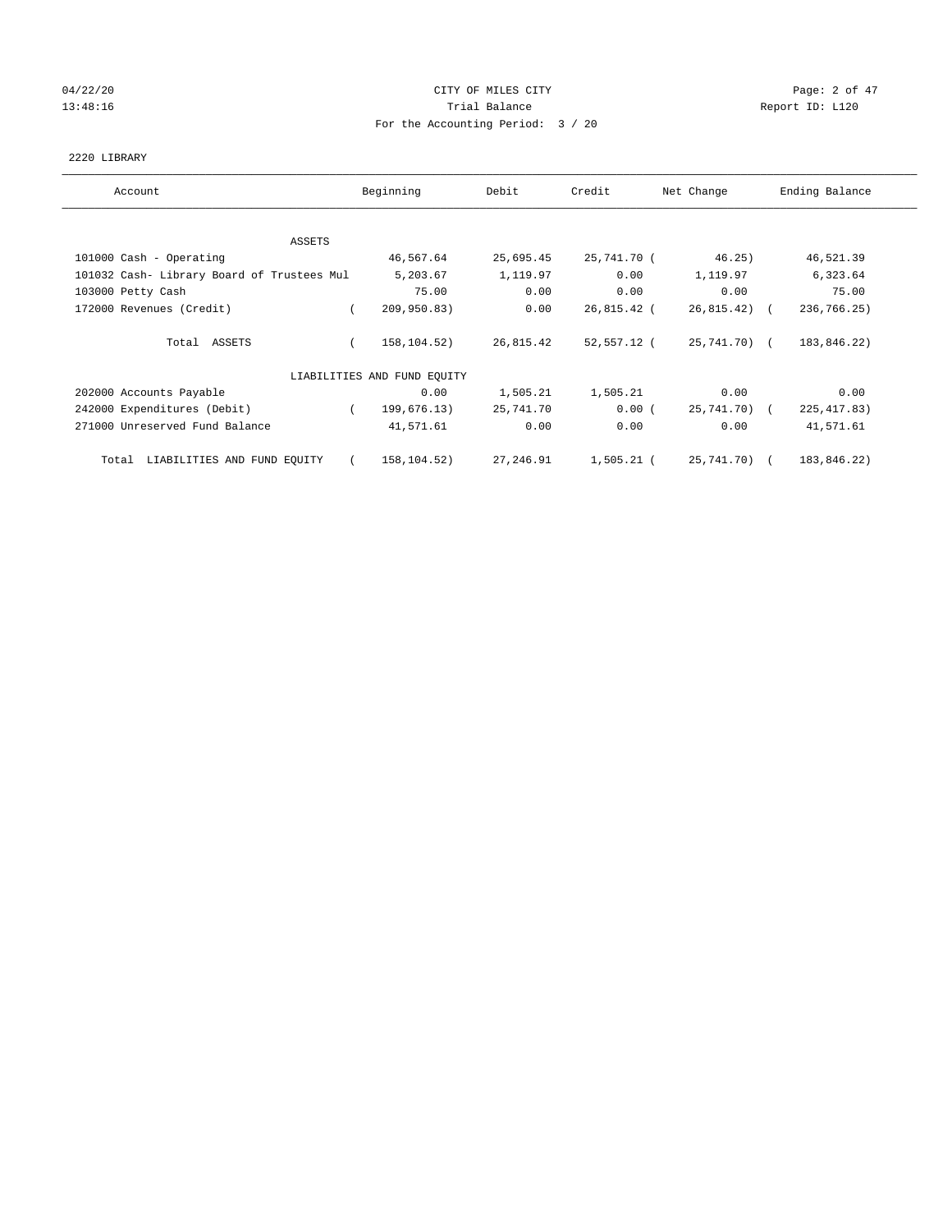## 04/22/20 **CITY OF MILES CITY** CONTROLLER CONTROLLER Page: 2 of 47 13:48:16 Report ID: L120 For the Accounting Period: 3 / 20

## 2220 LIBRARY

| Account                                    | Beginning                   | Debit     | Credit      | Net Change    | Ending Balance |
|--------------------------------------------|-----------------------------|-----------|-------------|---------------|----------------|
| ASSETS                                     |                             |           |             |               |                |
| 101000 Cash - Operating                    | 46,567.64                   | 25,695.45 | 25,741.70 ( | 46.25)        | 46,521.39      |
| 101032 Cash- Library Board of Trustees Mul | 5,203.67                    | 1,119.97  | 0.00        | 1,119.97      | 6,323.64       |
| 103000 Petty Cash                          | 75.00                       | 0.00      | 0.00        | 0.00          | 75.00          |
| 172000 Revenues (Credit)                   | 209,950.83)<br>$\sqrt{2}$   | 0.00      | 26,815.42 ( | $26,815.42$ ( | 236,766.25)    |
| Total ASSETS                               | 158,104.52)                 | 26,815.42 | 52,557.12 ( | 25,741.70) (  | 183,846.22)    |
|                                            | LIABILITIES AND FUND EQUITY |           |             |               |                |
| 202000 Accounts Payable                    | 0.00                        | 1,505.21  | 1,505.21    | 0.00          | 0.00           |
| 242000 Expenditures (Debit)                | 199,676.13)<br>$\sqrt{2}$   | 25,741.70 | 0.00(       | 25,741.70) (  | 225, 417.83)   |
| 271000 Unreserved Fund Balance             | 41,571.61                   | 0.00      | 0.00        | 0.00          | 41,571.61      |
| LIABILITIES AND FUND EQUITY<br>Total       | 158,104.52)<br>$\sqrt{2}$   | 27,246.91 | 1,505.21 (  | 25,741.70) (  | 183,846.22)    |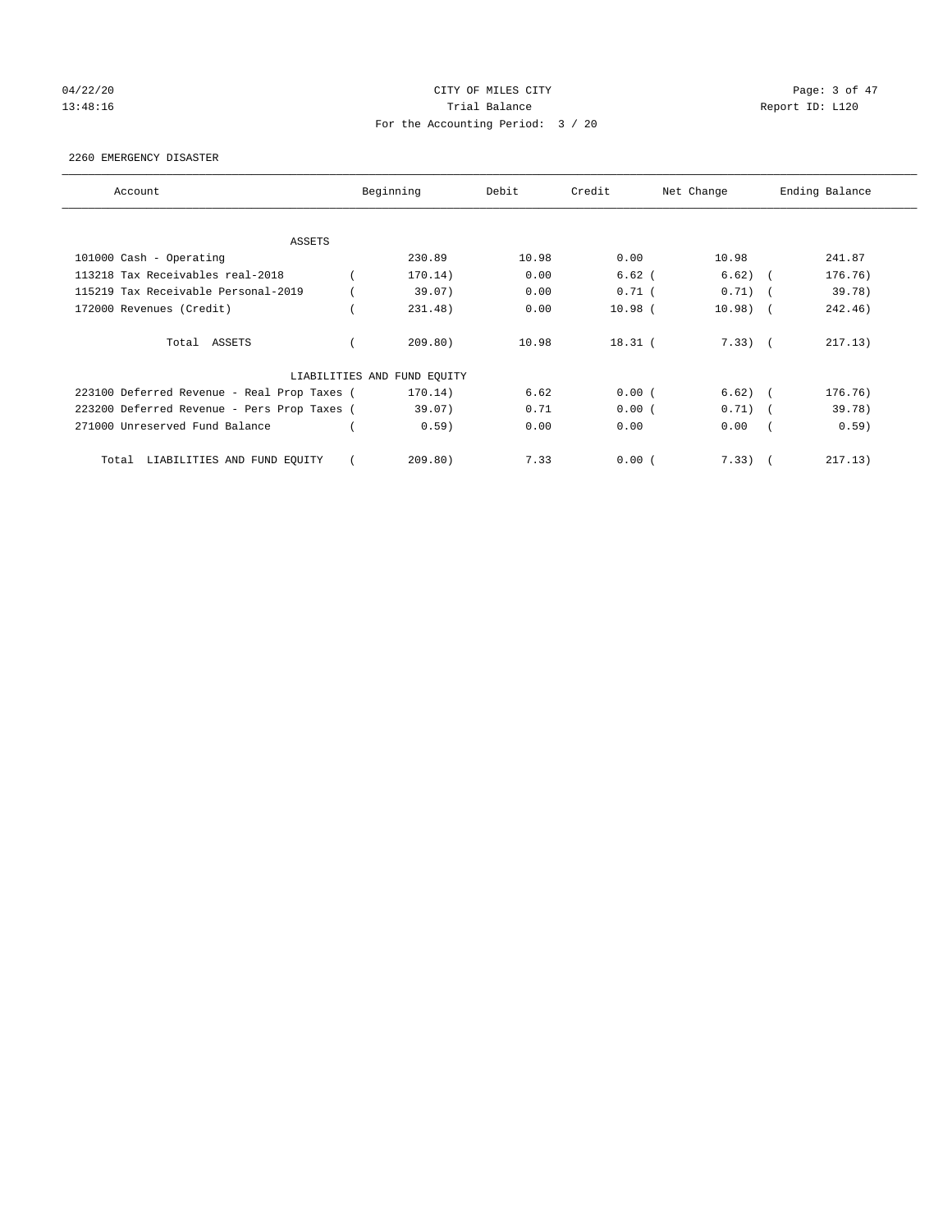## 04/22/20 **CITY OF MILES CITY** CONTROL CONTROL Page: 3 of 47 13:48:16 Report ID: L120 For the Accounting Period: 3 / 20

## 2260 EMERGENCY DISASTER

| Account                                     | Beginning                   | Debit | Credit      | Net Change |            | Ending Balance |
|---------------------------------------------|-----------------------------|-------|-------------|------------|------------|----------------|
| <b>ASSETS</b>                               |                             |       |             |            |            |                |
| 101000 Cash - Operating                     | 230.89                      | 10.98 | 0.00        | 10.98      |            | 241.87         |
| 113218 Tax Receivables real-2018            | 170.14)                     | 0.00  | $6.62$ (    | 6.62)      | $\sqrt{2}$ | 176.76)        |
| 115219 Tax Receivable Personal-2019         | 39.07)                      | 0.00  | $0.71$ (    | 0.71)      | $\sim$     | 39.78)         |
| 172000 Revenues (Credit)                    | 231.48)                     | 0.00  | $10.98$ $($ | 10.98)     | $\sqrt{2}$ | 242.46)        |
| Total ASSETS                                | 209.80)                     | 10.98 | $18.31$ (   | $7.33)$ (  |            | 217.13)        |
|                                             | LIABILITIES AND FUND EQUITY |       |             |            |            |                |
| 223100 Deferred Revenue - Real Prop Taxes ( | 170.14)                     | 6.62  | 0.00(       | $6.62)$ (  |            | 176.76)        |
| 223200 Deferred Revenue - Pers Prop Taxes ( | 39.07)                      | 0.71  | 0.00(       | $0.71)$ (  |            | 39.78)         |
| 271000 Unreserved Fund Balance              | 0.59)                       | 0.00  | 0.00        | 0.00       |            | 0.59)          |
| LIABILITIES AND FUND EQUITY<br>Total        | 209.80)                     | 7.33  | 0.00(       | 7.33)      |            | 217.13)        |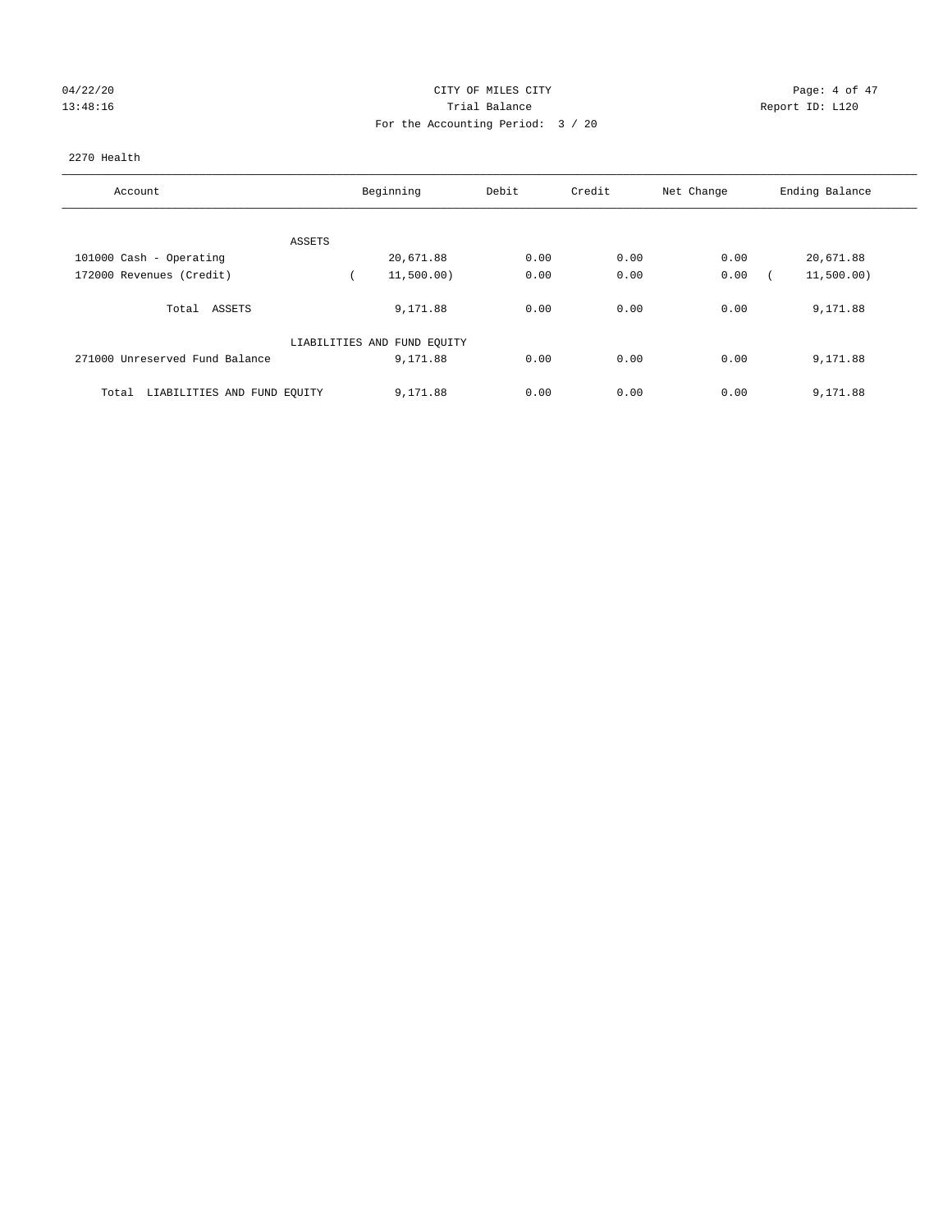# 04/22/20 CITY OF MILES CITY CHECK CONTROL Page: 4 of 47 13:48:16 Trial Balance Report ID: L120 For the Accounting Period: 3 / 20

## 2270 Health

| Account                              | Beginning                   | Debit | Credit | Net Change | Ending Balance |
|--------------------------------------|-----------------------------|-------|--------|------------|----------------|
|                                      |                             |       |        |            |                |
| ASSETS                               |                             |       |        |            |                |
| 101000 Cash - Operating              | 20,671.88                   | 0.00  | 0.00   | 0.00       | 20,671.88      |
| 172000 Revenues (Credit)             | 11,500.00)                  | 0.00  | 0.00   | 0.00       | 11,500.00)     |
| Total ASSETS                         | 9,171.88                    | 0.00  | 0.00   | 0.00       | 9,171.88       |
|                                      | LIABILITIES AND FUND EQUITY |       |        |            |                |
| 271000 Unreserved Fund Balance       | 9,171.88                    | 0.00  | 0.00   | 0.00       | 9,171.88       |
| LIABILITIES AND FUND EQUITY<br>Total | 9,171.88                    | 0.00  | 0.00   | 0.00       | 9,171.88       |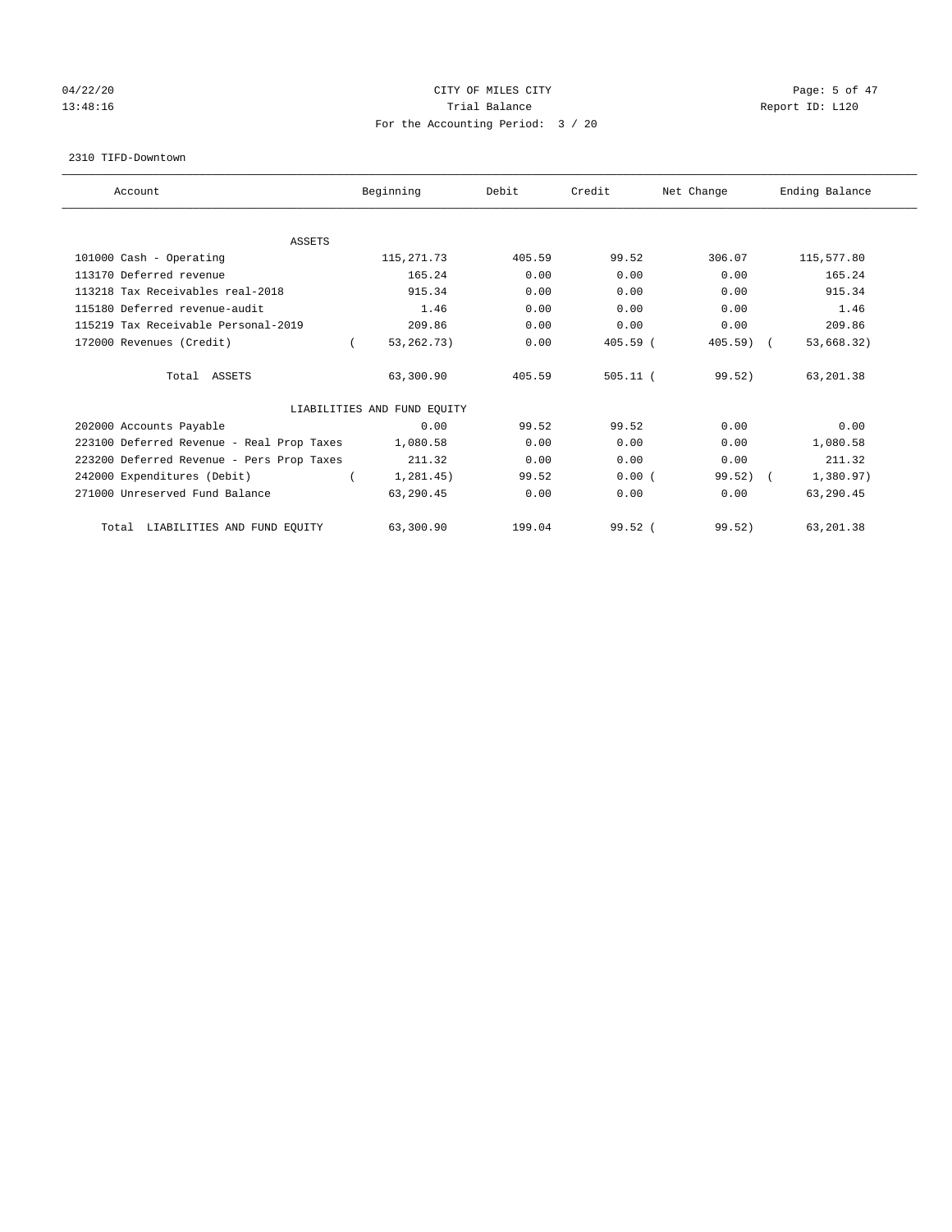## 04/22/20 **CITY OF MILES CITY** CONTROL CONTROL Page: 5 of 47 13:48:16 Report ID: L120 For the Accounting Period: 3 / 20

#### 2310 TIFD-Downtown

| Account                                   | Beginning                   | Debit  | Credit     | Net Change | Ending Balance |
|-------------------------------------------|-----------------------------|--------|------------|------------|----------------|
|                                           |                             |        |            |            |                |
| <b>ASSETS</b>                             |                             |        |            |            |                |
| 101000 Cash - Operating                   | 115, 271.73                 | 405.59 | 99.52      | 306.07     | 115,577.80     |
| 113170 Deferred revenue                   | 165.24                      | 0.00   | 0.00       | 0.00       | 165.24         |
| 113218 Tax Receivables real-2018          | 915.34                      | 0.00   | 0.00       | 0.00       | 915.34         |
| 115180 Deferred revenue-audit             | 1.46                        | 0.00   | 0.00       | 0.00       | 1.46           |
| 115219 Tax Receivable Personal-2019       | 209.86                      | 0.00   | 0.00       | 0.00       | 209.86         |
| 172000 Revenues (Credit)                  | 53, 262. 73)                | 0.00   | $405.59$ ( | $405.59$ ( | 53,668.32)     |
| Total ASSETS                              | 63,300.90                   | 405.59 | $505.11$ ( | 99.52)     | 63,201.38      |
|                                           | LIABILITIES AND FUND EQUITY |        |            |            |                |
| 202000 Accounts Payable                   | 0.00                        | 99.52  | 99.52      | 0.00       | 0.00           |
| 223100 Deferred Revenue - Real Prop Taxes | 1,080.58                    | 0.00   | 0.00       | 0.00       | 1,080.58       |
| 223200 Deferred Revenue - Pers Prop Taxes | 211.32                      | 0.00   | 0.00       | 0.00       | 211.32         |
| 242000 Expenditures (Debit)               | 1, 281.45)                  | 99.52  | 0.00(      | $99.52)$ ( | 1,380.97)      |
| 271000 Unreserved Fund Balance            | 63,290.45                   | 0.00   | 0.00       | 0.00       | 63,290.45      |
| LIABILITIES AND FUND EQUITY<br>Total      | 63,300.90                   | 199.04 | $99.52$ (  | 99.52)     | 63,201.38      |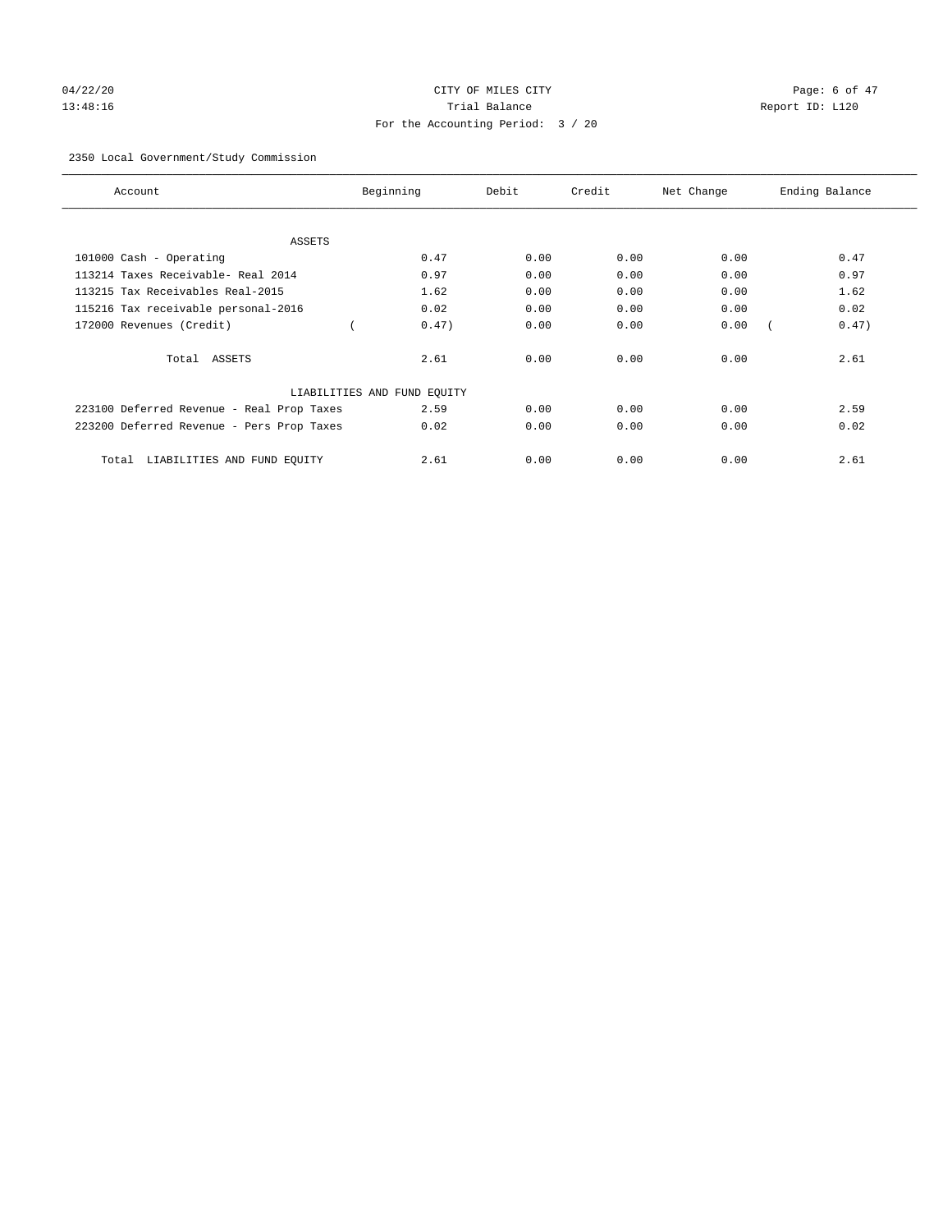# 04/22/20 CITY OF MILES CITY CHARGES CONTROLLER Page: 6 of 47 13:48:16 Trial Balance Report ID: L120 For the Accounting Period: 3 / 20

## 2350 Local Government/Study Commission

| Account                                   | Beginning                   | Debit | Credit | Net Change | Ending Balance |
|-------------------------------------------|-----------------------------|-------|--------|------------|----------------|
| ASSETS                                    |                             |       |        |            |                |
| 101000 Cash - Operating                   | 0.47                        | 0.00  | 0.00   | 0.00       | 0.47           |
| 113214 Taxes Receivable- Real 2014        | 0.97                        | 0.00  | 0.00   | 0.00       | 0.97           |
| 113215 Tax Receivables Real-2015          | 1.62                        | 0.00  | 0.00   | 0.00       | 1.62           |
| 115216 Tax receivable personal-2016       | 0.02                        | 0.00  | 0.00   | 0.00       | 0.02           |
| 172000 Revenues (Credit)                  | 0.47)                       | 0.00  | 0.00   | 0.00       | 0.47)          |
| Total ASSETS                              | 2.61                        | 0.00  | 0.00   | 0.00       | 2.61           |
|                                           | LIABILITIES AND FUND EQUITY |       |        |            |                |
| 223100 Deferred Revenue - Real Prop Taxes | 2.59                        | 0.00  | 0.00   | 0.00       | 2.59           |
| 223200 Deferred Revenue - Pers Prop Taxes | 0.02                        | 0.00  | 0.00   | 0.00       | 0.02           |
| LIABILITIES AND FUND EQUITY<br>Total      | 2.61                        | 0.00  | 0.00   | 0.00       | 2.61           |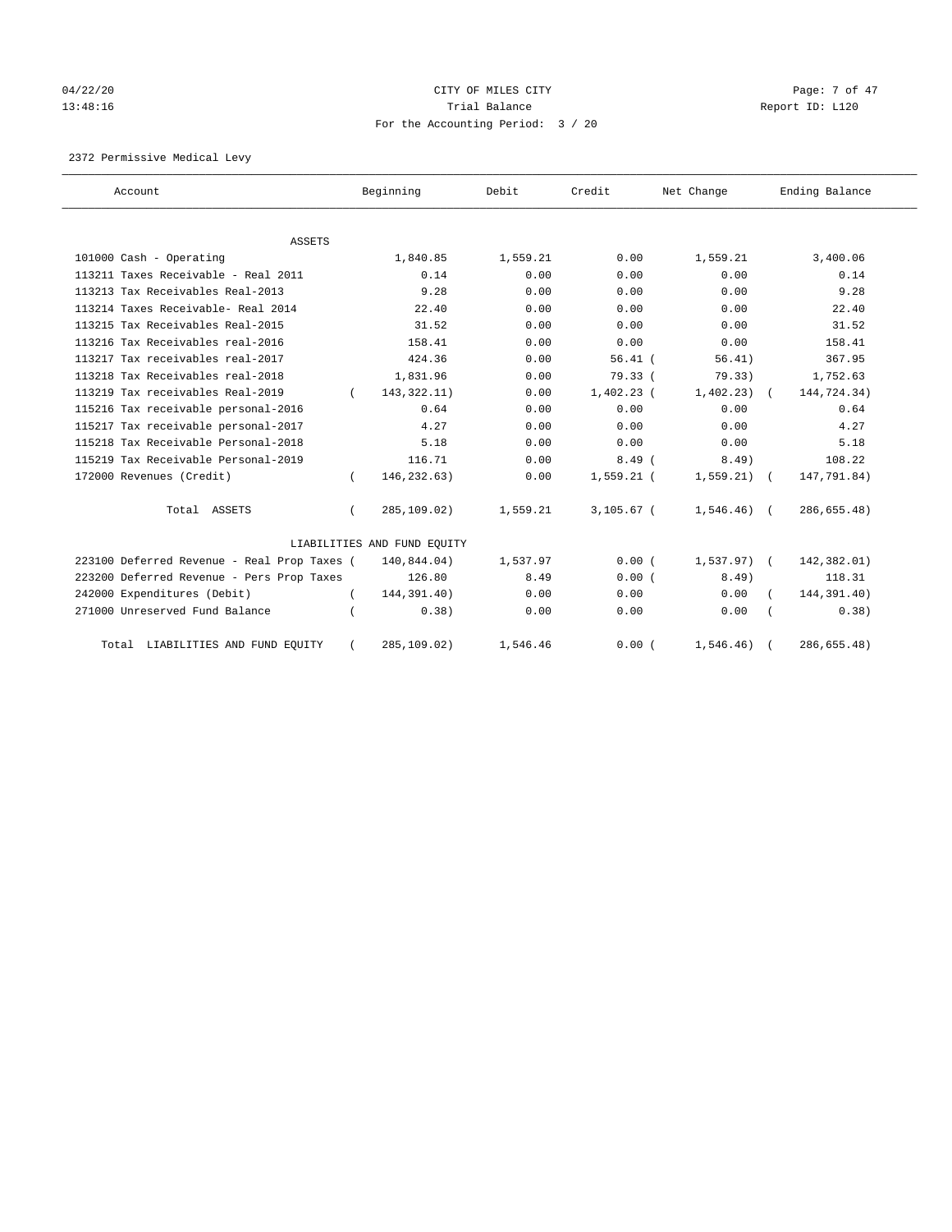# 04/22/20 CITY OF MILES CITY CHECK CONTROL Page: 7 of 47 13:48:16 Report ID: L120 For the Accounting Period: 3 / 20

2372 Permissive Medical Levy

| Account                                     |          | Beginning                   | Debit    | Credit       | Net Change    | Ending Balance |
|---------------------------------------------|----------|-----------------------------|----------|--------------|---------------|----------------|
| <b>ASSETS</b>                               |          |                             |          |              |               |                |
| 101000 Cash - Operating                     |          | 1,840.85                    | 1,559.21 | 0.00         | 1,559.21      | 3,400.06       |
| 113211 Taxes Receivable - Real 2011         |          | 0.14                        | 0.00     | 0.00         | 0.00          | 0.14           |
| 113213 Tax Receivables Real-2013            |          | 9.28                        | 0.00     | 0.00         | 0.00          | 9.28           |
| 113214 Taxes Receivable- Real 2014          |          | 22.40                       | 0.00     | 0.00         | 0.00          | 22.40          |
| 113215 Tax Receivables Real-2015            |          | 31.52                       | 0.00     | 0.00         | 0.00          | 31.52          |
| 113216 Tax Receivables real-2016            |          | 158.41                      | 0.00     | 0.00         | 0.00          | 158.41         |
| 113217 Tax receivables real-2017            |          | 424.36                      | 0.00     | $56.41$ (    | 56.41)        | 367.95         |
| 113218 Tax Receivables real-2018            |          | 1,831.96                    | 0.00     | 79.33(       | 79.33)        | 1,752.63       |
| 113219 Tax receivables Real-2019            | $\left($ | 143, 322. 11)               | 0.00     | $1,402.23$ ( | 1,402.23)     | 144,724.34)    |
| 115216 Tax receivable personal-2016         |          | 0.64                        | 0.00     | 0.00         | 0.00          | 0.64           |
| 115217 Tax receivable personal-2017         |          | 4.27                        | 0.00     | 0.00         | 0.00          | 4.27           |
| 115218 Tax Receivable Personal-2018         |          | 5.18                        | 0.00     | 0.00         | 0.00          | 5.18           |
| 115219 Tax Receivable Personal-2019         |          | 116.71                      | 0.00     | 8.49(        | $8.49$ )      | 108.22         |
| 172000 Revenues (Credit)                    |          | 146,232.63)                 | 0.00     | $1,559.21$ ( | 1,559.21)     | 147,791.84)    |
| Total ASSETS                                | $\left($ | 285,109.02)                 | 1,559.21 | $3,105.67$ ( | $1,546.46)$ ( | 286,655.48)    |
|                                             |          | LIABILITIES AND FUND EQUITY |          |              |               |                |
| 223100 Deferred Revenue - Real Prop Taxes ( |          | 140,844.04)                 | 1,537.97 | 0.00(        | $1,537.97)$ ( | 142,382.01)    |
| 223200 Deferred Revenue - Pers Prop Taxes   |          | 126.80                      | 8.49     | 0.00(        | $8.49$ )      | 118.31         |
| 242000 Expenditures (Debit)                 |          | 144,391.40)                 | 0.00     | 0.00         | 0.00          | 144,391.40)    |
| 271000 Unreserved Fund Balance              |          | 0.38)                       | 0.00     | 0.00         | 0.00          | 0.38)          |
| Total LIABILITIES AND FUND EQUITY           |          | 285,109.02)                 | 1,546.46 | 0.00(        | 1,546.46)     | 286,655.48)    |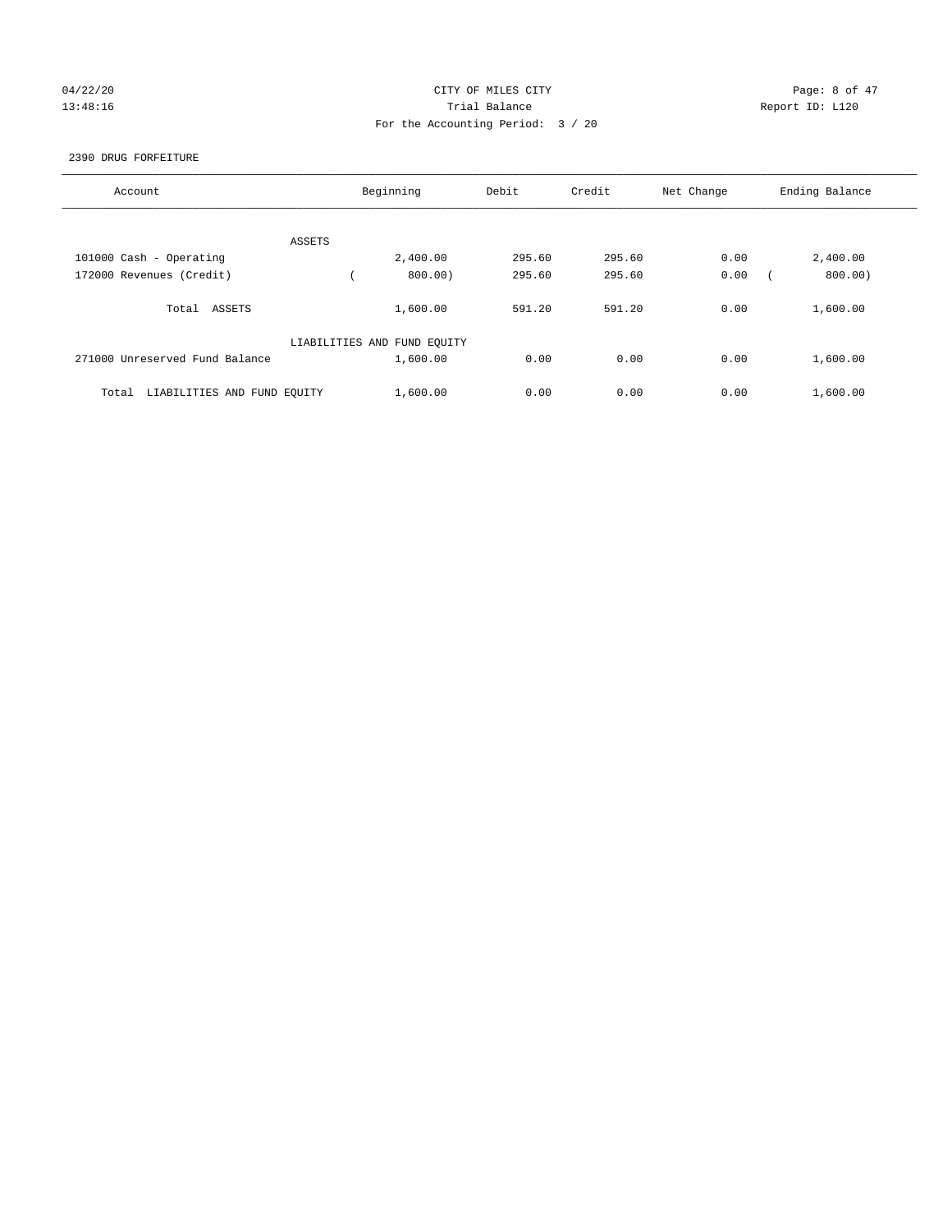# 04/22/20 CITY OF MILES CITY CHECK CONTROL Page: 8 of 47 13:48:16 Trial Balance Report ID: L120 For the Accounting Period: 3 / 20

## 2390 DRUG FORFEITURE

| Account                              | Beginning                   | Debit  | Credit | Net Change | Ending Balance |
|--------------------------------------|-----------------------------|--------|--------|------------|----------------|
|                                      |                             |        |        |            |                |
| ASSETS                               |                             |        |        |            |                |
| 101000 Cash - Operating              | 2,400.00                    | 295.60 | 295.60 | 0.00       | 2,400.00       |
| 172000 Revenues (Credit)             | 800.00)                     | 295.60 | 295.60 | 0.00       | 800.00)        |
| Total ASSETS                         | 1,600.00                    | 591.20 | 591.20 | 0.00       | 1,600.00       |
|                                      | LIABILITIES AND FUND EQUITY |        |        |            |                |
| 271000 Unreserved Fund Balance       | 1,600.00                    | 0.00   | 0.00   | 0.00       | 1,600.00       |
| LIABILITIES AND FUND EQUITY<br>Total | 1,600.00                    | 0.00   | 0.00   | 0.00       | 1,600.00       |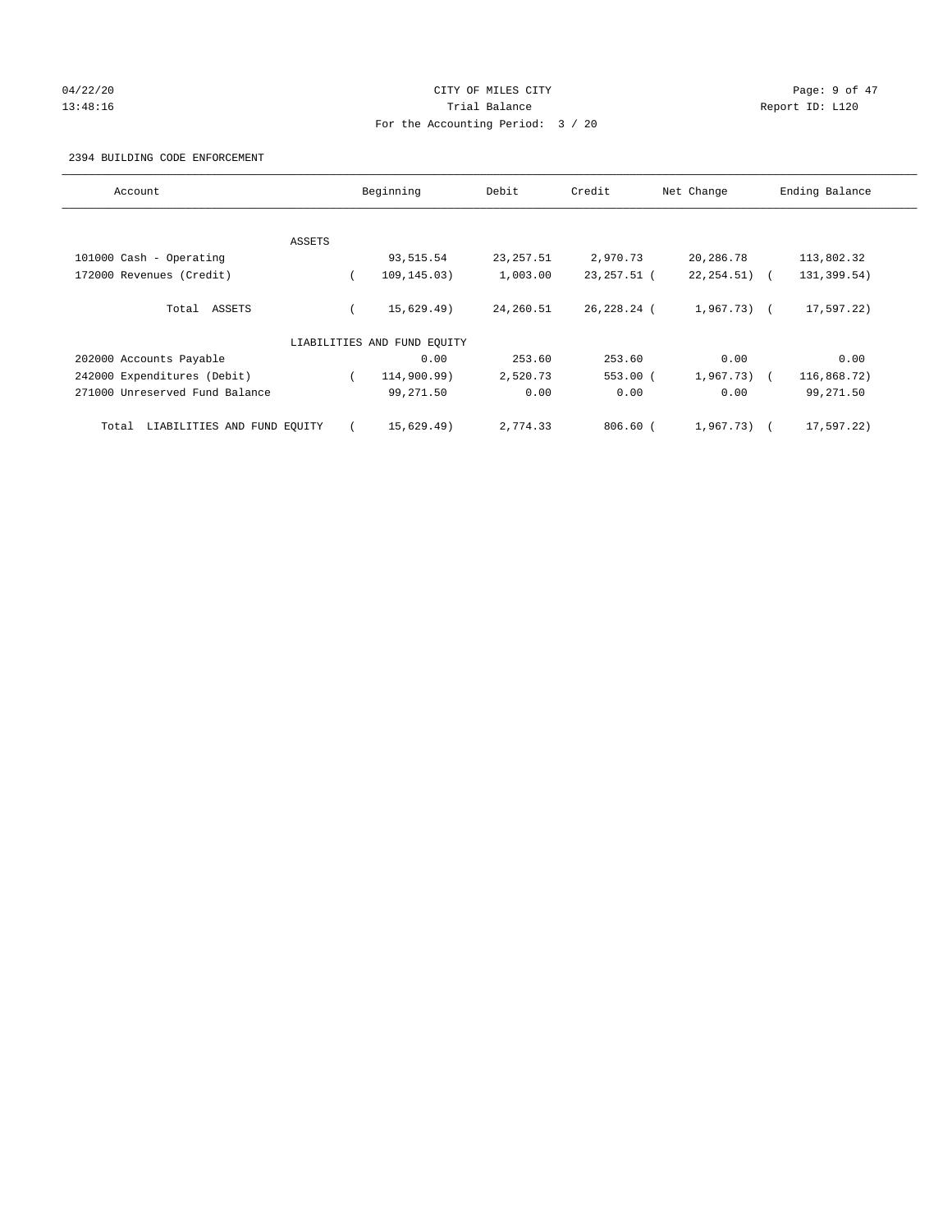## 04/22/20 **CITY OF MILES CITY** CONTROL CONTROL Page: 9 of 47 13:48:16 Trial Balance Report ID: L120 For the Accounting Period: 3 / 20

## 2394 BUILDING CODE ENFORCEMENT

| Account                              | Beginning                   | Debit      | Credit       | Net Change   | Ending Balance |
|--------------------------------------|-----------------------------|------------|--------------|--------------|----------------|
|                                      |                             |            |              |              |                |
| ASSETS                               |                             |            |              |              |                |
| 101000 Cash - Operating              | 93,515.54                   | 23, 257.51 | 2,970.73     | 20,286.78    | 113,802.32     |
| 172000 Revenues (Credit)             | 109, 145.03)                | 1,003.00   | 23, 257.51 ( | 22, 254.51)  | 131,399.54)    |
| ASSETS<br>Total                      | 15,629.49)                  | 24,260.51  | 26,228.24 (  | $1,967.73$ ( | 17,597.22)     |
|                                      | LIABILITIES AND FUND EQUITY |            |              |              |                |
| 202000 Accounts Payable              | 0.00                        | 253.60     | 253.60       | 0.00         | 0.00           |
| 242000 Expenditures (Debit)          | 114,900.99)                 | 2,520.73   | $553.00$ (   | $1,967.73$ ( | 116,868.72)    |
| 271000 Unreserved Fund Balance       | 99,271.50                   | 0.00       | 0.00         | 0.00         | 99,271.50      |
| LIABILITIES AND FUND EQUITY<br>Total | 15,629.49)                  | 2,774.33   | $806.60$ $($ | 1,967.73)    | 17,597.22)     |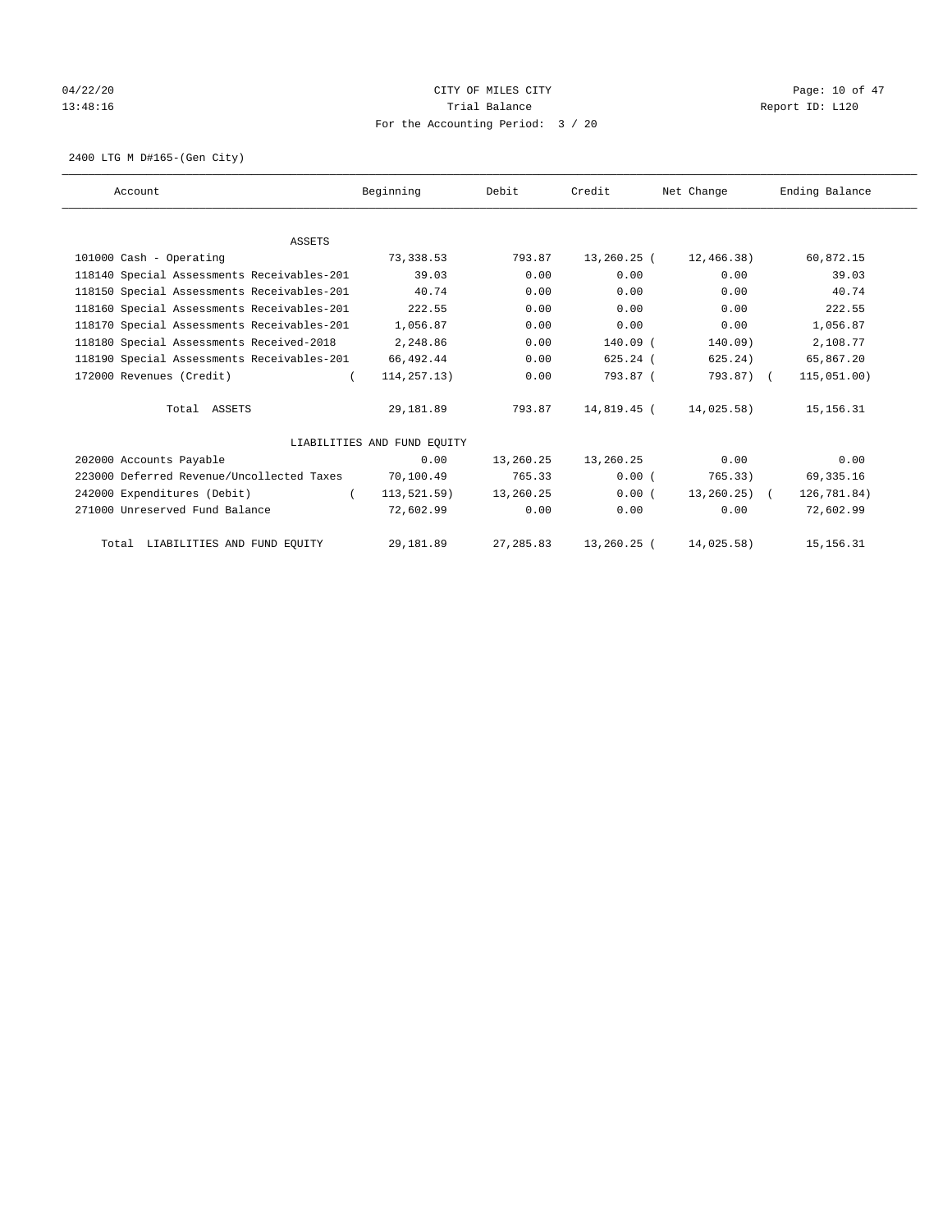# 04/22/20 Page: 10 of 47 13:48:16 Channel Balance Trial Balance Report ID: L120 For the Accounting Period: 3 / 20

2400 LTG M D#165-(Gen City)

| Account                                    | Beginning                   | Debit      | Credit      | Net Change       | Ending Balance |
|--------------------------------------------|-----------------------------|------------|-------------|------------------|----------------|
|                                            |                             |            |             |                  |                |
| <b>ASSETS</b>                              |                             |            |             |                  |                |
| 101000 Cash - Operating                    | 73,338.53                   | 793.87     | 13,260.25 ( | 12,466.38)       | 60,872.15      |
| 118140 Special Assessments Receivables-201 | 39.03                       | 0.00       | 0.00        | 0.00             | 39.03          |
| 118150 Special Assessments Receivables-201 | 40.74                       | 0.00       | 0.00        | 0.00             | 40.74          |
| 118160 Special Assessments Receivables-201 | 222.55                      | 0.00       | 0.00        | 0.00             | 222.55         |
| 118170 Special Assessments Receivables-201 | 1,056.87                    | 0.00       | 0.00        | 0.00             | 1,056.87       |
| 118180 Special Assessments Received-2018   | 2,248.86                    | 0.00       | $140.09$ (  | 140.09)          | 2,108.77       |
| 118190 Special Assessments Receivables-201 | 66,492.44                   | 0.00       | $625.24$ (  | 625.24)          | 65,867.20      |
| 172000 Revenues (Credit)                   | 114, 257. 13)               | 0.00       | 793.87 (    | 793.87) (        | 115,051.00)    |
| Total ASSETS                               | 29,181.89                   | 793.87     | 14,819.45 ( | 14,025.58)       | 15, 156. 31    |
|                                            | LIABILITIES AND FUND EQUITY |            |             |                  |                |
| 202000 Accounts Payable                    | 0.00                        | 13,260.25  | 13,260.25   | 0.00             | 0.00           |
| 223000 Deferred Revenue/Uncollected Taxes  | 70,100.49                   | 765.33     | 0.00(       | 765.33)          | 69, 335.16     |
| 242000 Expenditures (Debit)<br>$\left($    | 113, 521.59)                | 13,260.25  | 0.00(       | $13, 260, 25)$ ( | 126,781.84)    |
| 271000 Unreserved Fund Balance             | 72,602.99                   | 0.00       | 0.00        | 0.00             | 72,602.99      |
| Total LIABILITIES AND FUND EQUITY          | 29, 181.89                  | 27, 285.83 | 13,260.25 ( | 14,025.58)       | 15, 156. 31    |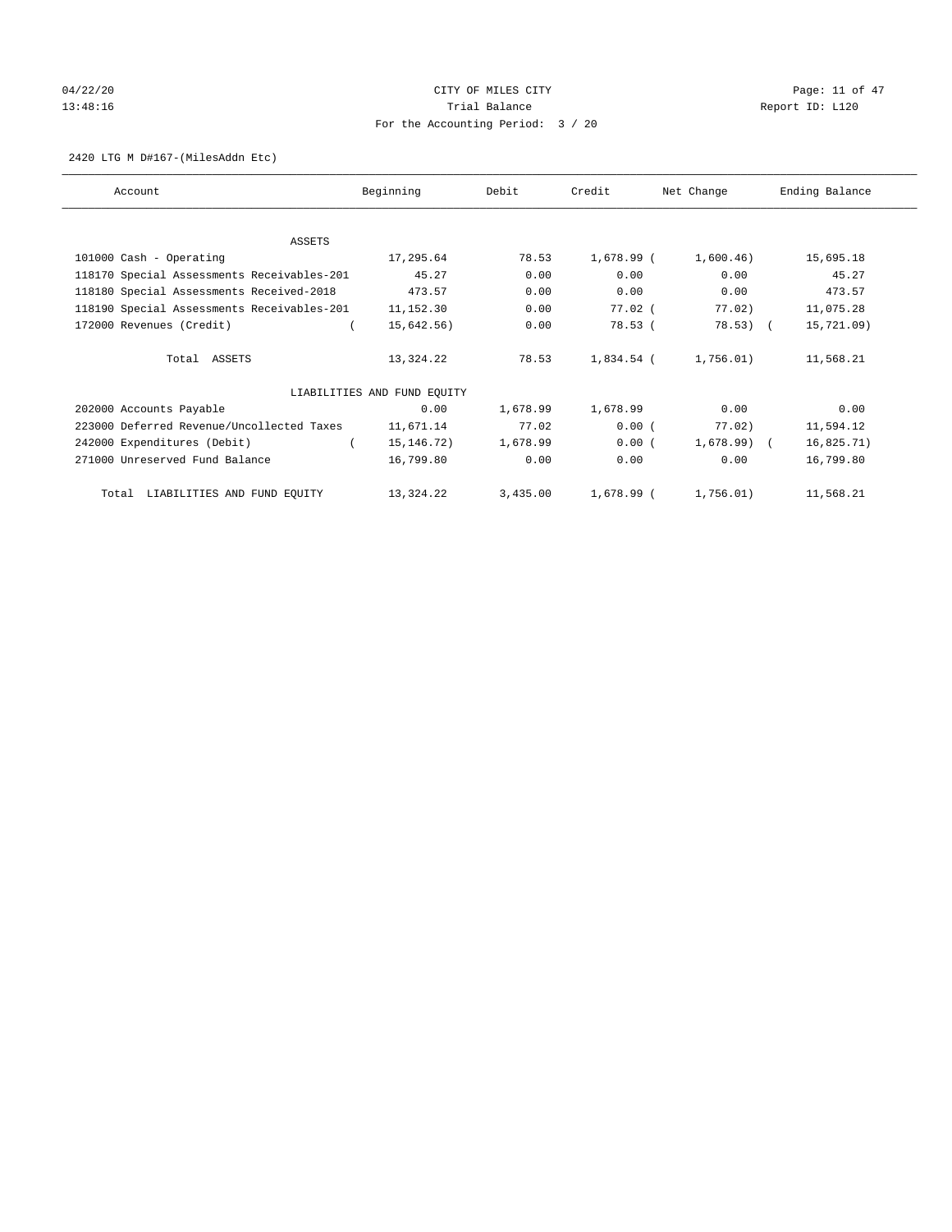# $04/22/20$  Page: 11 of 47 13:48:16 Channel Balance Trial Balance Report ID: L120 For the Accounting Period: 3 / 20

## 2420 LTG M D#167-(MilesAddn Etc)

| Account                                    | Beginning                   | Debit    | Credit     | Net Change   | Ending Balance |
|--------------------------------------------|-----------------------------|----------|------------|--------------|----------------|
|                                            |                             |          |            |              |                |
| ASSETS                                     |                             |          |            |              |                |
| 101000 Cash - Operating                    | 17,295.64                   | 78.53    | 1,678.99 ( | 1,600.46)    | 15,695.18      |
| 118170 Special Assessments Receivables-201 | 45.27                       | 0.00     | 0.00       | 0.00         | 45.27          |
| 118180 Special Assessments Received-2018   | 473.57                      | 0.00     | 0.00       | 0.00         | 473.57         |
| 118190 Special Assessments Receivables-201 | 11,152.30                   | 0.00     | $77.02$ (  | 77.02)       | 11,075.28      |
| 172000 Revenues (Credit)                   | 15,642.56)                  | 0.00     | 78.53(     | $78.53)$ (   | 15,721.09)     |
| Total ASSETS                               | 13,324.22                   | 78.53    | 1,834.54 ( | 1,756.01)    | 11,568.21      |
|                                            | LIABILITIES AND FUND EQUITY |          |            |              |                |
| 202000 Accounts Payable                    | 0.00                        | 1,678.99 | 1,678.99   | 0.00         | 0.00           |
| 223000 Deferred Revenue/Uncollected Taxes  | 11,671.14                   | 77.02    | 0.00(      | 77.02)       | 11,594.12      |
| 242000 Expenditures (Debit)                | 15, 146. 72)                | 1,678.99 | 0.00(      | $1,678.99$ ( | 16,825.71)     |
| 271000 Unreserved Fund Balance             | 16,799.80                   | 0.00     | 0.00       | 0.00         | 16,799.80      |
| Total LIABILITIES AND FUND EQUITY          | 13,324.22                   | 3,435.00 | 1,678.99 ( | 1,756.01)    | 11,568.21      |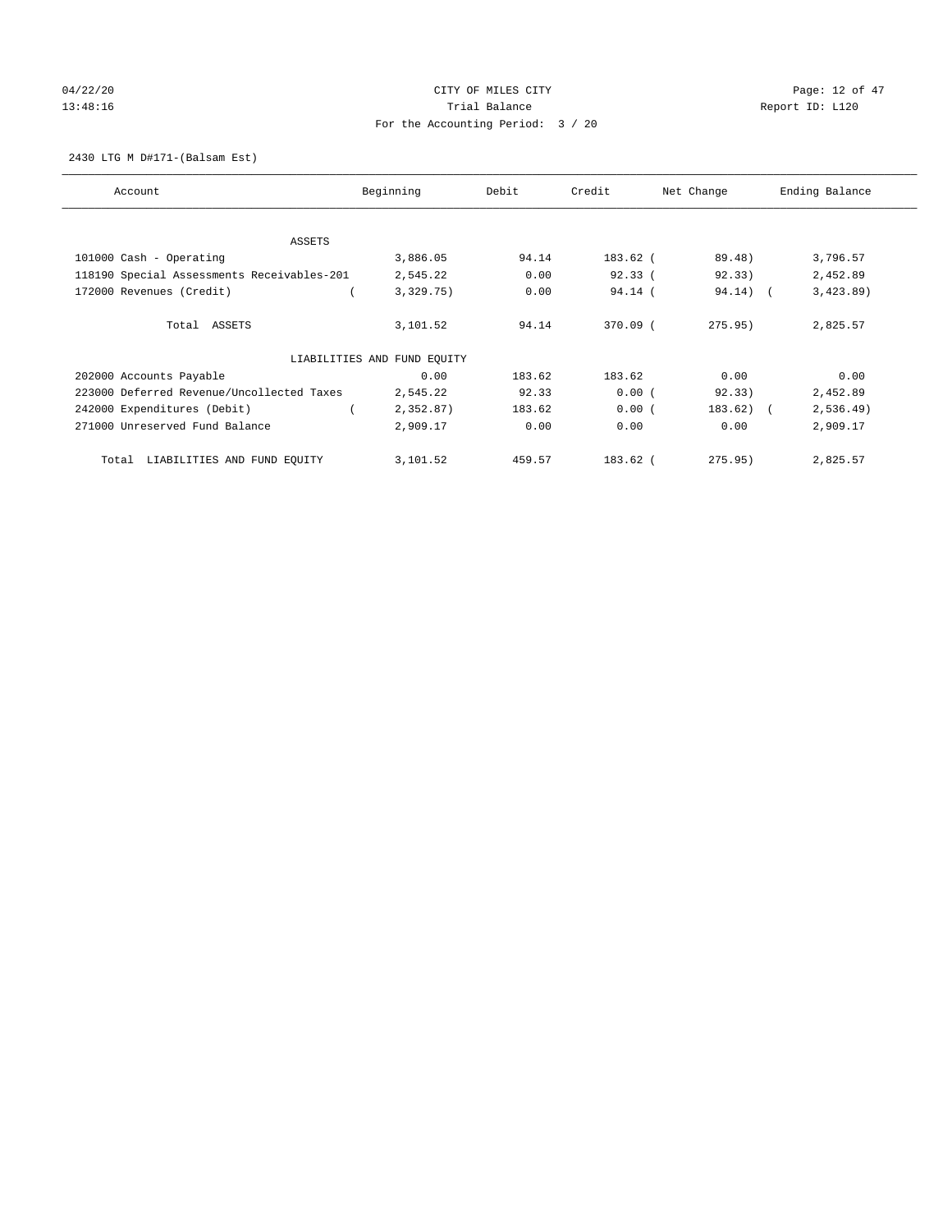# 04/22/20 Page: 12 of 47 13:48:16 Channel Balance Trial Balance Report ID: L120 For the Accounting Period: 3 / 20

2430 LTG M D#171-(Balsam Est)

| Account                                    | Beginning                   | Debit  | Credit     | Net Change   | Ending Balance |
|--------------------------------------------|-----------------------------|--------|------------|--------------|----------------|
| ASSETS                                     |                             |        |            |              |                |
| 101000 Cash - Operating                    | 3,886.05                    | 94.14  | 183.62 (   | 89.48)       | 3,796.57       |
| 118190 Special Assessments Receivables-201 | 2,545.22                    | 0.00   | 92.33(     | 92.33)       | 2,452.89       |
| 172000 Revenues (Credit)                   | 3,329.75)                   | 0.00   | $94.14$ (  | 94.14) (     | 3,423.89       |
| Total ASSETS                               | 3,101.52                    | 94.14  | $370.09$ ( | 275.95       | 2,825.57       |
|                                            | LIABILITIES AND FUND EQUITY |        |            |              |                |
| 202000 Accounts Payable                    | 0.00                        | 183.62 | 183.62     | 0.00         | 0.00           |
| 223000 Deferred Revenue/Uncollected Taxes  | 2,545.22                    | 92.33  | 0.00(      | 92.33)       | 2,452.89       |
| 242000 Expenditures (Debit)                | 2,352.87)                   | 183.62 | 0.00(      | $183.62$ ) ( | 2,536.49)      |
| 271000 Unreserved Fund Balance             | 2,909.17                    | 0.00   | 0.00       | 0.00         | 2,909.17       |
| LIABILITIES AND FUND EQUITY<br>Total       | 3,101.52                    | 459.57 | 183.62 (   | 275.95)      | 2,825.57       |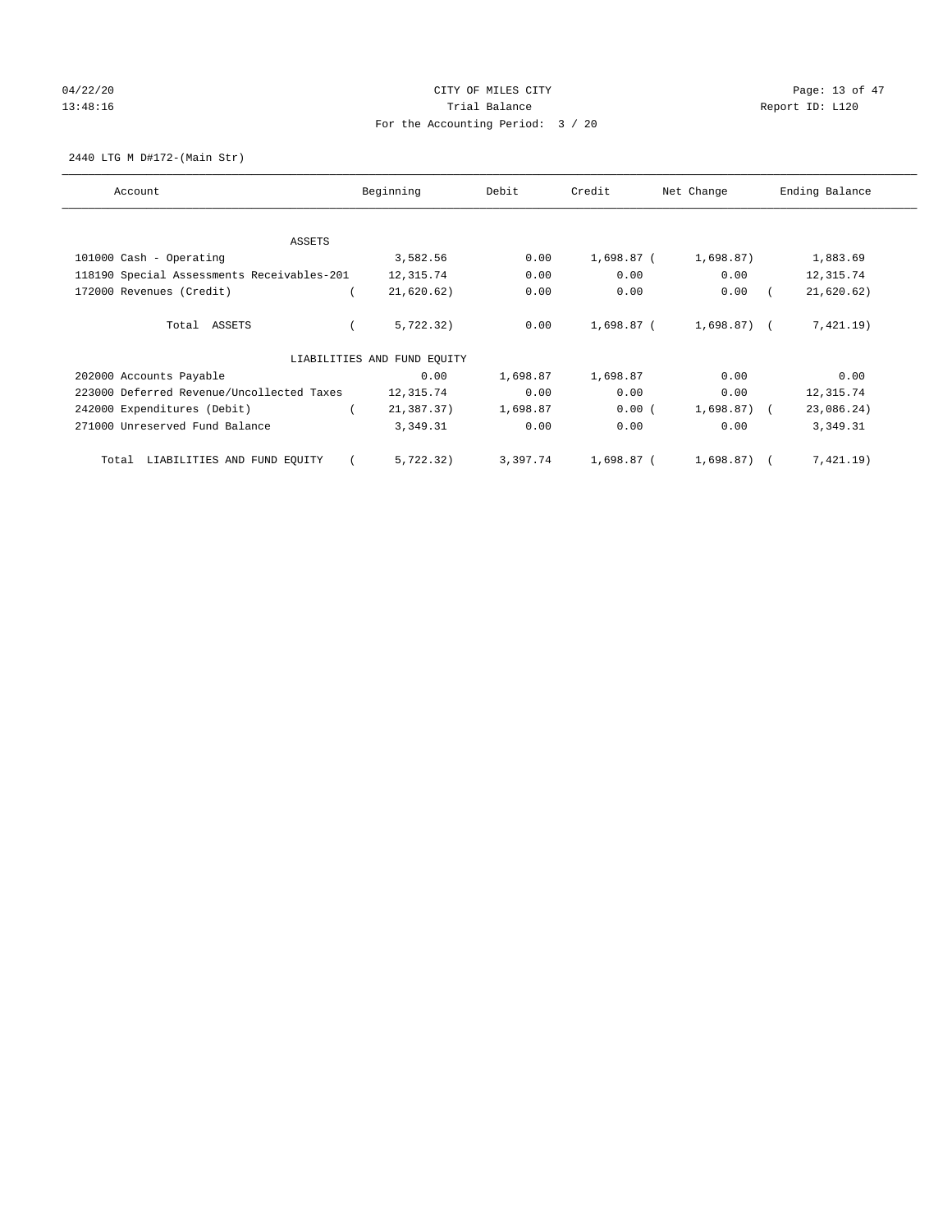# $04/22/20$  Page: 13 of 47 13:48:16 Channel Balance Trial Balance Report ID: L120 For the Accounting Period: 3 / 20

2440 LTG M D#172-(Main Str)

| Account                                    | Beginning                   | Debit    | Credit     | Net Change     | Ending Balance |
|--------------------------------------------|-----------------------------|----------|------------|----------------|----------------|
| ASSETS                                     |                             |          |            |                |                |
| 101000 Cash - Operating                    | 3,582.56                    | 0.00     | 1,698.87 ( | 1,698.87)      | 1,883.69       |
| 118190 Special Assessments Receivables-201 | 12,315.74                   | 0.00     | 0.00       | 0.00           | 12,315.74      |
| 172000 Revenues (Credit)                   | 21,620.62)                  | 0.00     | 0.00       | 0.00           | 21,620.62)     |
| Total ASSETS                               | 5,722.32)                   | 0.00     | 1,698.87 ( | 1,698.87) (    | 7,421.19)      |
|                                            | LIABILITIES AND FUND EQUITY |          |            |                |                |
| 202000 Accounts Payable                    | 0.00                        | 1,698.87 | 1,698.87   | 0.00           | 0.00           |
| 223000 Deferred Revenue/Uncollected Taxes  | 12,315.74                   | 0.00     | 0.00       | 0.00           | 12,315.74      |
| 242000 Expenditures (Debit)                | 21,387.37)                  | 1,698.87 | $0.00$ (   | $1,698.87$ ) ( | 23,086.24)     |
| 271000 Unreserved Fund Balance             | 3,349.31                    | 0.00     | 0.00       | 0.00           | 3,349.31       |
| LIABILITIES AND FUND EQUITY<br>Total       | 5,722.32)                   | 3,397.74 | 1,698.87 ( | $1,698.87$ (   | 7,421.19)      |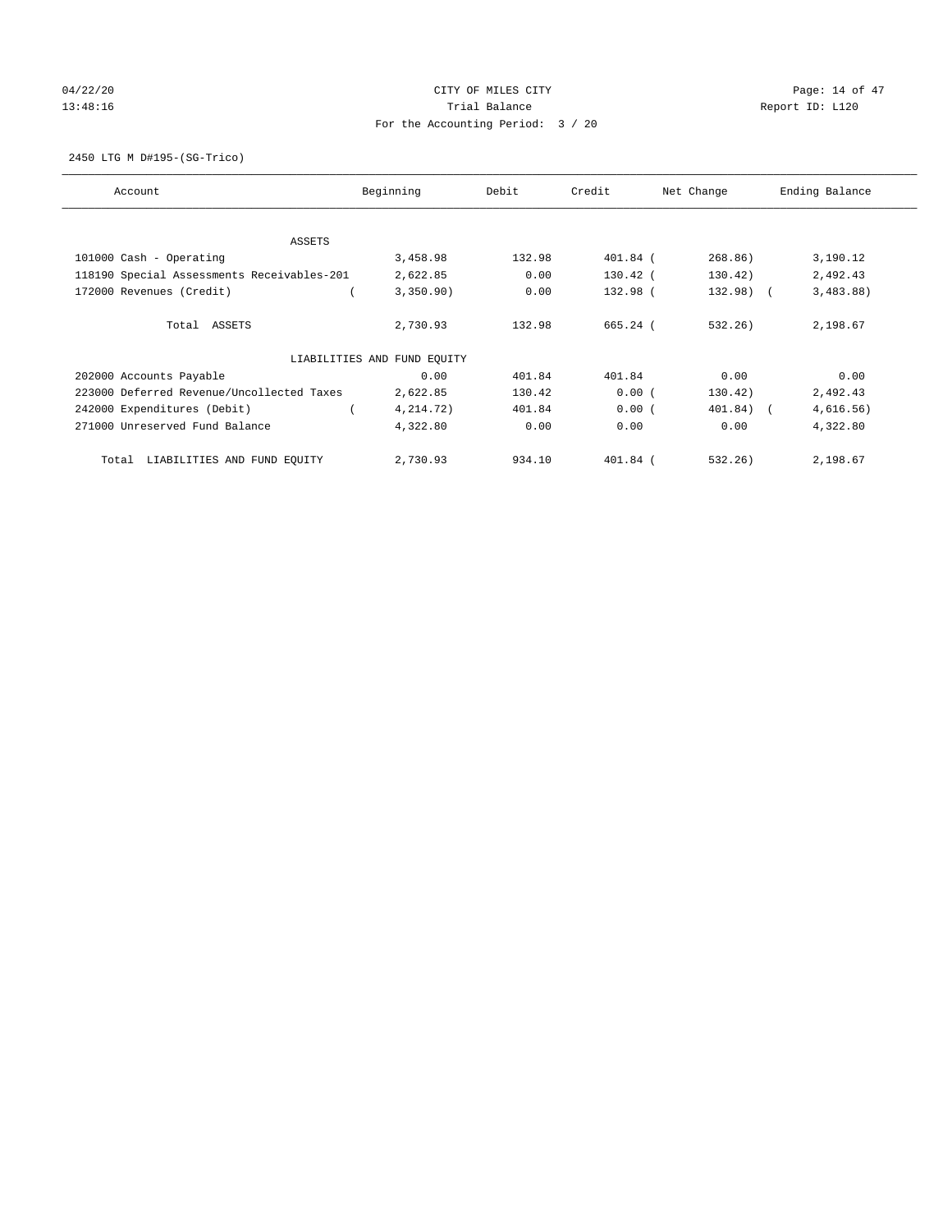# 04/22/20 Page: 14 of 47 13:48:16 Channel Balance Trial Balance Report ID: L120 For the Accounting Period: 3 / 20

2450 LTG M D#195-(SG-Trico)

| Account                                    | Beginning                   | Debit  | Credit     | Net Change | Ending Balance |
|--------------------------------------------|-----------------------------|--------|------------|------------|----------------|
| ASSETS                                     |                             |        |            |            |                |
| 101000 Cash - Operating                    | 3,458.98                    | 132.98 | 401.84 (   | 268.86)    | 3,190.12       |
| 118190 Special Assessments Receivables-201 | 2,622.85                    | 0.00   | $130.42$ ( | 130.42)    | 2,492.43       |
| 172000 Revenues (Credit)                   | 3,350.90)                   | 0.00   | 132.98 (   | $132.98$ ( | 3,483.88)      |
| Total ASSETS                               | 2,730.93                    | 132.98 | 665.24 (   | 532.26)    | 2,198.67       |
|                                            | LIABILITIES AND FUND EQUITY |        |            |            |                |
| 202000 Accounts Payable                    | 0.00                        | 401.84 | 401.84     | 0.00       | 0.00           |
| 223000 Deferred Revenue/Uncollected Taxes  | 2,622.85                    | 130.42 | 0.00(      | 130.42)    | 2,492.43       |
| 242000 Expenditures (Debit)                | 4, 214. 72)                 | 401.84 | 0.00(      | 401.84) (  | 4,616.56)      |
| 271000 Unreserved Fund Balance             | 4,322.80                    | 0.00   | 0.00       | 0.00       | 4,322.80       |
| LIABILITIES AND FUND EQUITY<br>Total       | 2,730.93                    | 934.10 | $401.84$ ( | 532.26     | 2,198.67       |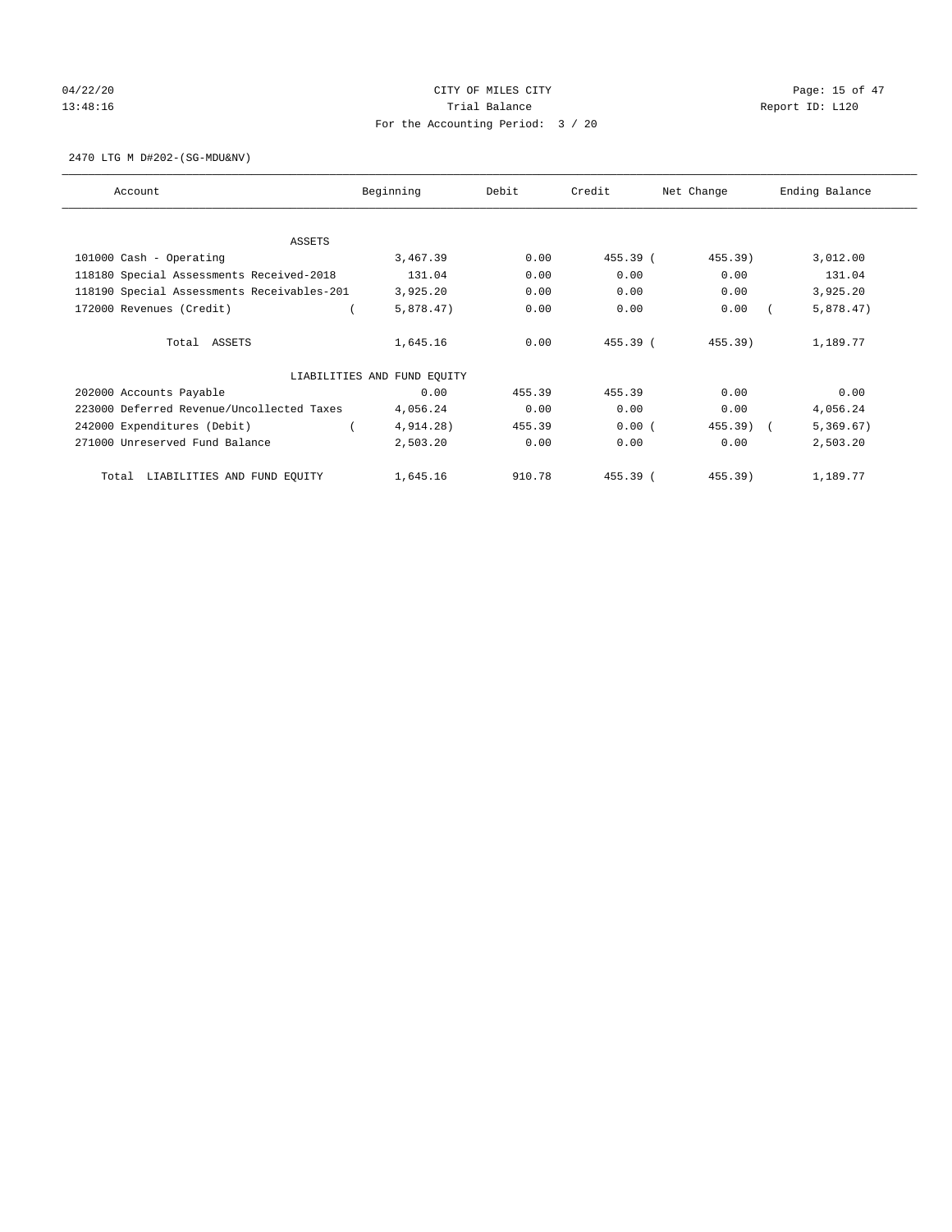# 04/22/20 Page: 15 of 47 13:48:16 Channel Balance Trial Balance Report ID: L120 For the Accounting Period: 3 / 20

2470 LTG M D#202-(SG-MDU&NV)

| Account                                    | Beginning                   | Debit  | Credit   | Net Change | Ending Balance |
|--------------------------------------------|-----------------------------|--------|----------|------------|----------------|
| <b>ASSETS</b>                              |                             |        |          |            |                |
| 101000 Cash - Operating                    | 3,467.39                    | 0.00   | 455.39 ( | 455.39)    | 3,012.00       |
| 118180 Special Assessments Received-2018   | 131.04                      | 0.00   | 0.00     | 0.00       | 131.04         |
| 118190 Special Assessments Receivables-201 | 3,925.20                    | 0.00   | 0.00     | 0.00       | 3,925.20       |
| 172000 Revenues (Credit)                   | 5,878.47)                   | 0.00   | 0.00     | 0.00       | 5,878.47)      |
| Total ASSETS                               | 1,645.16                    | 0.00   | 455.39 ( | 455.39)    | 1,189.77       |
|                                            |                             |        |          |            |                |
|                                            | LIABILITIES AND FUND EQUITY |        |          |            |                |
| 202000 Accounts Payable                    | 0.00                        | 455.39 | 455.39   | 0.00       | 0.00           |
| 223000 Deferred Revenue/Uncollected Taxes  | 4,056.24                    | 0.00   | 0.00     | 0.00       | 4,056.24       |
| 242000 Expenditures (Debit)                | $4,914.28$ )                | 455.39 | 0.00(    | 455.39)    | 5,369.67)      |
| 271000 Unreserved Fund Balance             | 2,503.20                    | 0.00   | 0.00     | 0.00       | 2,503.20       |
| LIABILITIES AND FUND EQUITY<br>Total       | 1,645.16                    | 910.78 | 455.39 ( | 455.39)    | 1,189.77       |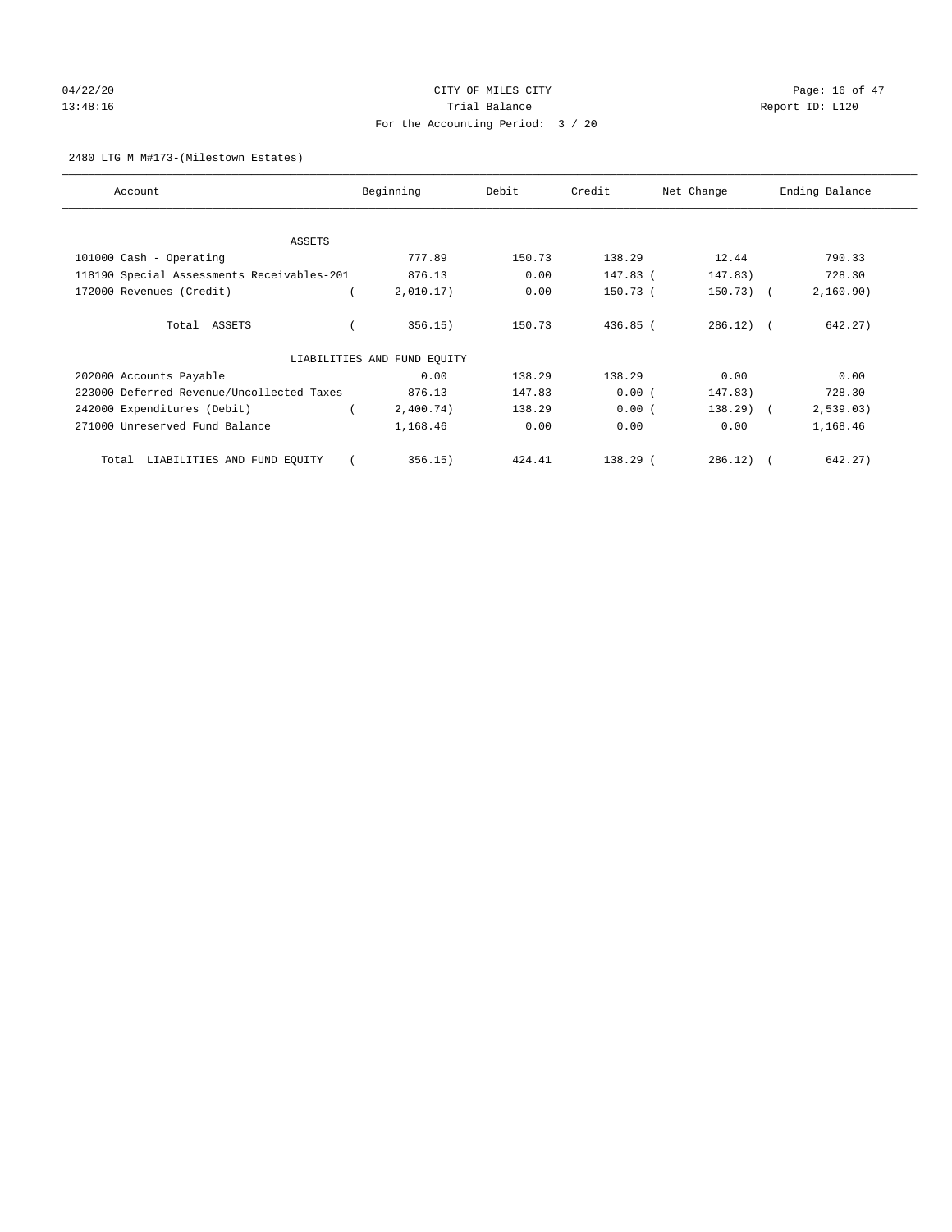# 04/22/20 Page: 16 of 47 13:48:16 Channel Balance Trial Balance Report ID: L120 For the Accounting Period: 3 / 20

## 2480 LTG M M#173-(Milestown Estates)

| Account                                    | Beginning                   | Debit  | Credit     | Net Change     | Ending Balance        |
|--------------------------------------------|-----------------------------|--------|------------|----------------|-----------------------|
| <b>ASSETS</b>                              |                             |        |            |                |                       |
| 101000 Cash - Operating                    | 777.89                      | 150.73 | 138.29     | 12.44          | 790.33                |
| 118190 Special Assessments Receivables-201 | 876.13                      | 0.00   | 147.83 (   | 147.83)        | 728.30                |
|                                            |                             |        |            |                |                       |
| 172000 Revenues (Credit)                   | 2,010.17)                   | 0.00   | 150.73 (   | $150.73$ ) (   | 2,160.90)             |
| Total ASSETS                               | 356.15)                     | 150.73 | $436.85$ ( | $286.12$ ) $($ | 642.27)               |
|                                            | LIABILITIES AND FUND EQUITY |        |            |                |                       |
| 202000 Accounts Payable                    | 0.00                        | 138.29 | 138.29     | 0.00           | 0.00                  |
| 223000 Deferred Revenue/Uncollected Taxes  | 876.13                      | 147.83 | 0.00(      | 147.83)        | 728.30                |
| 242000 Expenditures (Debit)                | 2,400.74)                   | 138.29 | 0.00(      | $138.29$ (     | 2, 539.03)            |
| 271000 Unreserved Fund Balance             | 1,168.46                    | 0.00   | 0.00       | 0.00           | 1,168.46              |
| LIABILITIES AND FUND EQUITY<br>Total       | 356.15)                     | 424.41 | $138.29$ ( | 286.12)        | 642.27)<br>$\sqrt{2}$ |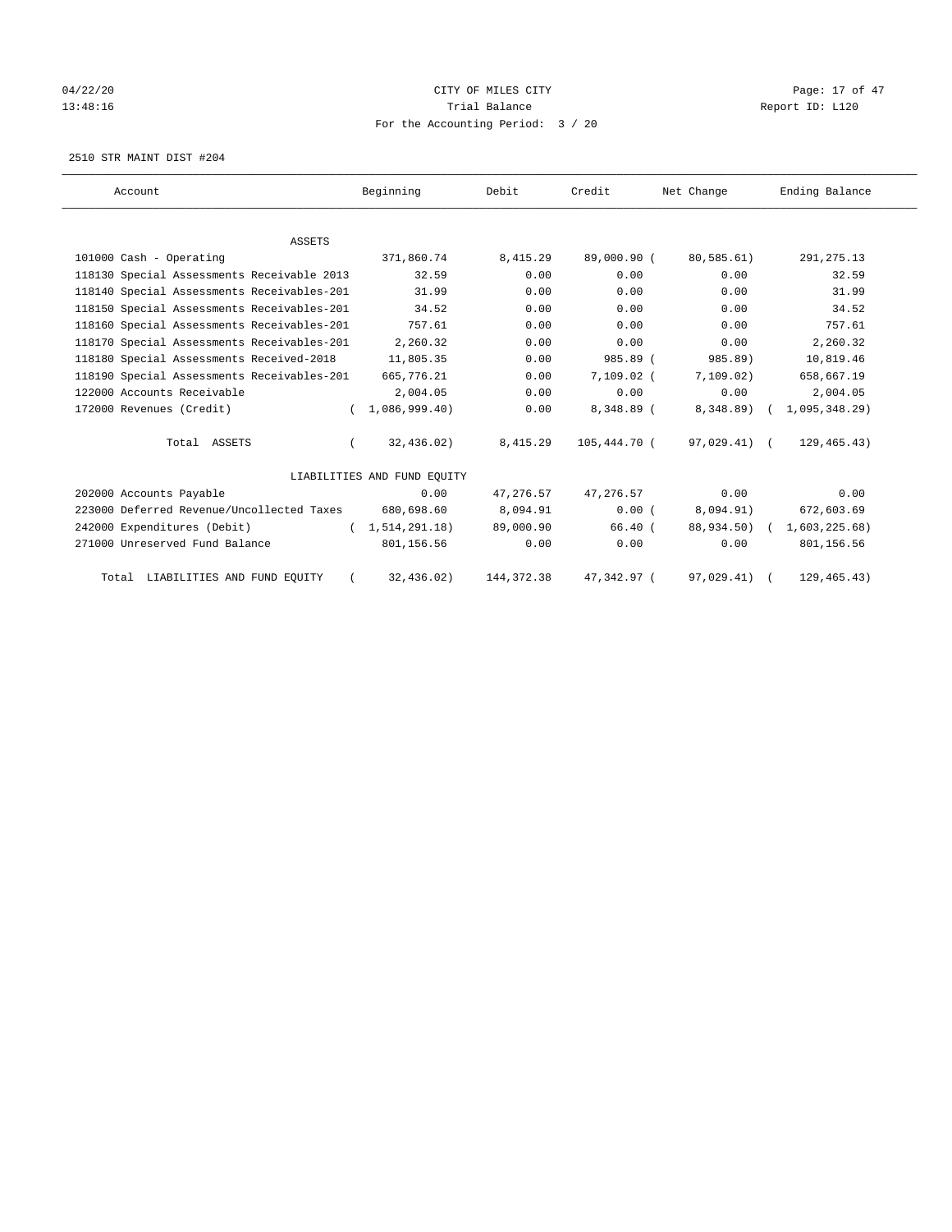# 04/22/20 Page: 17 of 47 13:48:16 Channel Balance Trial Balance Report ID: L120 For the Accounting Period: 3 / 20

2510 STR MAINT DIST #204

| Account                                    | Beginning                   | Debit       | Credit       | Net Change   | Ending Balance |
|--------------------------------------------|-----------------------------|-------------|--------------|--------------|----------------|
|                                            |                             |             |              |              |                |
| <b>ASSETS</b>                              |                             |             |              |              |                |
| 101000 Cash - Operating                    | 371,860.74                  | 8,415.29    | 89,000.90 (  | 80,585.61)   | 291, 275.13    |
| 118130 Special Assessments Receivable 2013 | 32.59                       | 0.00        | 0.00         | 0.00         | 32.59          |
| 118140 Special Assessments Receivables-201 | 31.99                       | 0.00        | 0.00         | 0.00         | 31.99          |
| 118150 Special Assessments Receivables-201 | 34.52                       | 0.00        | 0.00         | 0.00         | 34.52          |
| 118160 Special Assessments Receivables-201 | 757.61                      | 0.00        | 0.00         | 0.00         | 757.61         |
| 118170 Special Assessments Receivables-201 | 2,260.32                    | 0.00        | 0.00         | 0.00         | 2,260.32       |
| 118180 Special Assessments Received-2018   | 11,805.35                   | 0.00        | 985.89 (     | 985.89)      | 10,819.46      |
| 118190 Special Assessments Receivables-201 | 665,776.21                  | 0.00        | $7.109.02$ ( | 7,109.02)    | 658,667.19     |
| 122000 Accounts Receivable                 | 2,004.05                    | 0.00        | 0.00         | 0.00         | 2,004.05       |
| 172000 Revenues (Credit)                   | 1,086,999.40                | 0.00        | 8,348.89 (   | 8,348.89)    | 1,095,348.29   |
| Total ASSETS                               | 32,436.02)                  | 8,415.29    | 105,444.70 ( | 97,029.41) ( | 129, 465.43)   |
|                                            | LIABILITIES AND FUND EQUITY |             |              |              |                |
| 202000 Accounts Payable                    | 0.00                        | 47, 276.57  | 47,276.57    | 0.00         | 0.00           |
| 223000 Deferred Revenue/Uncollected Taxes  | 680,698.60                  | 8,094.91    | 0.00(        | 8,094.91)    | 672,603.69     |
| 242000 Expenditures (Debit)                | (1, 514, 291, 18)           | 89,000.90   | $66.40$ (    | 88,934.50) ( | 1,603,225.68)  |
| 271000 Unreserved Fund Balance             | 801,156.56                  | 0.00        | 0.00         | 0.00         | 801,156.56     |
| Total LIABILITIES AND FUND EQUITY          | 32,436.02)                  | 144, 372.38 | 47,342.97 (  | 97,029.41)   | 129, 465.43)   |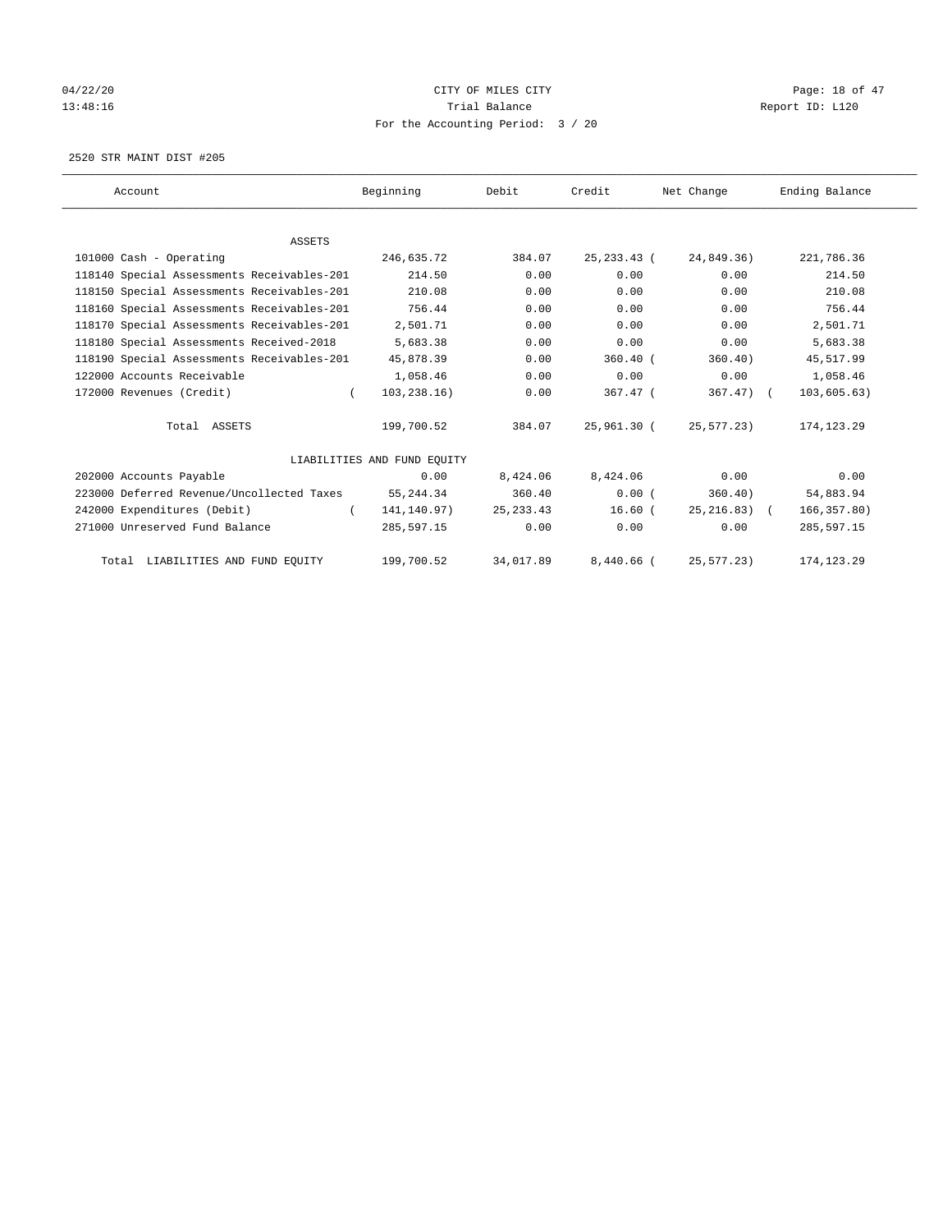# 04/22/20 Page: 18 of 47 13:48:16 Channel Balance Trial Balance Report ID: L120 For the Accounting Period: 3 / 20

2520 STR MAINT DIST #205

| Account                                    | Beginning                   | Debit      | Credit        | Net Change     | Ending Balance |
|--------------------------------------------|-----------------------------|------------|---------------|----------------|----------------|
|                                            |                             |            |               |                |                |
| <b>ASSETS</b>                              |                             |            |               |                |                |
| 101000 Cash - Operating                    | 246,635.72                  | 384.07     | 25, 233. 43 ( | 24,849.36)     | 221,786.36     |
| 118140 Special Assessments Receivables-201 | 214.50                      | 0.00       | 0.00          | 0.00           | 214.50         |
| 118150 Special Assessments Receivables-201 | 210.08                      | 0.00       | 0.00          | 0.00           | 210.08         |
| 118160 Special Assessments Receivables-201 | 756.44                      | 0.00       | 0.00          | 0.00           | 756.44         |
| 118170 Special Assessments Receivables-201 | 2,501.71                    | 0.00       | 0.00          | 0.00           | 2,501.71       |
| 118180 Special Assessments Received-2018   | 5,683.38                    | 0.00       | 0.00          | 0.00           | 5,683.38       |
| 118190 Special Assessments Receivables-201 | 45,878.39                   | 0.00       | $360.40$ (    | 360.40)        | 45,517.99      |
| 122000 Accounts Receivable                 | 1,058.46                    | 0.00       | 0.00          | 0.00           | 1,058.46       |
| 172000 Revenues (Credit)                   | 103, 238.16)<br>$\left($    | 0.00       | 367.47 (      | $367.47$ ) (   | 103, 605.63)   |
| Total ASSETS                               | 199,700.52                  | 384.07     | 25,961.30 (   | 25,577.23)     | 174, 123.29    |
|                                            | LIABILITIES AND FUND EQUITY |            |               |                |                |
| 202000 Accounts Payable                    | 0.00                        | 8,424.06   | 8,424.06      | 0.00           | 0.00           |
| 223000 Deferred Revenue/Uncollected Taxes  | 55, 244.34                  | 360.40     | 0.00(         | 360.40)        | 54,883.94      |
| 242000 Expenditures (Debit)                | 141,140.97)                 | 25, 233.43 | $16.60$ (     | $25, 216.83$ ( | 166, 357.80)   |
| 271000 Unreserved Fund Balance             | 285,597.15                  | 0.00       | 0.00          | 0.00           | 285,597.15     |
| Total LIABILITIES AND FUND EQUITY          | 199,700.52                  | 34,017.89  | $8,440.66$ (  | 25, 577.23     | 174, 123. 29   |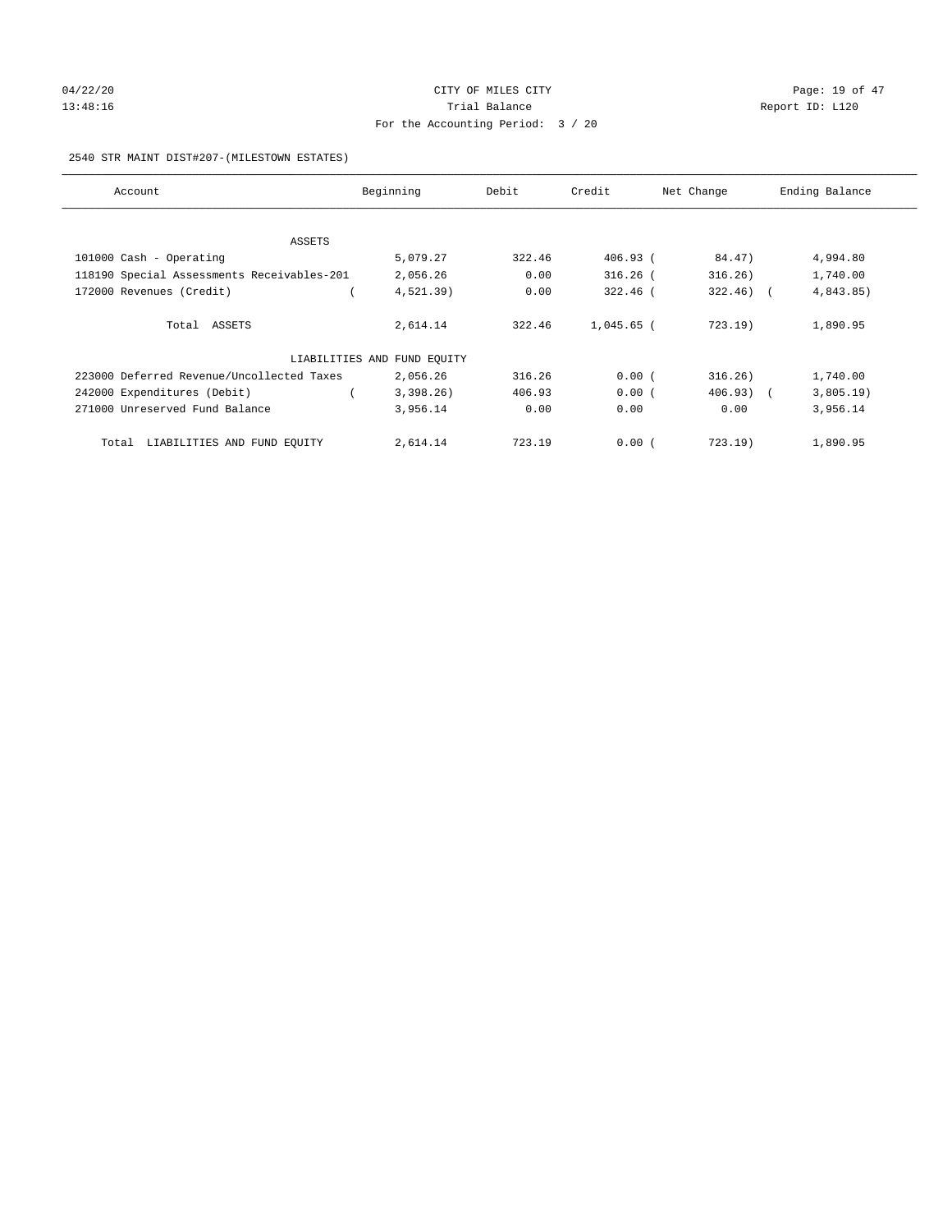## 04/22/20 **CITY OF MILES CITY CONSUMING THE PAGE:** 19 of 47 13:48:16 Channel Balance Trial Balance Report ID: L120 For the Accounting Period: 3 / 20

## 2540 STR MAINT DIST#207-(MILESTOWN ESTATES)

| Account                                    | Beginning                   | Debit  | Credit       | Net Change   | Ending Balance |
|--------------------------------------------|-----------------------------|--------|--------------|--------------|----------------|
|                                            |                             |        |              |              |                |
| ASSETS                                     |                             |        |              |              |                |
| 101000 Cash - Operating                    | 5,079.27                    | 322.46 | 406.93 (     | 84.47)       | 4,994.80       |
| 118190 Special Assessments Receivables-201 | 2,056.26                    | 0.00   | $316.26$ (   | 316.26)      | 1,740.00       |
| 172000 Revenues (Credit)                   | $4,521.39$ )                | 0.00   | $322.46$ (   | $322.46$ ) ( | 4,843.85)      |
| Total ASSETS                               | 2,614.14                    | 322.46 | $1,045.65$ ( | 723.19       | 1,890.95       |
|                                            | LIABILITIES AND FUND EQUITY |        |              |              |                |
| 223000 Deferred Revenue/Uncollected Taxes  | 2,056.26                    | 316.26 | 0.00(        | 316.26)      | 1,740.00       |
| 242000 Expenditures (Debit)                | 3,398.26                    | 406.93 | 0.00(        | 406.93) (    | 3,805.19)      |
| 271000 Unreserved Fund Balance             | 3,956.14                    | 0.00   | 0.00         | 0.00         | 3,956.14       |
| Total LIABILITIES AND FUND EOUITY          | 2,614.14                    | 723.19 | 0.00(        | $723.19$ )   | 1,890.95       |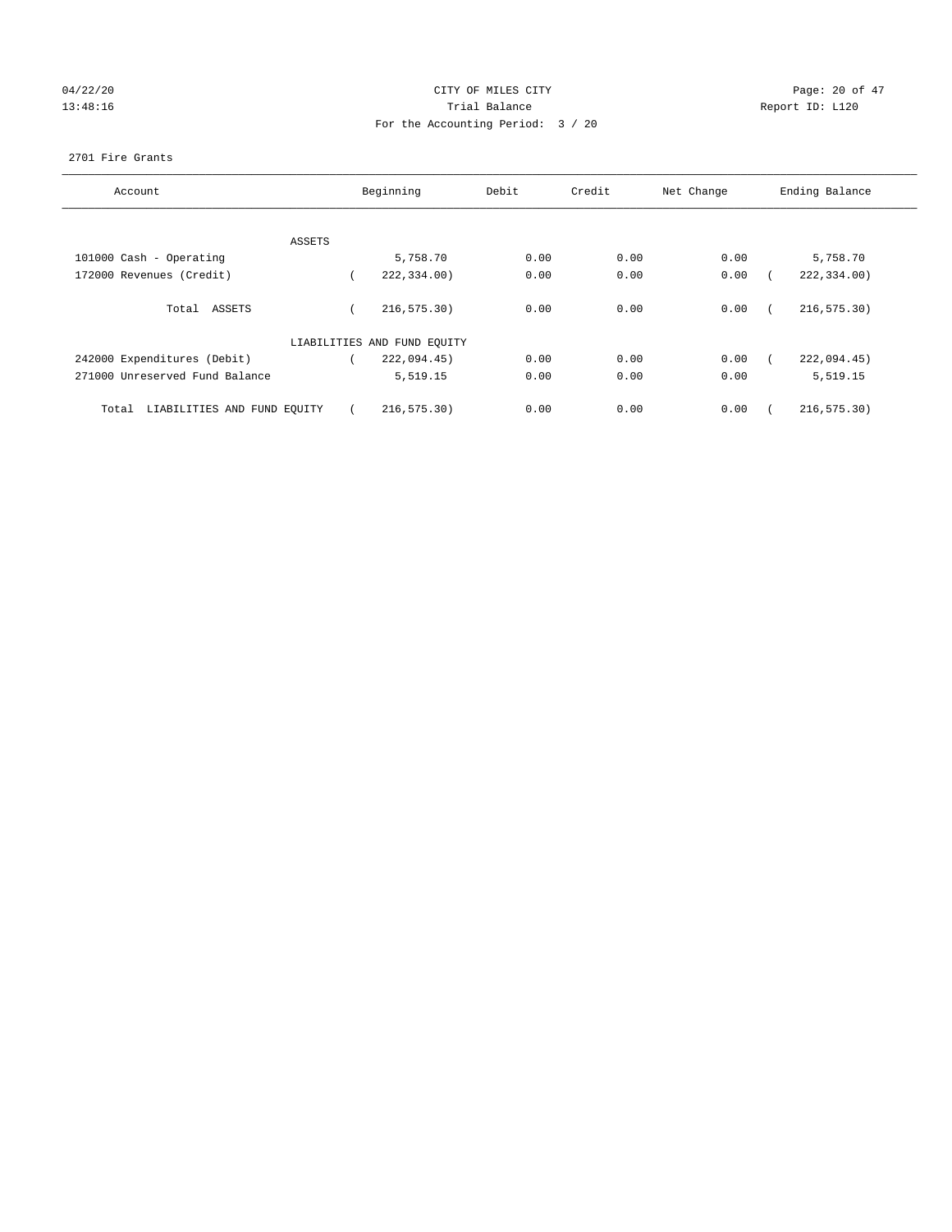# 04/22/20 Page: 20 of 47 13:48:16 Report ID: L120 For the Accounting Period: 3 / 20

## 2701 Fire Grants

| Account                              |        | Beginning                   | Debit | Credit | Net Change | Ending Balance |
|--------------------------------------|--------|-----------------------------|-------|--------|------------|----------------|
|                                      |        |                             |       |        |            |                |
|                                      | ASSETS |                             |       |        |            |                |
| 101000 Cash - Operating              |        | 5,758.70                    | 0.00  | 0.00   | 0.00       | 5,758.70       |
| 172000 Revenues (Credit)             |        | 222,334.00)                 | 0.00  | 0.00   | 0.00       | 222,334.00)    |
| Total ASSETS                         |        | 216, 575.30)                | 0.00  | 0.00   | 0.00       | 216, 575.30)   |
|                                      |        | LIABILITIES AND FUND EQUITY |       |        |            |                |
| 242000 Expenditures (Debit)          |        | 222,094.45)                 | 0.00  | 0.00   | 0.00       | 222,094.45)    |
| 271000 Unreserved Fund Balance       |        | 5,519.15                    | 0.00  | 0.00   | 0.00       | 5,519.15       |
| LIABILITIES AND FUND EQUITY<br>Total |        | 216, 575.30)                | 0.00  | 0.00   | 0.00       | 216, 575.30)   |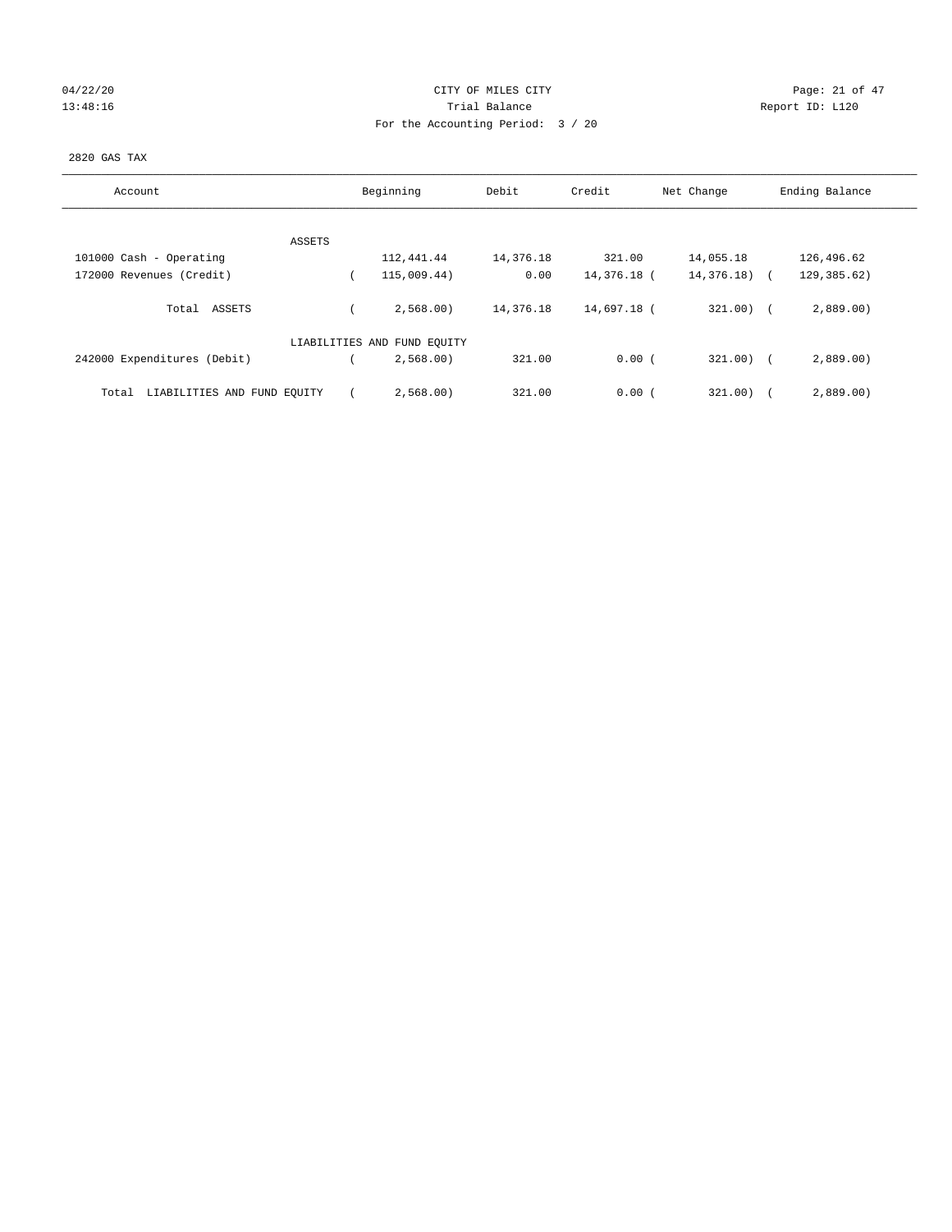# $04/22/20$  Page: 21 of 47 13:48:16 Channel Balance Trial Balance Report ID: L120 For the Accounting Period: 3 / 20

## 2820 GAS TAX

| Account                              | Beginning                   | Debit     | Credit      | Net Change    | Ending Balance |  |
|--------------------------------------|-----------------------------|-----------|-------------|---------------|----------------|--|
|                                      |                             |           |             |               |                |  |
| ASSETS                               |                             |           |             |               |                |  |
| 101000 Cash - Operating              | 112,441.44                  | 14,376.18 | 321.00      | 14,055.18     | 126,496.62     |  |
| 172000 Revenues (Credit)             | 115,009.44)                 | 0.00      | 14,376.18 ( | $14,376.18$ ( | 129,385.62)    |  |
| ASSETS<br>Total                      | 2,568.00                    | 14,376.18 | 14,697.18 ( | 321.00)       | 2,889.00       |  |
|                                      | LIABILITIES AND FUND EQUITY |           |             |               |                |  |
| 242000 Expenditures (Debit)          | 2,568.00                    | 321.00    | 0.00(       | $321.00$ )    | 2,889.00       |  |
| LIABILITIES AND FUND EQUITY<br>Total | 2,568.00)                   | 321.00    | 0.00(       | 321.00)       | 2,889.00       |  |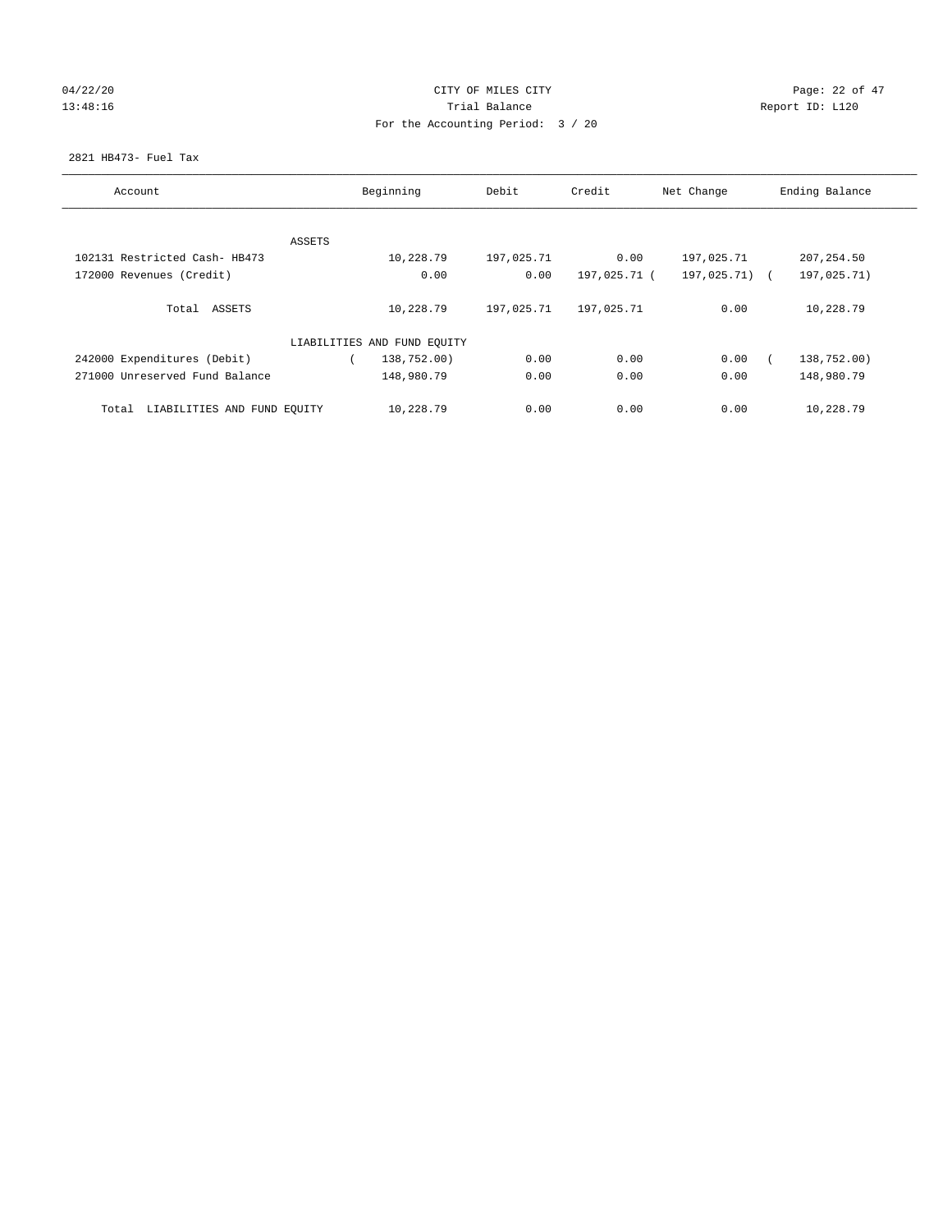## $04/22/20$  Page: 22 of 47 13:48:16 Channel Balance Trial Balance Report ID: L120 For the Accounting Period: 3 / 20

## 2821 HB473- Fuel Tax

| Account                              | Beginning |                             | Debit      | Credit       | Net Change    | Ending Balance |
|--------------------------------------|-----------|-----------------------------|------------|--------------|---------------|----------------|
|                                      |           |                             |            |              |               |                |
|                                      | ASSETS    |                             |            |              |               |                |
| 102131 Restricted Cash- HB473        |           | 10,228.79                   | 197,025.71 | 0.00         | 197,025.71    | 207, 254.50    |
| 172000 Revenues (Credit)             |           | 0.00                        | 0.00       | 197,025.71 ( | 197,025.71) ( | 197,025.71)    |
|                                      |           |                             |            |              |               |                |
| Total ASSETS                         |           | 10,228.79                   | 197,025.71 | 197,025.71   | 0.00          | 10,228.79      |
|                                      |           |                             |            |              |               |                |
|                                      |           | LIABILITIES AND FUND EQUITY |            |              |               |                |
| 242000 Expenditures (Debit)          |           | 138,752.00)                 | 0.00       | 0.00         | 0.00          | 138,752.00)    |
| 271000 Unreserved Fund Balance       |           | 148,980.79                  | 0.00       | 0.00         | 0.00          | 148,980.79     |
|                                      |           |                             |            |              |               |                |
| LIABILITIES AND FUND EQUITY<br>Total |           | 10,228.79                   | 0.00       | 0.00         | 0.00          | 10,228.79      |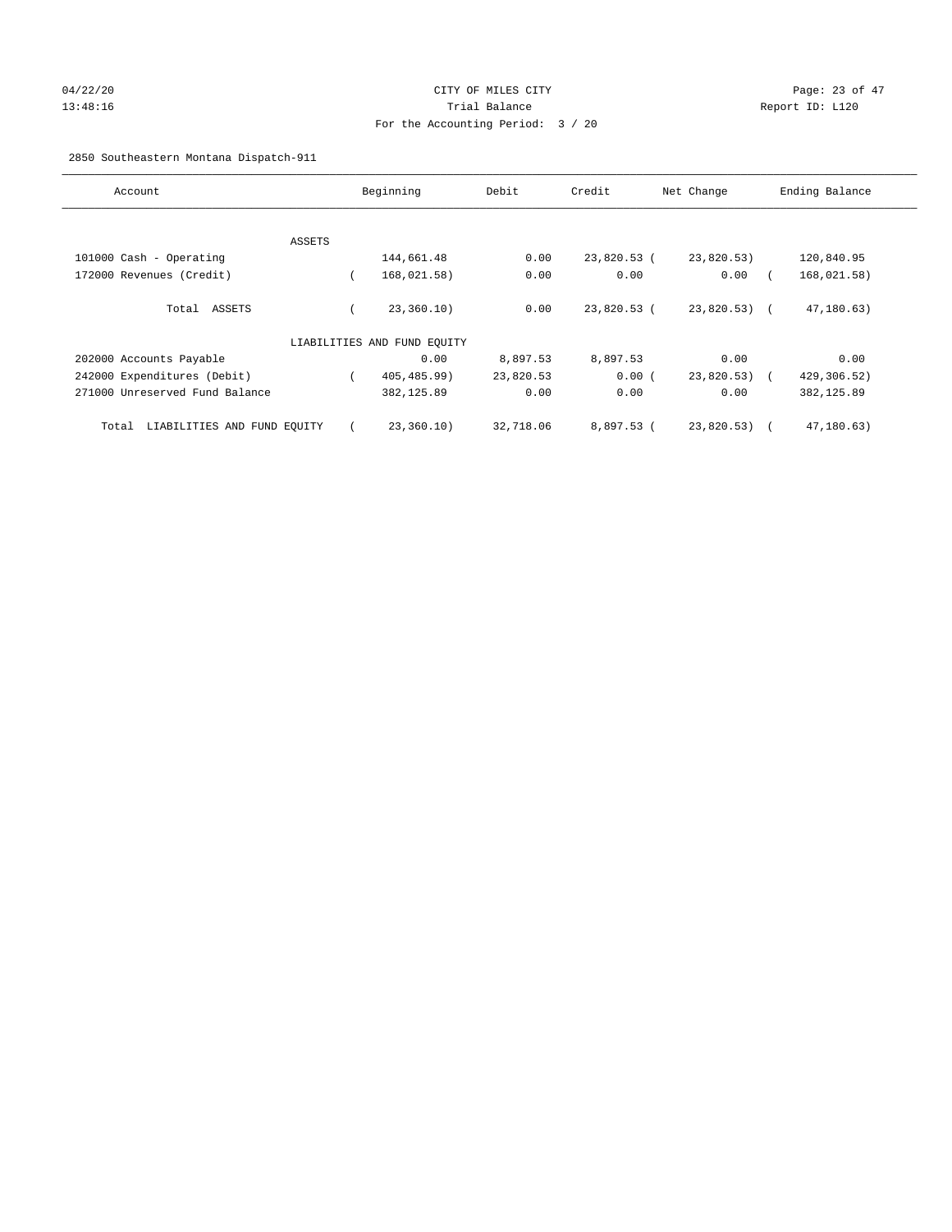## 04/22/20 Page: 23 of 47 13:48:16 Trial Balance Report ID: L120 For the Accounting Period: 3 / 20

2850 Southeastern Montana Dispatch-911

| Account                              |        | Beginning                   | Debit     | Credit      | Net Change    | Ending Balance |
|--------------------------------------|--------|-----------------------------|-----------|-------------|---------------|----------------|
|                                      |        |                             |           |             |               |                |
|                                      | ASSETS |                             |           |             |               |                |
| 101000 Cash - Operating              |        | 144,661.48                  | 0.00      | 23,820.53 ( | 23,820.53)    | 120,840.95     |
| 172000 Revenues (Credit)             |        | 168,021.58)                 | 0.00      | 0.00        | 0.00          | 168,021.58)    |
| Total ASSETS                         |        | 23,360.10)                  | 0.00      | 23,820.53 ( | $23,820.53$ ( | 47,180.63)     |
|                                      |        | LIABILITIES AND FUND EQUITY |           |             |               |                |
| 202000 Accounts Payable              |        | 0.00                        | 8,897.53  | 8,897.53    | 0.00          | 0.00           |
| 242000 Expenditures (Debit)          |        | 405, 485.99)                | 23,820.53 | 0.00(       | 23,820.53)    | 429,306.52)    |
| 271000 Unreserved Fund Balance       |        | 382,125.89                  | 0.00      | 0.00        | 0.00          | 382, 125.89    |
| LIABILITIES AND FUND EOUITY<br>Total |        | 23,360.10)                  | 32,718.06 | 8,897.53 (  | 23,820.53)    | 47,180.63)     |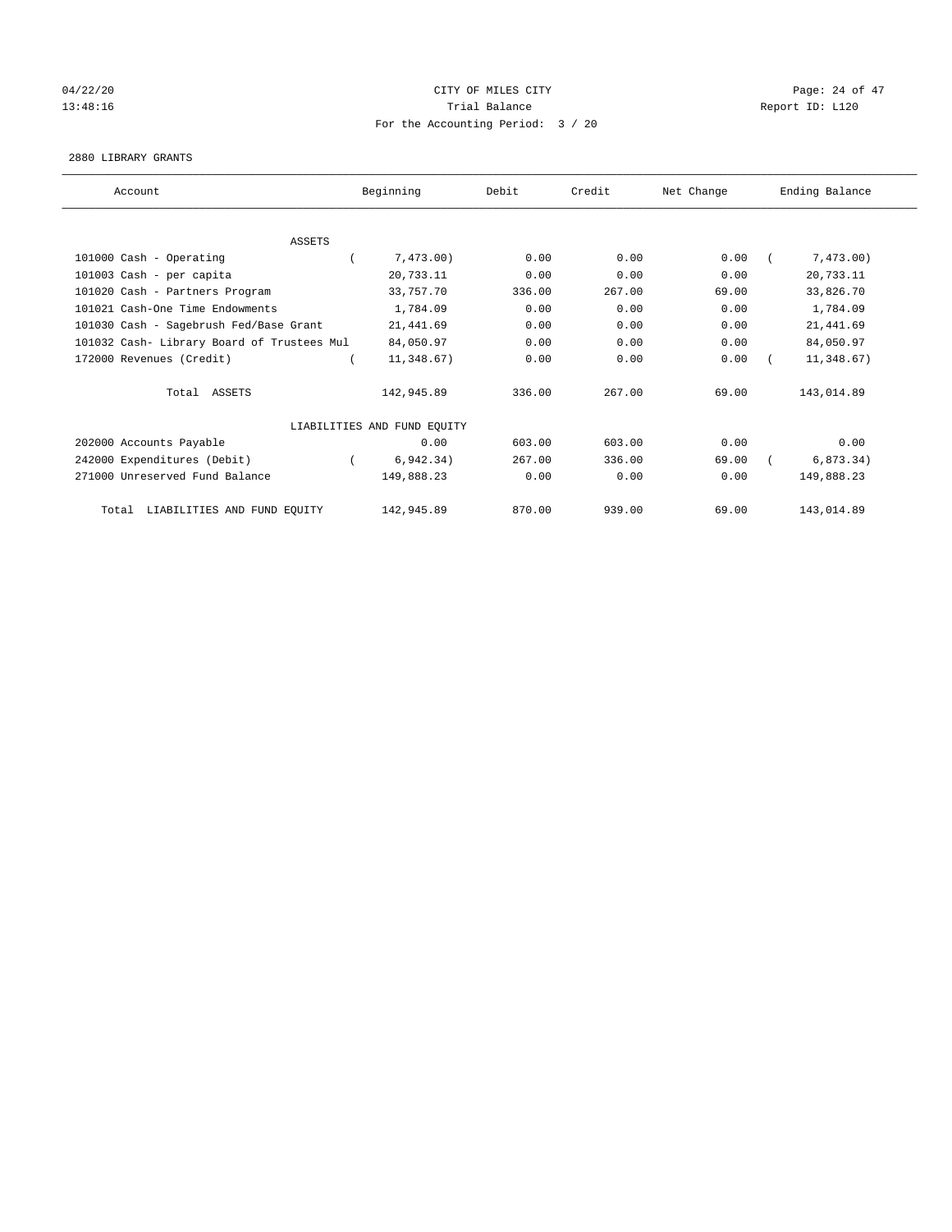## $04/22/20$  Page: 24 of 47 13:48:16 Report ID: L120 For the Accounting Period: 3 / 20

#### 2880 LIBRARY GRANTS

| Account                                    |  | Beginning                   | Debit<br>Credit |        | Net Change | Ending Balance |            |
|--------------------------------------------|--|-----------------------------|-----------------|--------|------------|----------------|------------|
|                                            |  |                             |                 |        |            |                |            |
| <b>ASSETS</b>                              |  |                             |                 |        |            |                |            |
| 101000 Cash - Operating                    |  | 7,473.00)                   | 0.00            | 0.00   | 0.00       |                | 7,473.00)  |
| 101003 Cash - per capita                   |  | 20,733.11                   | 0.00            | 0.00   | 0.00       |                | 20,733.11  |
| 101020 Cash - Partners Program             |  | 33,757.70                   | 336.00          | 267.00 | 69.00      |                | 33,826.70  |
| 101021 Cash-One Time Endowments            |  | 1,784.09                    | 0.00            | 0.00   | 0.00       |                | 1,784.09   |
| 101030 Cash - Sagebrush Fed/Base Grant     |  | 21,441.69                   | 0.00            | 0.00   | 0.00       |                | 21, 441.69 |
| 101032 Cash- Library Board of Trustees Mul |  | 84,050.97                   | 0.00            | 0.00   | 0.00       |                | 84,050.97  |
| 172000 Revenues (Credit)                   |  | 11,348.67)                  | 0.00            | 0.00   | 0.00       |                | 11,348.67) |
| Total ASSETS                               |  | 142,945.89                  | 336.00          | 267.00 | 69.00      |                | 143,014.89 |
|                                            |  | LIABILITIES AND FUND EQUITY |                 |        |            |                |            |
| 202000 Accounts Payable                    |  | 0.00                        | 603.00          | 603.00 | 0.00       |                | 0.00       |
| 242000 Expenditures (Debit)                |  | 6, 942.34)                  | 267.00          | 336.00 | 69.00      |                | 6, 873.34) |
| 271000 Unreserved Fund Balance             |  | 149,888.23                  | 0.00            | 0.00   | 0.00       |                | 149,888.23 |
| LIABILITIES AND FUND EQUITY<br>Total       |  | 142,945.89                  | 870.00          | 939.00 | 69.00      |                | 143,014.89 |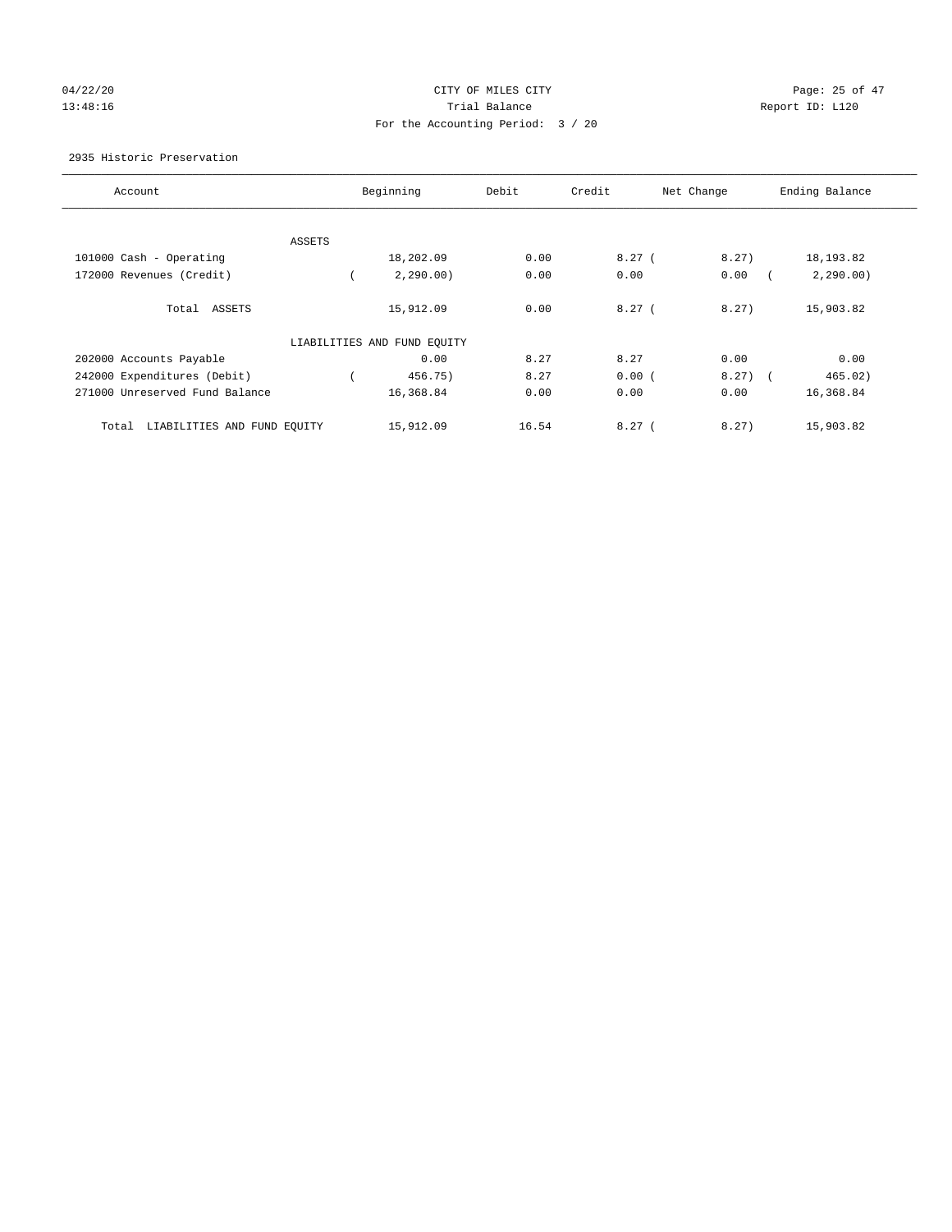# 04/22/20 Page: 25 of 47 13:48:16 Trial Balance Report ID: L120 For the Accounting Period: 3 / 20

## 2935 Historic Preservation

| Account                              |        | Beginning                   | Debit | Credit | Net Change | Ending Balance |
|--------------------------------------|--------|-----------------------------|-------|--------|------------|----------------|
|                                      |        |                             |       |        |            |                |
|                                      | ASSETS |                             |       |        |            |                |
| 101000 Cash - Operating              |        | 18,202.09                   | 0.00  | 8.27(  | 8.27)      | 18, 193.82     |
| 172000 Revenues (Credit)             |        | 2, 290.00)                  | 0.00  | 0.00   | 0.00       | 2, 290.00)     |
| Total ASSETS                         |        | 15,912.09                   | 0.00  | 8.27(  | 8.27       | 15,903.82      |
|                                      |        | LIABILITIES AND FUND EQUITY |       |        |            |                |
| 202000 Accounts Payable              |        | 0.00                        | 8.27  | 8.27   | 0.00       | 0.00           |
| 242000 Expenditures (Debit)          |        | 456.75)                     | 8.27  | 0.00(  | $8.27$ (   | 465.02)        |
| 271000 Unreserved Fund Balance       |        | 16,368.84                   | 0.00  | 0.00   | 0.00       | 16,368.84      |
| LIABILITIES AND FUND EQUITY<br>Total |        | 15,912.09                   | 16.54 | 8.27(  | 8.27)      | 15,903.82      |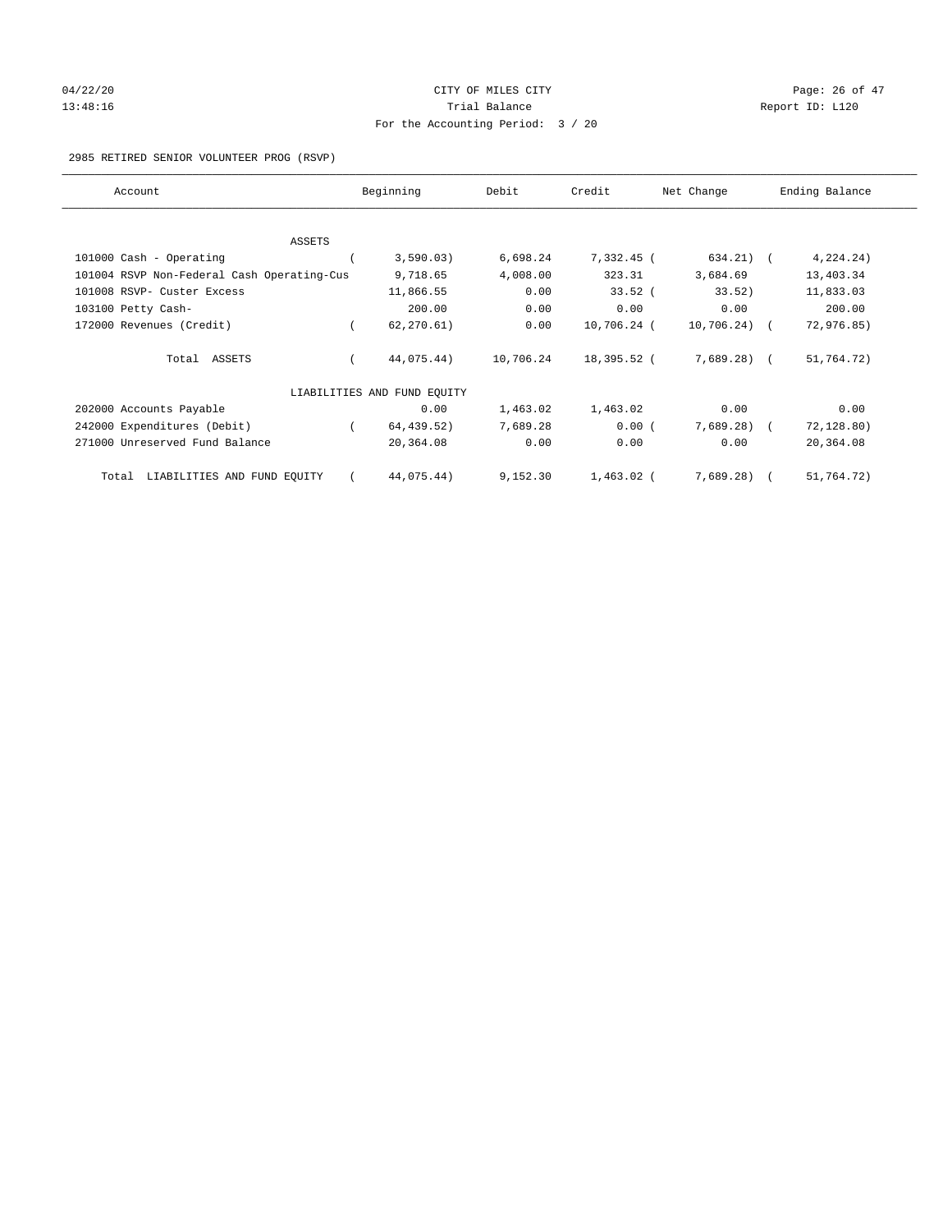## $04/22/20$  Page: 26 of 47 13:48:16 Report ID: L120 For the Accounting Period: 3 / 20

2985 RETIRED SENIOR VOLUNTEER PROG (RSVP)

| Account                                    | Beginning                   | Debit     | Credit       | Net Change    | Ending Balance |
|--------------------------------------------|-----------------------------|-----------|--------------|---------------|----------------|
|                                            |                             |           |              |               |                |
| <b>ASSETS</b>                              |                             |           |              | $634.21)$ (   |                |
| 101000 Cash - Operating                    | 3,590.03)                   | 6,698.24  | 7,332.45 (   |               | 4, 224.24)     |
| 101004 RSVP Non-Federal Cash Operating-Cus | 9,718.65                    | 4,008.00  | 323.31       | 3,684.69      | 13,403.34      |
| 101008 RSVP- Custer Excess                 | 11,866.55                   | 0.00      | $33.52$ (    | 33.52)        | 11,833.03      |
| 103100 Petty Cash-                         | 200.00                      | 0.00      | 0.00         | 0.00          | 200.00         |
| 172000 Revenues (Credit)                   | 62, 270.61)                 | 0.00      | 10,706.24 (  | $10,706.24$ ( | 72,976.85)     |
| Total ASSETS                               | 44,075.44)                  | 10,706.24 | 18,395.52 (  | $7,689.28$ (  | 51,764.72)     |
|                                            | LIABILITIES AND FUND EQUITY |           |              |               |                |
| 202000 Accounts Payable                    | 0.00                        | 1,463.02  | 1,463.02     | 0.00          | 0.00           |
| 242000 Expenditures (Debit)                | 64,439.52)                  | 7,689.28  | 0.00(        | 7,689.28)     | 72,128.80)     |
| 271000 Unreserved Fund Balance             | 20,364.08                   | 0.00      | 0.00         | 0.00          | 20,364.08      |
| LIABILITIES AND FUND EQUITY<br>Total       | 44,075.44)                  | 9,152.30  | $1,463.02$ ( | $7,689.28$ (  | 51,764.72)     |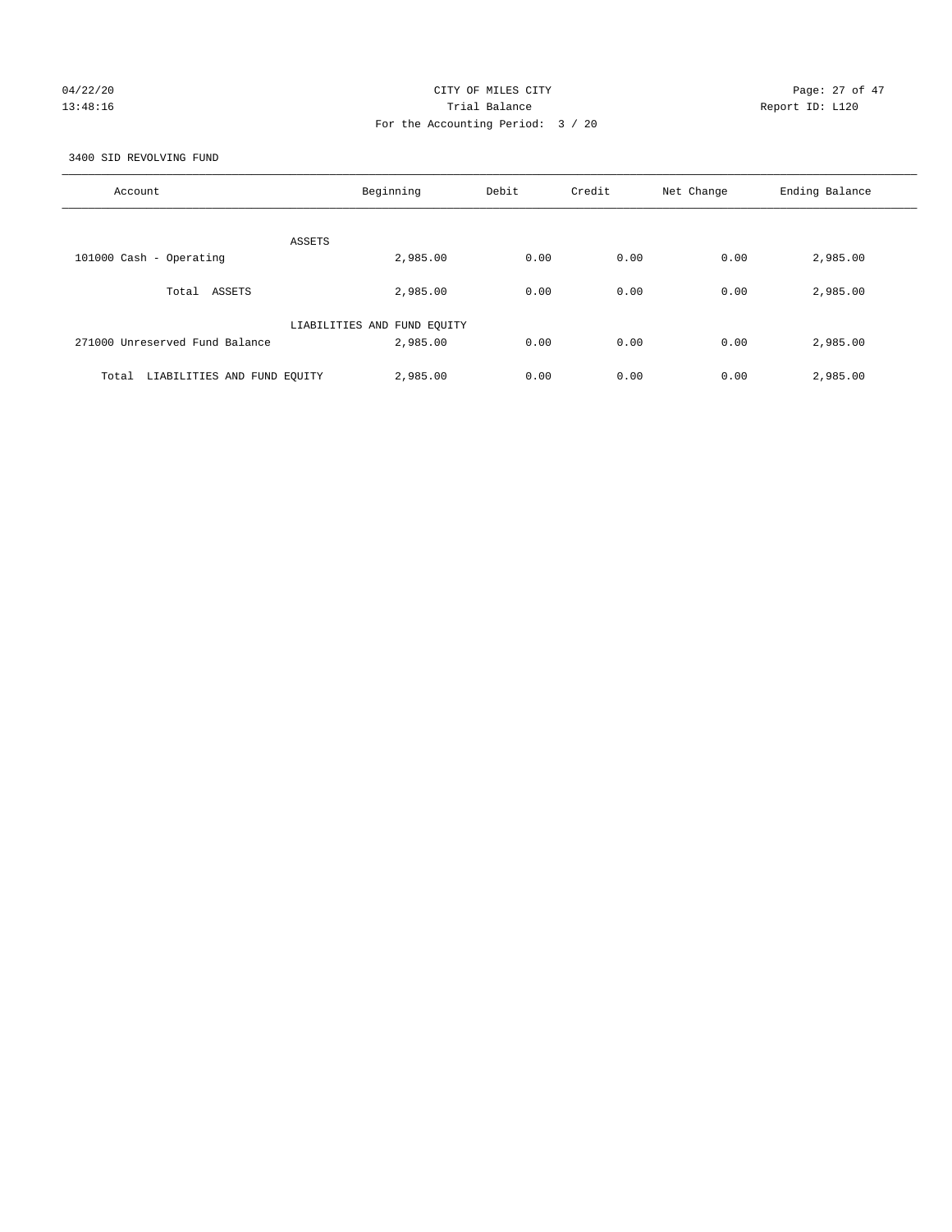# 04/22/20 Page: 27 of 47 13:48:16 Trial Balance Report ID: L120 For the Accounting Period: 3 / 20

3400 SID REVOLVING FUND

| Account                              | Beginning                   | Debit | Credit | Net Change | Ending Balance |
|--------------------------------------|-----------------------------|-------|--------|------------|----------------|
| ASSETS                               |                             |       |        |            |                |
| 101000 Cash - Operating              | 2,985.00                    | 0.00  | 0.00   | 0.00       | 2,985.00       |
| Total ASSETS                         | 2,985.00                    | 0.00  | 0.00   | 0.00       | 2,985.00       |
|                                      | LIABILITIES AND FUND EQUITY |       |        |            |                |
| 271000 Unreserved Fund Balance       | 2,985.00                    | 0.00  | 0.00   | 0.00       | 2,985.00       |
| LIABILITIES AND FUND EQUITY<br>Total | 2,985.00                    | 0.00  | 0.00   | 0.00       | 2,985.00       |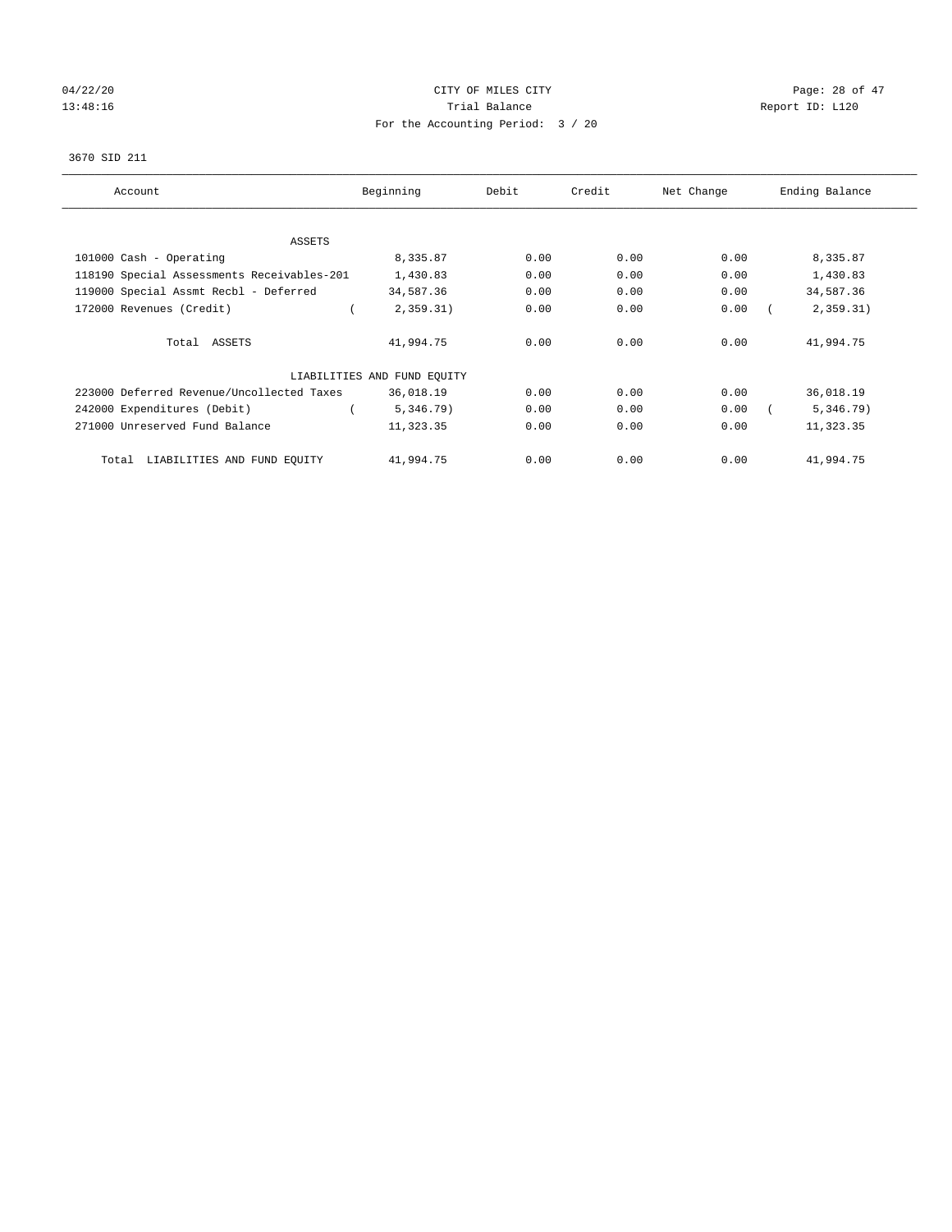# 04/22/20 Page: 28 of 47 13:48:16 Channel Balance Trial Balance Report ID: L120 For the Accounting Period: 3 / 20

## 3670 SID 211

| Account                                    | Beginning                   | Debit | Credit | Net Change | Ending Balance |
|--------------------------------------------|-----------------------------|-------|--------|------------|----------------|
| <b>ASSETS</b>                              |                             |       |        |            |                |
| 101000 Cash - Operating                    | 8,335.87                    | 0.00  | 0.00   | 0.00       | 8,335.87       |
| 118190 Special Assessments Receivables-201 | 1,430.83                    | 0.00  | 0.00   | 0.00       | 1,430.83       |
| 119000 Special Assmt Recbl - Deferred      | 34,587.36                   | 0.00  | 0.00   | 0.00       | 34,587.36      |
| 172000 Revenues (Credit)                   | 2,359.31)                   | 0.00  | 0.00   | 0.00       | 2,359.31)      |
| Total ASSETS                               | 41,994.75                   | 0.00  | 0.00   | 0.00       | 41,994.75      |
|                                            | LIABILITIES AND FUND EQUITY |       |        |            |                |
| 223000 Deferred Revenue/Uncollected Taxes  | 36,018.19                   | 0.00  | 0.00   | 0.00       | 36,018.19      |
| 242000 Expenditures (Debit)                | 5,346.79)                   | 0.00  | 0.00   | 0.00       | 5,346.79)      |
| 271000 Unreserved Fund Balance             | 11,323.35                   | 0.00  | 0.00   | 0.00       | 11,323.35      |
| LIABILITIES AND FUND EQUITY<br>Total       | 41,994.75                   | 0.00  | 0.00   | 0.00       | 41,994.75      |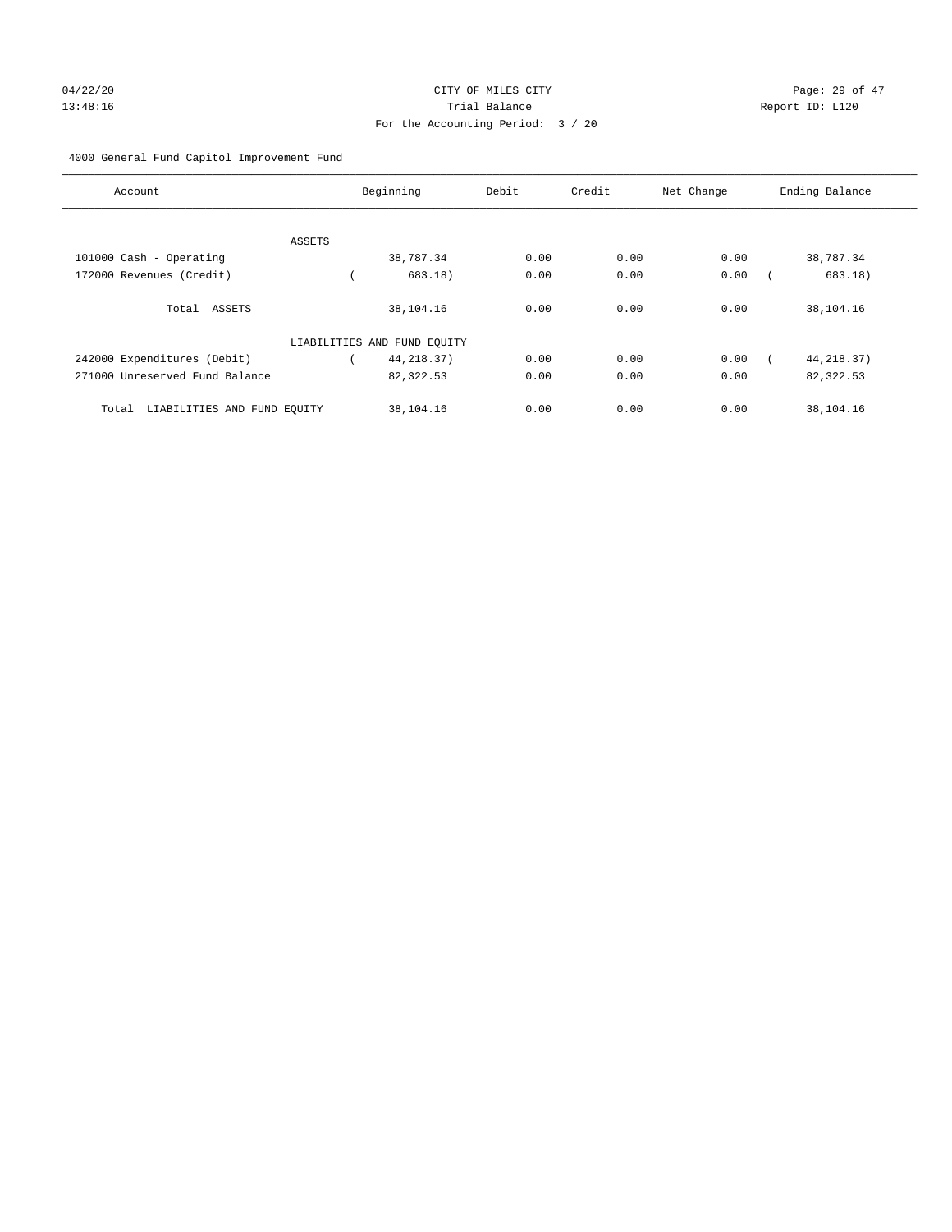## 04/22/20 **CITY OF MILES CITY CITY CITY Page: 29 of 47** 13:48:16 Trial Balance Report ID: L120 For the Accounting Period: 3 / 20

## 4000 General Fund Capitol Improvement Fund

| Account                              |        | Beginning                   | Debit | Credit | Net Change | Ending Balance |
|--------------------------------------|--------|-----------------------------|-------|--------|------------|----------------|
|                                      |        |                             |       |        |            |                |
| 101000 Cash - Operating              | ASSETS | 38,787.34                   | 0.00  | 0.00   | 0.00       | 38,787.34      |
|                                      |        |                             |       |        |            |                |
| 172000 Revenues (Credit)             |        | 683.18)                     | 0.00  | 0.00   | 0.00       | 683.18)        |
| Total ASSETS                         |        | 38,104.16                   | 0.00  | 0.00   | 0.00       | 38,104.16      |
|                                      |        | LIABILITIES AND FUND EQUITY |       |        |            |                |
| 242000 Expenditures (Debit)          |        | 44, 218.37)                 | 0.00  | 0.00   | 0.00       | 44, 218.37)    |
| 271000 Unreserved Fund Balance       |        | 82,322.53                   | 0.00  | 0.00   | 0.00       | 82,322.53      |
| LIABILITIES AND FUND EQUITY<br>Total |        | 38,104.16                   | 0.00  | 0.00   | 0.00       | 38,104.16      |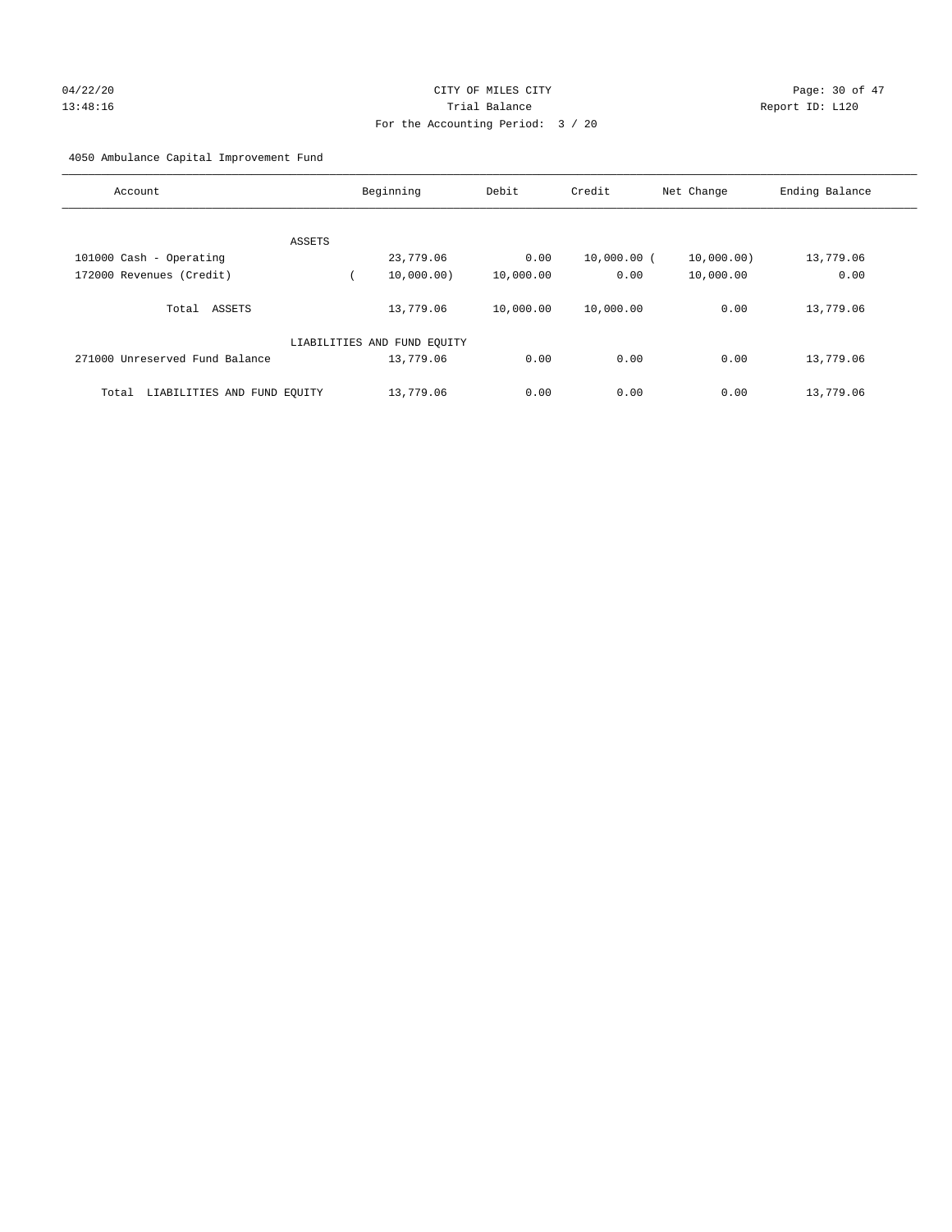## 04/22/20 Page: 30 of 47 13:48:16 Trial Balance Report ID: L120 For the Accounting Period: 3 / 20

4050 Ambulance Capital Improvement Fund

| Account                              | Beginning                   | Debit     | Credit      | Net Change | Ending Balance |
|--------------------------------------|-----------------------------|-----------|-------------|------------|----------------|
|                                      |                             |           |             |            |                |
| ASSETS                               |                             |           |             |            |                |
| 101000 Cash - Operating              | 23,779.06                   | 0.00      | 10,000.00 ( | 10,000.00) | 13,779.06      |
| 172000 Revenues (Credit)             | 10,000.00)                  | 10,000.00 | 0.00        | 10,000.00  | 0.00           |
| Total ASSETS                         | 13,779.06                   | 10,000.00 | 10,000.00   | 0.00       | 13,779.06      |
|                                      |                             |           |             |            |                |
|                                      | LIABILITIES AND FUND EQUITY |           |             |            |                |
| 271000 Unreserved Fund Balance       | 13,779.06                   | 0.00      | 0.00        | 0.00       | 13,779.06      |
|                                      |                             |           |             |            |                |
| LIABILITIES AND FUND EQUITY<br>Total | 13,779.06                   | 0.00      | 0.00        | 0.00       | 13,779.06      |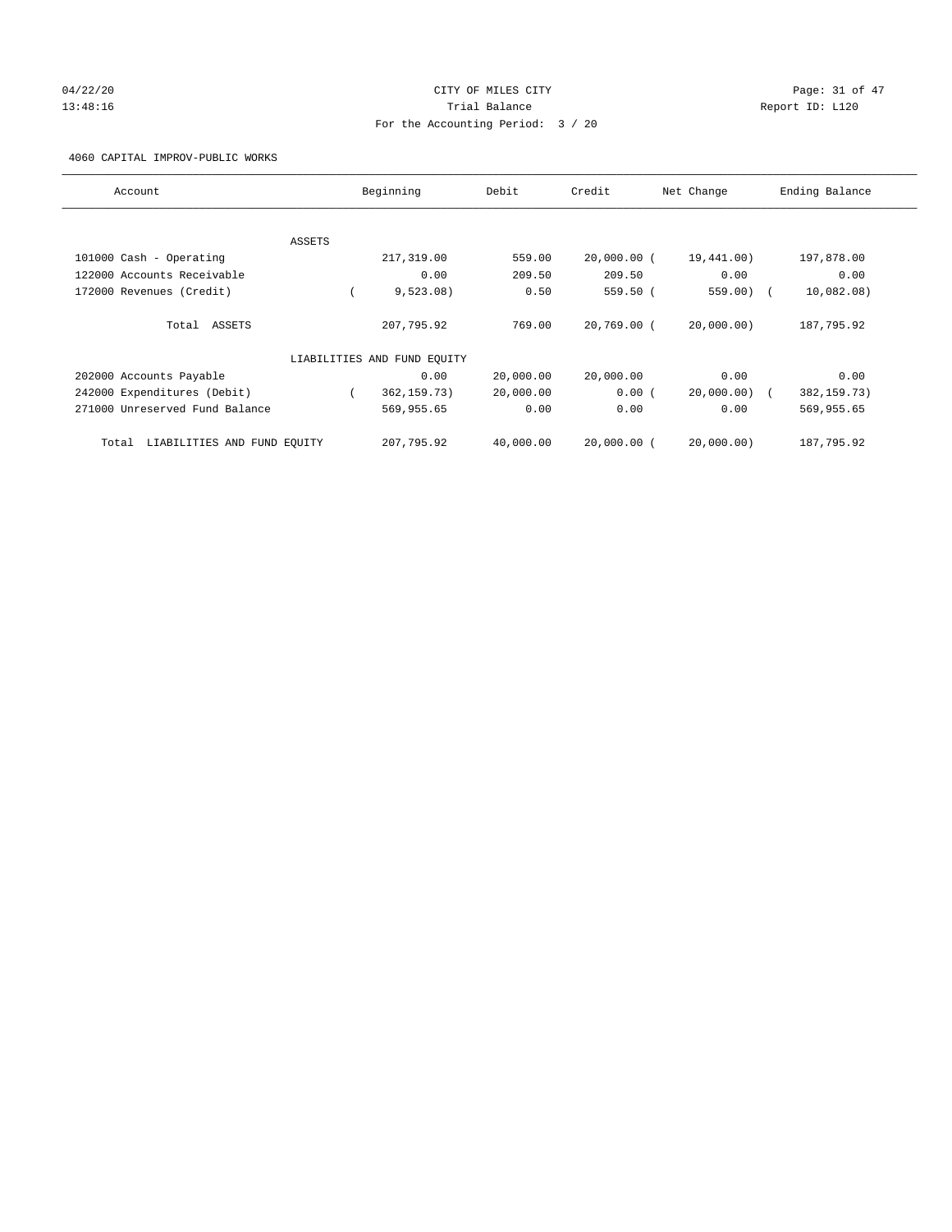## 04/22/20 **CITY OF MILES CITY CONSUMING THE PAGE:** 31 of 47 13:48:16 Channel Balance Trial Balance Report ID: L120 For the Accounting Period: 3 / 20

## 4060 CAPITAL IMPROV-PUBLIC WORKS

| Account                           | Beginning                   | Debit     | Credit        | Net Change   | Ending Balance |
|-----------------------------------|-----------------------------|-----------|---------------|--------------|----------------|
|                                   |                             |           |               |              |                |
| ASSETS                            |                             |           |               |              |                |
| 101000 Cash - Operating           | 217,319.00                  | 559.00    | $20,000.00$ ( | 19,441.00)   | 197,878.00     |
| 122000 Accounts Receivable        | 0.00                        | 209.50    | 209.50        | 0.00         | 0.00           |
| 172000 Revenues (Credit)          | 9,523.08)                   | 0.50      | 559.50 (      | $559.00$ ) ( | 10,082.08)     |
| Total ASSETS                      | 207,795.92                  | 769.00    | 20,769.00 (   | 20,000.00)   | 187,795.92     |
|                                   | LIABILITIES AND FUND EQUITY |           |               |              |                |
| 202000 Accounts Payable           | 0.00                        | 20,000.00 | 20,000.00     | 0.00         | 0.00           |
| 242000 Expenditures (Debit)       | 362, 159. 73)               | 20,000.00 | 0.00(         | 20,000.00) ( | 382, 159. 73)  |
| 271000 Unreserved Fund Balance    | 569,955.65                  | 0.00      | 0.00          | 0.00         | 569,955.65     |
| Total LIABILITIES AND FUND EOUITY | 207,795.92                  | 40,000.00 | $20.000.00$ ( | 20.000.00    | 187,795.92     |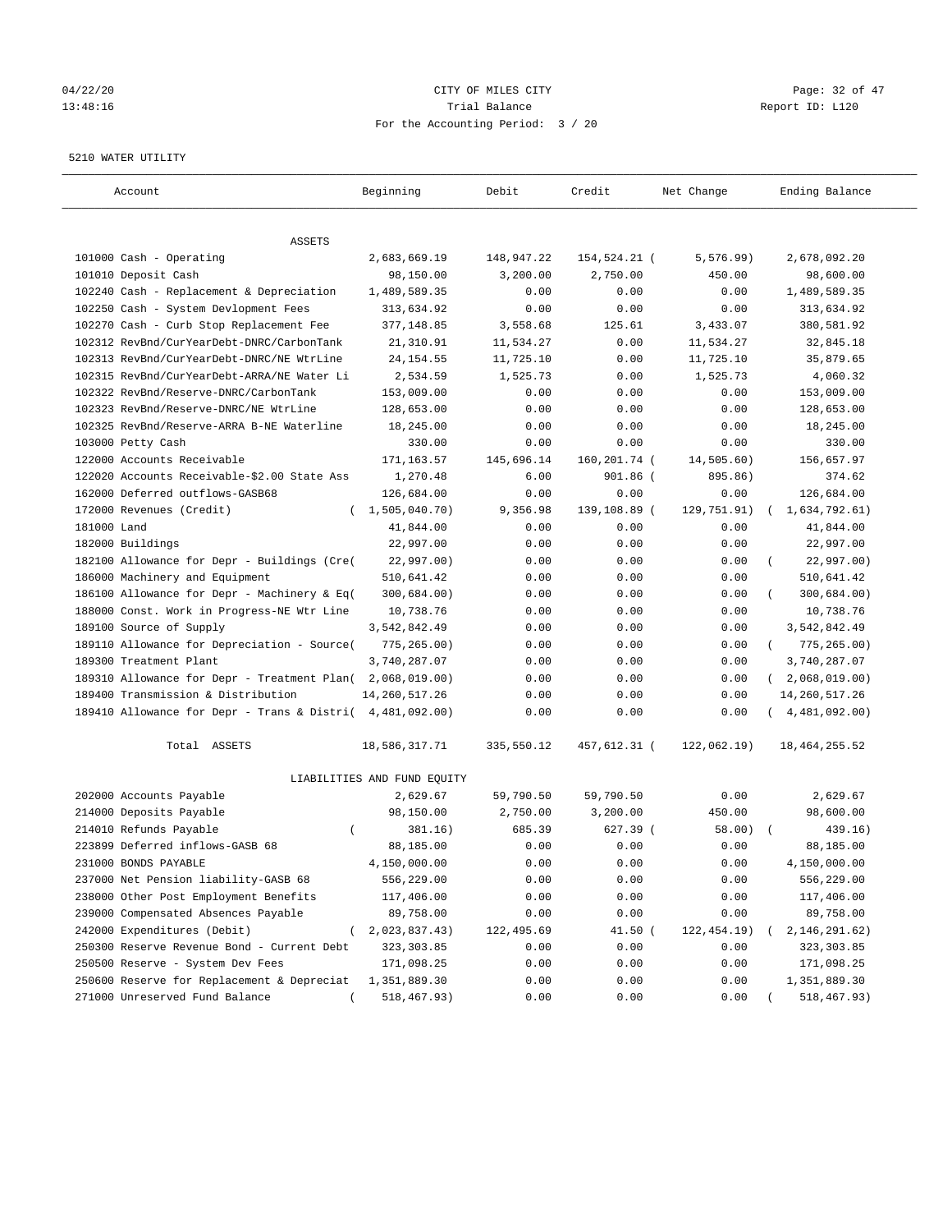## $04/22/20$  Page: 32 of 47 13:48:16 Trial Balance Report ID: L120 For the Accounting Period: 3 / 20

#### 5210 WATER UTILITY

| Account                                                                           | Beginning                   | Debit      | Credit       | Net Change   | Ending Balance              |
|-----------------------------------------------------------------------------------|-----------------------------|------------|--------------|--------------|-----------------------------|
| ASSETS                                                                            |                             |            |              |              |                             |
| 101000 Cash - Operating                                                           | 2,683,669.19                | 148,947.22 | 154,524.21 ( | 5, 576.99)   | 2,678,092.20                |
| 101010 Deposit Cash                                                               | 98,150.00                   | 3,200.00   | 2,750.00     | 450.00       | 98,600.00                   |
| 102240 Cash - Replacement & Depreciation                                          | 1,489,589.35                | 0.00       | 0.00         | 0.00         | 1,489,589.35                |
| 102250 Cash - System Devlopment Fees                                              | 313,634.92                  | 0.00       | 0.00         | 0.00         | 313,634.92                  |
| 102270 Cash - Curb Stop Replacement Fee                                           | 377,148.85                  | 3,558.68   | 125.61       | 3,433.07     | 380,581.92                  |
| 102312 RevBnd/CurYearDebt-DNRC/CarbonTank                                         | 21,310.91                   | 11,534.27  | 0.00         | 11,534.27    | 32,845.18                   |
| 102313 RevBnd/CurYearDebt-DNRC/NE WtrLine                                         | 24, 154.55                  | 11,725.10  | 0.00         | 11,725.10    | 35,879.65                   |
| 102315 RevBnd/CurYearDebt-ARRA/NE Water Li                                        | 2,534.59                    | 1,525.73   | 0.00         | 1,525.73     | 4,060.32                    |
| 102322 RevBnd/Reserve-DNRC/CarbonTank                                             | 153,009.00                  | 0.00       | 0.00         | 0.00         | 153,009.00                  |
| 102323 RevBnd/Reserve-DNRC/NE WtrLine                                             | 128,653.00                  | 0.00       | 0.00         | 0.00         | 128,653.00                  |
| 102325 RevBnd/Reserve-ARRA B-NE Waterline                                         | 18,245.00                   | 0.00       | 0.00         | 0.00         | 18,245.00                   |
| 103000 Petty Cash                                                                 | 330.00                      | 0.00       | 0.00         | 0.00         | 330.00                      |
| 122000 Accounts Receivable                                                        | 171, 163.57                 | 145,696.14 | 160,201.74 ( | 14,505.60)   | 156,657.97                  |
| 122020 Accounts Receivable-\$2.00 State Ass                                       | 1,270.48                    | 6.00       | $901.86$ (   | 895.86)      | 374.62                      |
| 162000 Deferred outflows-GASB68                                                   | 126,684.00                  | 0.00       | 0.00         | 0.00         | 126,684.00                  |
| 172000 Revenues (Credit)                                                          | (1, 505, 040.70)            | 9,356.98   | 139,108.89 ( | 129,751.91)  | 1,634,792.61)               |
| 181000 Land                                                                       | 41,844.00                   | 0.00       | 0.00         | 0.00         | 41,844.00                   |
| 182000 Buildings                                                                  | 22,997.00                   | 0.00       | 0.00         | 0.00         | 22,997.00                   |
| 182100 Allowance for Depr - Buildings (Cre(                                       | 22,997.00)                  | 0.00       | 0.00         | 0.00         | 22,997.00)                  |
| 186000 Machinery and Equipment                                                    | 510,641.42                  | 0.00       | 0.00         | 0.00         | 510,641.42                  |
| 186100 Allowance for Depr - Machinery & Eq(                                       | 300,684.00)                 | 0.00       | 0.00         | 0.00         | 300,684.00)                 |
| 188000 Const. Work in Progress-NE Wtr Line                                        | 10,738.76                   | 0.00       | 0.00         | 0.00         | 10,738.76                   |
| 189100 Source of Supply                                                           | 3,542,842.49                | 0.00       | 0.00         | 0.00         | 3,542,842.49                |
| 189110 Allowance for Depreciation - Source(                                       |                             | 0.00       | 0.00         | 0.00         | $\left($                    |
| 189300 Treatment Plant                                                            | 775,265.00)<br>3,740,287.07 | 0.00       | 0.00         | 0.00         | 775,265.00)<br>3,740,287.07 |
|                                                                                   |                             |            |              | 0.00         | $\sqrt{2}$                  |
| 189310 Allowance for Depr - Treatment Plan(<br>189400 Transmission & Distribution | 2,068,019.00)               | 0.00       | 0.00         |              | 2,068,019.00)               |
|                                                                                   | 14, 260, 517.26             | 0.00       | 0.00         | 0.00         | 14, 260, 517. 26            |
| 189410 Allowance for Depr - Trans & Distri( 4,481,092.00)                         |                             | 0.00       | 0.00         | 0.00         | 4,481,092.00)               |
| Total ASSETS                                                                      | 18,586,317.71               | 335,550.12 | 457,612.31 ( | 122,062.19)  | 18, 464, 255.52             |
|                                                                                   | LIABILITIES AND FUND EQUITY |            |              |              |                             |
| 202000 Accounts Payable                                                           | 2,629.67                    | 59,790.50  | 59,790.50    | 0.00         | 2,629.67                    |
| 214000 Deposits Payable                                                           | 98,150.00                   | 2,750.00   | 3,200.00     | 450.00       | 98,600.00                   |
| 214010 Refunds Payable<br>$\left($                                                | 381.16)                     | 685.39     | 627.39 (     | 58.00)       | 439.16)                     |
| 223899 Deferred inflows-GASB 68                                                   | 88,185.00                   | 0.00       | 0.00         | 0.00         | 88,185.00                   |
| 231000 BONDS PAYABLE                                                              | 4,150,000.00                | 0.00       | 0.00         | 0.00         | 4,150,000.00                |
| 237000 Net Pension liability-GASB 68                                              | 556,229.00                  | 0.00       | 0.00         | 0.00         | 556,229.00                  |
| 238000 Other Post Employment Benefits                                             | 117,406.00                  | 0.00       | 0.00         | 0.00         | 117,406.00                  |
| 239000 Compensated Absences Payable                                               | 89,758.00                   | 0.00       | 0.00         | 0.00         | 89,758.00                   |
| 242000 Expenditures (Debit)                                                       | 2,023,837.43)               | 122,495.69 | 41.50 (      | 122, 454.19) | 2, 146, 291.62)             |
| 250300 Reserve Revenue Bond - Current Debt                                        | 323, 303.85                 | 0.00       | 0.00         | 0.00         | 323, 303.85                 |
| 250500 Reserve - System Dev Fees                                                  | 171,098.25                  | 0.00       | 0.00         | 0.00         | 171,098.25                  |
| 250600 Reserve for Replacement & Depreciat                                        | 1,351,889.30                | 0.00       | 0.00         | 0.00         | 1,351,889.30                |
| 271000 Unreserved Fund Balance                                                    | 518,467.93)                 | 0.00       | 0.00         | 0.00         | 518,467.93)                 |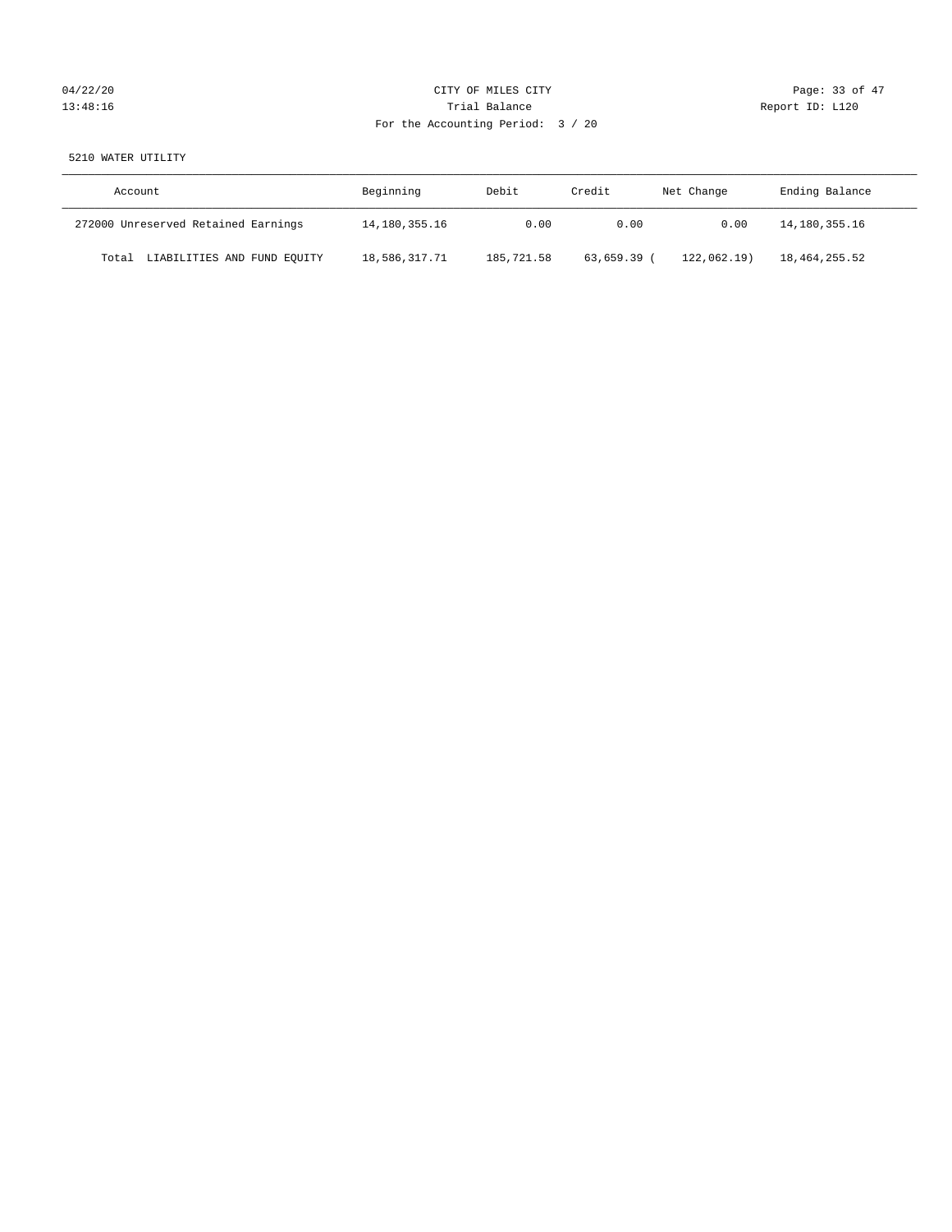# 04/22/20 Page: 33 of 47 13:48:16 Channel Balance Trial Balance Report ID: L120 For the Accounting Period: 3 / 20

## 5210 WATER UTILITY

| Account                              | Beginning     | Debit      | Credit    | Net Change | Ending Balance |
|--------------------------------------|---------------|------------|-----------|------------|----------------|
| 272000 Unreserved Retained Earnings  | 14,180,355.16 | 0.00       | 0.00      | 0.00       | 14,180,355.16  |
| LIABILITIES AND FUND EQUITY<br>Total | 18,586,317.71 | 185,721.58 | 63,659.39 | 122.062.19 | 18,464,255.52  |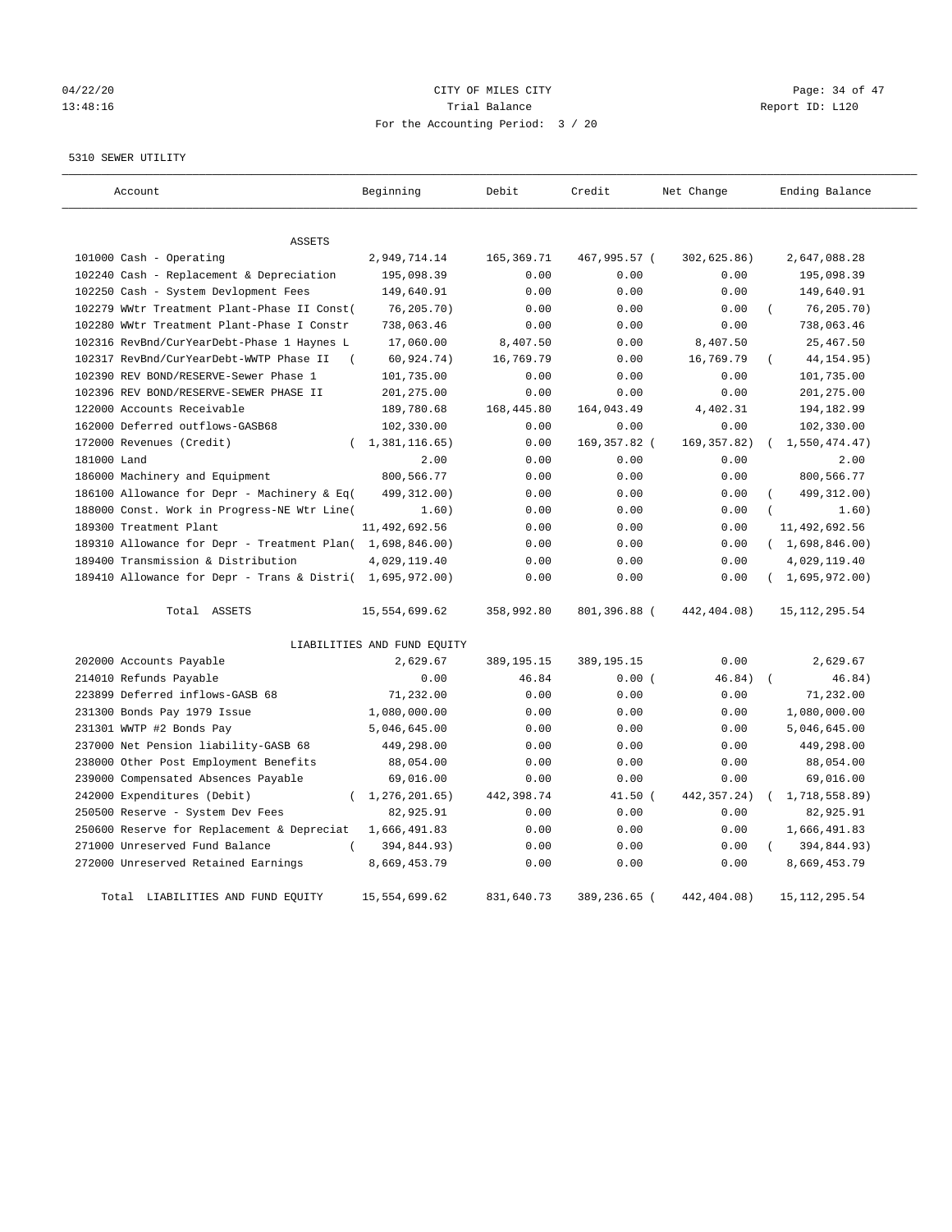# 04/22/20 Page: 34 of 47 13:48:16 Channel Balance Trial Balance Report ID: L120 For the Accounting Period: 3 / 20

5310 SEWER UTILITY

| Account                                                   | Beginning                   | Debit        | Credit       | Net Change    | Ending Balance  |
|-----------------------------------------------------------|-----------------------------|--------------|--------------|---------------|-----------------|
| <b>ASSETS</b>                                             |                             |              |              |               |                 |
| 101000 Cash - Operating                                   | 2,949,714.14                | 165,369.71   | 467,995.57 ( | 302,625.86)   | 2,647,088.28    |
| 102240 Cash - Replacement & Depreciation                  | 195,098.39                  | 0.00         | 0.00         | 0.00          | 195,098.39      |
| 102250 Cash - System Devlopment Fees                      | 149,640.91                  | 0.00         | 0.00         | 0.00          | 149,640.91      |
| 102279 WWtr Treatment Plant-Phase II Const(               | 76, 205.70)                 | 0.00         | 0.00         | 0.00          | 76, 205.70)     |
| 102280 WWtr Treatment Plant-Phase I Constr                | 738,063.46                  | 0.00         | 0.00         | 0.00          | 738,063.46      |
| 102316 RevBnd/CurYearDebt-Phase 1 Haynes L                | 17,060.00                   | 8,407.50     | 0.00         | 8,407.50      | 25, 467.50      |
| 102317 RevBnd/CurYearDebt-WWTP Phase II                   | 60, 924.74)                 | 16,769.79    | 0.00         | 16,769.79     | 44, 154.95)     |
| 102390 REV BOND/RESERVE-Sewer Phase 1                     | 101,735.00                  | 0.00         | 0.00         | 0.00          | 101,735.00      |
| 102396 REV BOND/RESERVE-SEWER PHASE II                    | 201,275.00                  | 0.00         | 0.00         | 0.00          | 201,275.00      |
| 122000 Accounts Receivable                                | 189,780.68                  | 168,445.80   | 164,043.49   | 4,402.31      | 194,182.99      |
| 162000 Deferred outflows-GASB68                           | 102,330.00                  | 0.00         | 0.00         | 0.00          | 102,330.00      |
| 172000 Revenues (Credit)                                  | (1, 381, 116.65)            | 0.00         | 169,357.82 ( | 169, 357.82)  | 1,550,474.47)   |
| 181000 Land                                               | 2.00                        | 0.00         | 0.00         | 0.00          | 2.00            |
| 186000 Machinery and Equipment                            | 800,566.77                  | 0.00         | 0.00         | 0.00          | 800,566.77      |
| 186100 Allowance for Depr - Machinery & Eq(               | 499,312.00)                 | 0.00         | 0.00         | 0.00          | 499, 312.00)    |
| 188000 Const. Work in Progress-NE Wtr Line(               | 1.60)                       | 0.00         | 0.00         | 0.00          | 1.60)           |
| 189300 Treatment Plant                                    | 11,492,692.56               | 0.00         | 0.00         | 0.00          | 11,492,692.56   |
| 189310 Allowance for Depr - Treatment Plan( 1,698,846.00) |                             | 0.00         | 0.00         | 0.00          | (1,698,846.00)  |
| 189400 Transmission & Distribution                        | 4,029,119.40                | 0.00         | 0.00         | 0.00          | 4,029,119.40    |
| 189410 Allowance for Depr - Trans & Distri( 1,695,972.00) |                             | 0.00         | 0.00         | 0.00          | (1,695,972,00)  |
| Total ASSETS                                              | 15,554,699.62               | 358,992.80   | 801,396.88 ( | 442,404.08)   | 15, 112, 295.54 |
|                                                           | LIABILITIES AND FUND EQUITY |              |              |               |                 |
| 202000 Accounts Payable                                   | 2,629.67                    | 389, 195. 15 | 389, 195. 15 | 0.00          | 2,629.67        |
| 214010 Refunds Payable                                    | 0.00                        | 46.84        | 0.00(        | 46.84)        | 46.84)          |
| 223899 Deferred inflows-GASB 68                           | 71,232.00                   | 0.00         | 0.00         | 0.00          | 71,232.00       |
| 231300 Bonds Pay 1979 Issue                               | 1,080,000.00                | 0.00         | 0.00         | 0.00          | 1,080,000.00    |
| 231301 WWTP #2 Bonds Pay                                  | 5,046,645.00                | 0.00         | 0.00         | 0.00          | 5,046,645.00    |
| 237000 Net Pension liability-GASB 68                      | 449,298.00                  | 0.00         | 0.00         | 0.00          | 449,298.00      |
| 238000 Other Post Employment Benefits                     | 88,054.00                   | 0.00         | 0.00         | 0.00          | 88,054.00       |
| 239000 Compensated Absences Payable                       | 69,016.00                   | 0.00         | 0.00         | 0.00          | 69,016.00       |
| 242000 Expenditures (Debit)<br>$\left($                   | 1,276,201.65)               | 442,398.74   | $41.50$ (    | 442, 357. 24) | 1,718,558.89)   |
| 250500 Reserve - System Dev Fees                          | 82,925.91                   | 0.00         | 0.00         | 0.00          | 82,925.91       |
| 250600 Reserve for Replacement & Depreciat                | 1,666,491.83                | 0.00         | 0.00         | 0.00          | 1,666,491.83    |
| 271000 Unreserved Fund Balance<br>$\left($                | 394,844.93)                 | 0.00         | 0.00         | 0.00          | 394,844.93)     |
| 272000 Unreserved Retained Earnings                       | 8,669,453.79                | 0.00         | 0.00         | 0.00          | 8,669,453.79    |
| Total LIABILITIES AND FUND EQUITY                         | 15,554,699.62               | 831,640.73   | 389,236.65 ( | 442,404.08)   | 15, 112, 295.54 |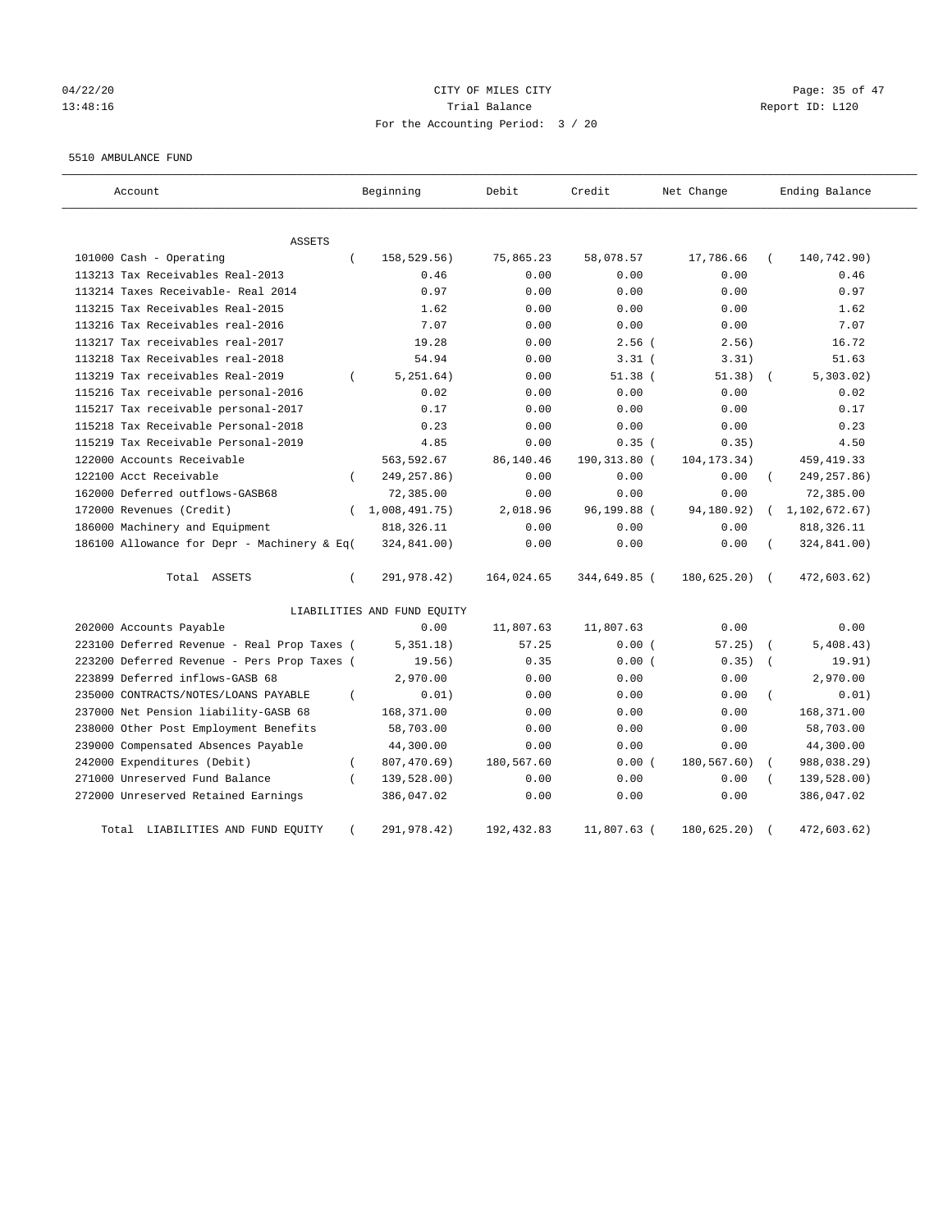## $04/22/20$  Page: 35 of 47 13:48:16 Trial Balance Report ID: L120 For the Accounting Period: 3 / 20

#### 5510 AMBULANCE FUND

| Account                                     |            | Beginning                   | Debit       | Credit       | Net Change    |            | Ending Balance |
|---------------------------------------------|------------|-----------------------------|-------------|--------------|---------------|------------|----------------|
| ASSETS                                      |            |                             |             |              |               |            |                |
| 101000 Cash - Operating                     | $\left($   | 158,529.56)                 | 75,865.23   | 58,078.57    | 17,786.66     |            | 140,742.90)    |
| 113213 Tax Receivables Real-2013            |            | 0.46                        | 0.00        | 0.00         | 0.00          |            | 0.46           |
| 113214 Taxes Receivable- Real 2014          |            | 0.97                        | 0.00        | 0.00         | 0.00          |            | 0.97           |
| 113215 Tax Receivables Real-2015            |            | 1.62                        | 0.00        | 0.00         | 0.00          |            | 1.62           |
| 113216 Tax Receivables real-2016            |            | 7.07                        | 0.00        | 0.00         | 0.00          |            | 7.07           |
| 113217 Tax receivables real-2017            |            | 19.28                       | 0.00        | $2.56$ (     | 2.56)         |            | 16.72          |
| 113218 Tax Receivables real-2018            |            | 54.94                       | 0.00        | $3.31$ (     | 3.31)         |            | 51.63          |
| 113219 Tax receivables Real-2019            | $\left($   | 5, 251.64)                  | 0.00        | $51.38$ (    | 51.38)        |            | 5,303.02)      |
| 115216 Tax receivable personal-2016         |            | 0.02                        | 0.00        | 0.00         | 0.00          |            | 0.02           |
| 115217 Tax receivable personal-2017         |            | 0.17                        | 0.00        | 0.00         | 0.00          |            | 0.17           |
| 115218 Tax Receivable Personal-2018         |            | 0.23                        | 0.00        | 0.00         | 0.00          |            | 0.23           |
| 115219 Tax Receivable Personal-2019         |            | 4.85                        | 0.00        | 0.35(        | 0.35)         |            | 4.50           |
| 122000 Accounts Receivable                  |            | 563,592.67                  | 86,140.46   | 190,313.80 ( | 104, 173. 34) |            | 459, 419.33    |
| 122100 Acct Receivable                      | $\left($   | 249, 257.86)                | 0.00        | 0.00         | 0.00          |            | 249, 257.86)   |
| 162000 Deferred outflows-GASB68             |            | 72,385.00                   | 0.00        | 0.00         | 0.00          |            | 72,385.00      |
| 172000 Revenues (Credit)                    |            | (1,008,491.75)              | 2,018.96    | 96,199.88 (  | 94,180.92)    | $\left($   | 1,102,672.67)  |
| 186000 Machinery and Equipment              |            | 818, 326.11                 | 0.00        | 0.00         | 0.00          |            | 818, 326.11    |
| 186100 Allowance for Depr - Machinery & Eq( |            | 324,841.00)                 | 0.00        | 0.00         | 0.00          |            | 324,841.00)    |
| Total ASSETS                                | $\left($   | 291,978.42)                 | 164,024.65  | 344,649.85 ( | 180,625.20)   | $\sqrt{2}$ | 472,603.62)    |
|                                             |            | LIABILITIES AND FUND EQUITY |             |              |               |            |                |
| 202000 Accounts Payable                     |            | 0.00                        | 11,807.63   | 11,807.63    | 0.00          |            | 0.00           |
| 223100 Deferred Revenue - Real Prop Taxes ( |            | 5,351.18)                   | 57.25       | 0.00(        | 57.25)        |            | 5,408.43)      |
| 223200 Deferred Revenue - Pers Prop Taxes ( |            | 19.56)                      | 0.35        | 0.00(        | 0.35)         |            | 19.91)         |
| 223899 Deferred inflows-GASB 68             |            | 2,970.00                    | 0.00        | 0.00         | 0.00          |            | 2,970.00       |
| 235000 CONTRACTS/NOTES/LOANS PAYABLE        | $\left($   | 0.01)                       | 0.00        | 0.00         | 0.00          |            | 0.01)          |
| 237000 Net Pension liability-GASB 68        |            | 168,371.00                  | 0.00        | 0.00         | 0.00          |            | 168,371.00     |
| 238000 Other Post Employment Benefits       |            | 58,703.00                   | 0.00        | 0.00         | 0.00          |            | 58,703.00      |
| 239000 Compensated Absences Payable         |            | 44,300.00                   | 0.00        | 0.00         | 0.00          |            | 44,300.00      |
| 242000 Expenditures (Debit)                 | $\left($   | 807,470.69)                 | 180,567.60  | 0.00(        | 180,567.60)   |            | 988,038.29)    |
| 271000 Unreserved Fund Balance              | $\epsilon$ | 139,528.00)                 | 0.00        | 0.00         | 0.00          |            | 139,528.00)    |
| 272000 Unreserved Retained Earnings         |            | 386,047.02                  | 0.00        | 0.00         | 0.00          |            | 386,047.02     |
| LIABILITIES AND FUND EQUITY<br>Total        |            | 291,978.42)                 | 192, 432.83 | 11,807.63 (  | 180,625.20)   |            | 472,603.62)    |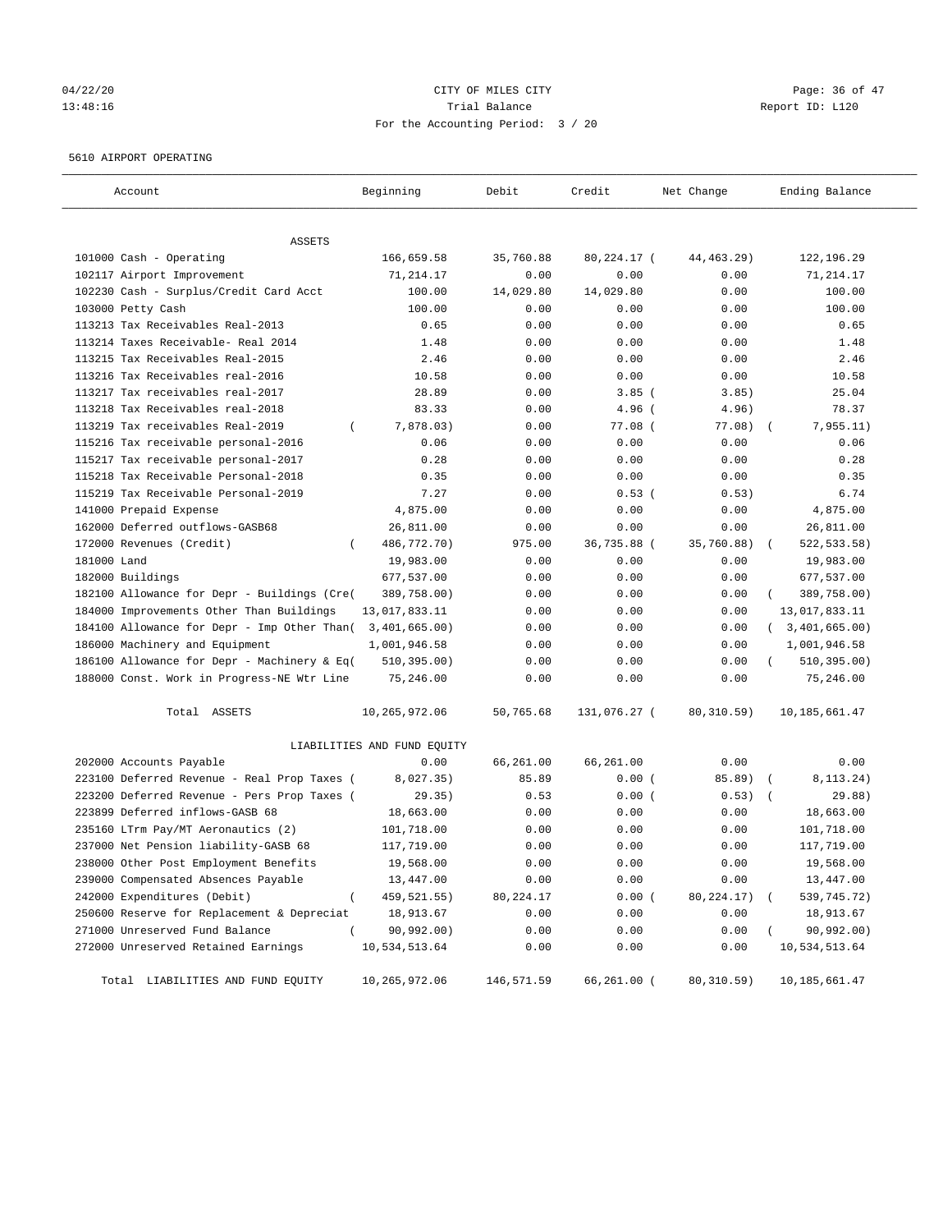## $04/22/20$  Page: 36 of 47 13:48:16 Trial Balance Report ID: L120 For the Accounting Period: 3 / 20

#### 5610 AIRPORT OPERATING

| Account                                      | Beginning                   | Debit      | Credit       | Net Change   | Ending Balance   |
|----------------------------------------------|-----------------------------|------------|--------------|--------------|------------------|
| ASSETS                                       |                             |            |              |              |                  |
| 101000 Cash - Operating                      | 166,659.58                  | 35,760.88  | 80,224.17 (  | 44, 463. 29) | 122,196.29       |
| 102117 Airport Improvement                   | 71,214.17                   | 0.00       | 0.00         | 0.00         | 71,214.17        |
| 102230 Cash - Surplus/Credit Card Acct       | 100.00                      | 14,029.80  | 14,029.80    | 0.00         | 100.00           |
| 103000 Petty Cash                            | 100.00                      | 0.00       | 0.00         | 0.00         | 100.00           |
| 113213 Tax Receivables Real-2013             | 0.65                        | 0.00       | 0.00         | 0.00         | 0.65             |
| 113214 Taxes Receivable- Real 2014           | 1.48                        | 0.00       | 0.00         | 0.00         | 1.48             |
| 113215 Tax Receivables Real-2015             | 2.46                        | 0.00       | 0.00         | 0.00         | 2.46             |
| 113216 Tax Receivables real-2016             | 10.58                       | 0.00       | 0.00         | 0.00         | 10.58            |
| 113217 Tax receivables real-2017             | 28.89                       | 0.00       | $3.85$ (     | 3.85)        | 25.04            |
| 113218 Tax Receivables real-2018             | 83.33                       | 0.00       | $4.96$ (     | 4.96)        | 78.37            |
| 113219 Tax receivables Real-2019<br>$\left($ | 7,878.03)                   | 0.00       | $77.08$ (    | 77.08)       | 7,955.11)        |
| 115216 Tax receivable personal-2016          | 0.06                        | 0.00       | 0.00         | 0.00         | 0.06             |
| 115217 Tax receivable personal-2017          | 0.28                        | 0.00       | 0.00         | 0.00         | 0.28             |
| 115218 Tax Receivable Personal-2018          | 0.35                        | 0.00       | 0.00         | 0.00         | 0.35             |
| 115219 Tax Receivable Personal-2019          | 7.27                        | 0.00       | 0.53(        | 0.53)        | 6.74             |
| 141000 Prepaid Expense                       | 4,875.00                    | 0.00       | 0.00         | 0.00         | 4,875.00         |
| 162000 Deferred outflows-GASB68              | 26,811.00                   | 0.00       | 0.00         | 0.00         | 26,811.00        |
| 172000 Revenues (Credit)<br>-                | 486,772.70)                 | 975.00     | 36,735.88 (  | 35,760.88)   | 522, 533.58)     |
| 181000 Land                                  | 19,983.00                   | 0.00       | 0.00         | 0.00         | 19,983.00        |
| 182000 Buildings                             | 677,537.00                  | 0.00       | 0.00         | 0.00         | 677,537.00       |
| 182100 Allowance for Depr - Buildings (Cre(  | 389,758.00)                 | 0.00       | 0.00         | 0.00         | 389,758.00)      |
| 184000 Improvements Other Than Buildings     | 13,017,833.11               | 0.00       | 0.00         | 0.00         | 13,017,833.11    |
| 184100 Allowance for Depr - Imp Other Than(  | 3,401,665.00)               | 0.00       | 0.00         | 0.00         | (3, 401, 665.00) |
| 186000 Machinery and Equipment               | 1,001,946.58                | 0.00       | 0.00         | 0.00         | 1,001,946.58     |
| 186100 Allowance for Depr - Machinery & Eq(  | 510, 395.00)                | 0.00       | 0.00         | 0.00         | 510, 395.00)     |
| 188000 Const. Work in Progress-NE Wtr Line   | 75,246.00                   | 0.00       | 0.00         | 0.00         | 75,246.00        |
| Total ASSETS                                 | 10,265,972.06               | 50,765.68  | 131,076.27 ( | 80, 310.59)  | 10, 185, 661.47  |
|                                              | LIABILITIES AND FUND EQUITY |            |              |              |                  |
| 202000 Accounts Payable                      | 0.00                        | 66,261.00  | 66,261.00    | 0.00         | 0.00             |
| 223100 Deferred Revenue - Real Prop Taxes (  | 8,027.35)                   | 85.89      | 0.00(        | 85.89) (     | 8,113.24)        |
| 223200 Deferred Revenue - Pers Prop Taxes (  | 29.35)                      | 0.53       | 0.00(        | 0.53)        | 29.88)           |
| 223899 Deferred inflows-GASB 68              | 18,663.00                   | 0.00       | 0.00         | 0.00         | 18,663.00        |
| 235160 LTrm Pay/MT Aeronautics (2)           | 101,718.00                  | 0.00       | 0.00         | 0.00         | 101,718.00       |
| 237000 Net Pension liability-GASB 68         | 117,719.00                  | 0.00       | 0.00         | 0.00         | 117,719.00       |
| 238000 Other Post Employment Benefits        | 19,568.00                   | 0.00       | 0.00         | 0.00         | 19,568.00        |
| 239000 Compensated Absences Payable          | 13,447.00                   | 0.00       | 0.00         | 0.00         | 13,447.00        |
| 242000 Expenditures (Debit)<br>$\left($      | 459, 521.55)                | 80, 224.17 | 0.00(        | 80, 224. 17) | 539,745.72)      |
| 250600 Reserve for Replacement & Depreciat   | 18,913.67                   | 0.00       | 0.00         | 0.00         | 18,913.67        |
| 271000 Unreserved Fund Balance               | 90,992.00)                  | 0.00       | 0.00         | 0.00         | 90,992.00)       |
| 272000 Unreserved Retained Earnings          | 10,534,513.64               | 0.00       | 0.00         | 0.00         | 10,534,513.64    |
| Total LIABILITIES AND FUND EQUITY            | 10,265,972.06               | 146,571.59 | 66,261.00 (  | 80, 310.59)  | 10, 185, 661.47  |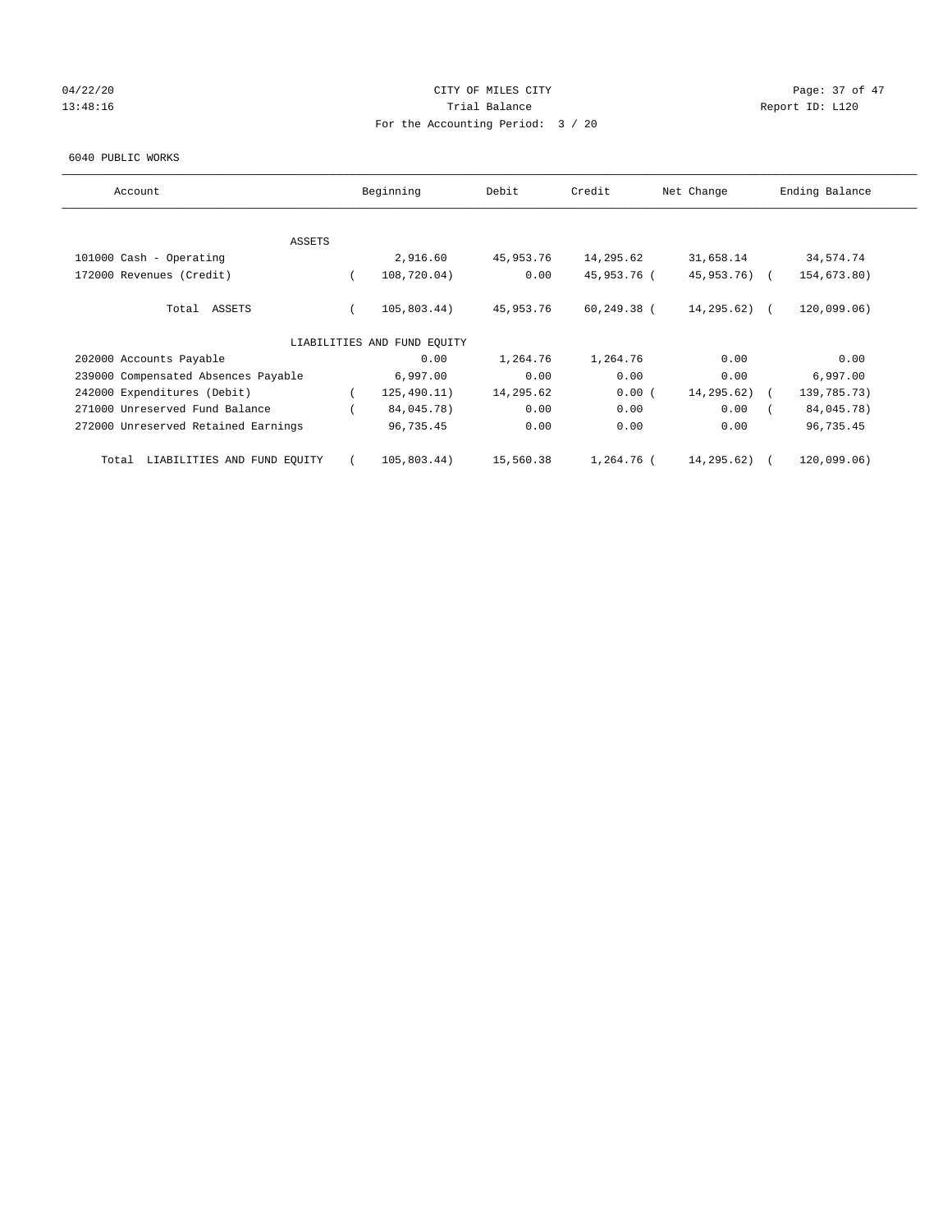## $04/22/20$  Page: 37 of 47 13:48:16 Report ID: L120 For the Accounting Period: 3 / 20

#### 6040 PUBLIC WORKS

| Account                                  |          | Beginning                   | Debit     | Credit         | Net Change     | Ending Balance |
|------------------------------------------|----------|-----------------------------|-----------|----------------|----------------|----------------|
|                                          |          |                             |           |                |                |                |
| <b>ASSETS</b><br>101000 Cash - Operating |          | 2,916.60                    | 45,953.76 | 14,295.62      | 31,658.14      | 34,574.74      |
| 172000 Revenues (Credit)                 | $\left($ | 108,720.04)                 | 0.00      | 45,953.76 (    | 45,953.76) (   | 154,673.80)    |
|                                          |          |                             |           |                |                |                |
| Total ASSETS                             |          | 105,803.44)                 | 45,953.76 | $60, 249.38$ ( | $14, 295.62$ ( | 120,099.06)    |
|                                          |          | LIABILITIES AND FUND EQUITY |           |                |                |                |
| 202000 Accounts Payable                  |          | 0.00                        | 1,264.76  | 1,264.76       | 0.00           | 0.00           |
| 239000 Compensated Absences Payable      |          | 6,997.00                    | 0.00      | 0.00           | 0.00           | 6,997.00       |
| 242000 Expenditures (Debit)              |          | 125, 490.11)                | 14,295.62 | 0.00(          | 14,295.62)     | 139,785.73)    |
| 271000 Unreserved Fund Balance           |          | 84,045.78)                  | 0.00      | 0.00           | 0.00           | 84,045.78)     |
| 272000 Unreserved Retained Earnings      |          | 96,735.45                   | 0.00      | 0.00           | 0.00           | 96,735.45      |
| LIABILITIES AND FUND EQUITY<br>Total     |          | 105,803.44)                 | 15,560.38 | 1,264.76 (     | 14,295.62)     | 120,099.06)    |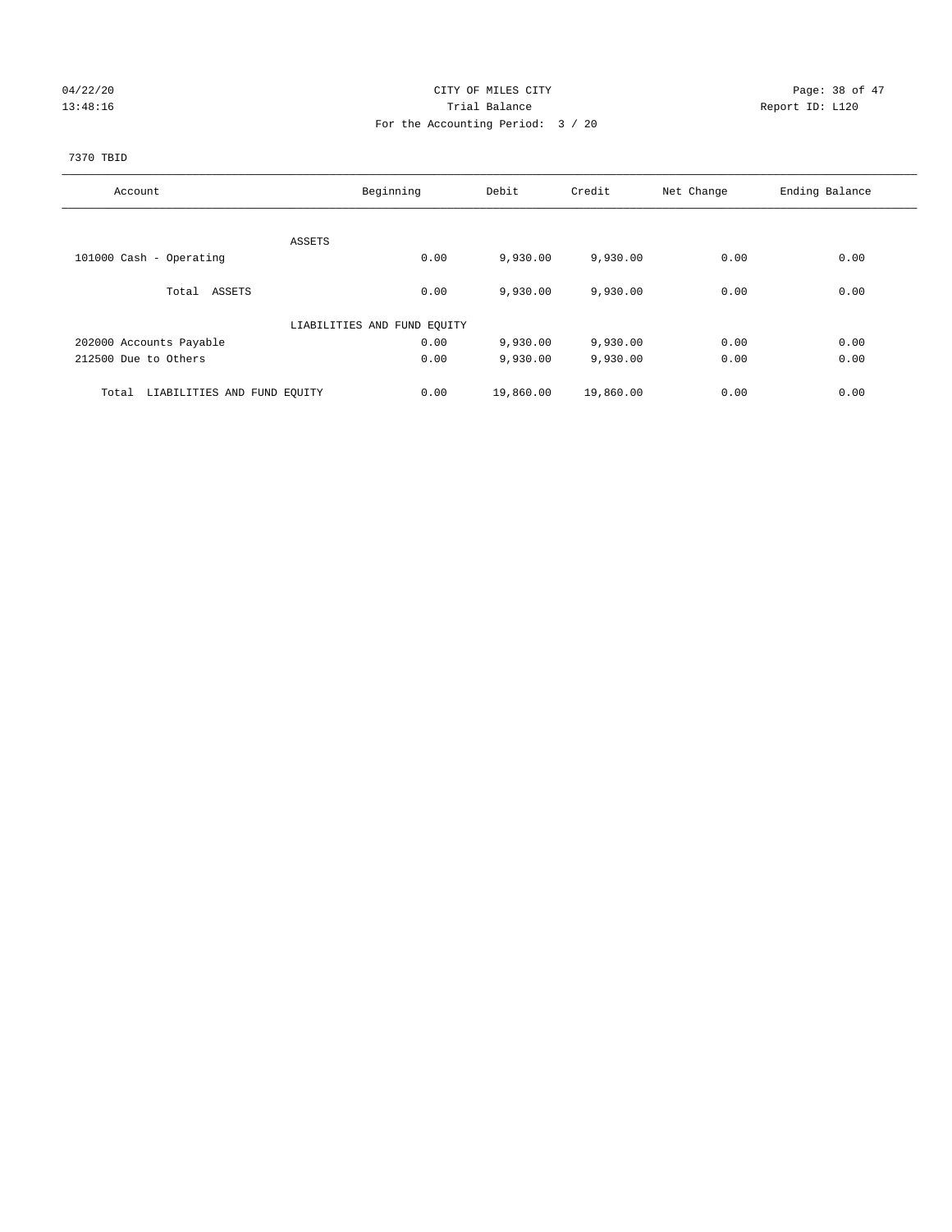## $04/22/20$  Page: 38 of 47 13:48:16 Trial Balance Report ID: L120 For the Accounting Period: 3 / 20

## 7370 TBID

| Account                              | Beginning                   | Debit             | Credit    | Net Change | Ending Balance |
|--------------------------------------|-----------------------------|-------------------|-----------|------------|----------------|
|                                      |                             |                   |           |            |                |
|                                      | ASSETS                      |                   |           |            |                |
| 101000 Cash - Operating              |                             | 0.00<br>9,930.00  | 9,930.00  | 0.00       | 0.00           |
| Total ASSETS                         |                             | 0.00<br>9,930.00  | 9,930.00  | 0.00       | 0.00           |
|                                      | LIABILITIES AND FUND EQUITY |                   |           |            |                |
| 202000 Accounts Payable              |                             | 0.00<br>9,930.00  | 9,930.00  | 0.00       | 0.00           |
| 212500 Due to Others                 |                             | 0.00<br>9,930.00  | 9,930.00  | 0.00       | 0.00           |
| LIABILITIES AND FUND EQUITY<br>Total |                             | 0.00<br>19,860.00 | 19,860.00 | 0.00       | 0.00           |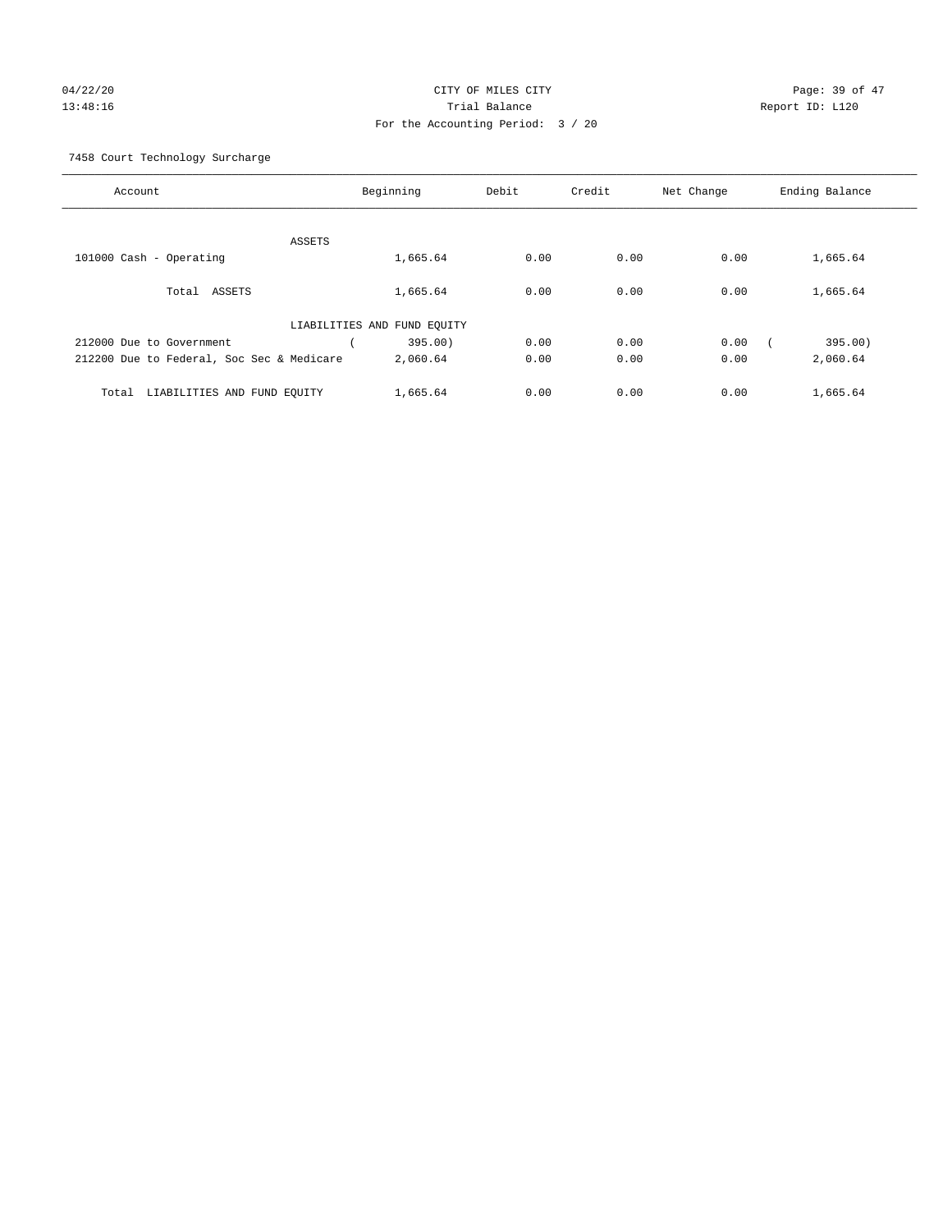## 04/22/20 **CITY OF MILES CITY CONSUMING THE PAGE:** 39 of 47 13:48:16 Trial Balance Report ID: L120 For the Accounting Period: 3 / 20

7458 Court Technology Surcharge

| Account                                   |                             | Beginning | Debit | Credit | Net Change | Ending Balance |
|-------------------------------------------|-----------------------------|-----------|-------|--------|------------|----------------|
|                                           |                             |           |       |        |            |                |
|                                           | <b>ASSETS</b>               |           |       |        |            |                |
| 101000 Cash - Operating                   |                             | 1,665.64  | 0.00  | 0.00   | 0.00       | 1,665.64       |
| ASSETS<br>Total                           |                             | 1,665.64  | 0.00  | 0.00   | 0.00       | 1,665.64       |
|                                           | LIABILITIES AND FUND EQUITY |           |       |        |            |                |
| 212000 Due to Government                  |                             | 395.00)   | 0.00  | 0.00   | 0.00       | 395.00)        |
| 212200 Due to Federal, Soc Sec & Medicare |                             | 2,060.64  | 0.00  | 0.00   | 0.00       | 2,060.64       |
| LIABILITIES AND FUND EQUITY<br>Total      |                             | 1,665.64  | 0.00  | 0.00   | 0.00       | 1,665.64       |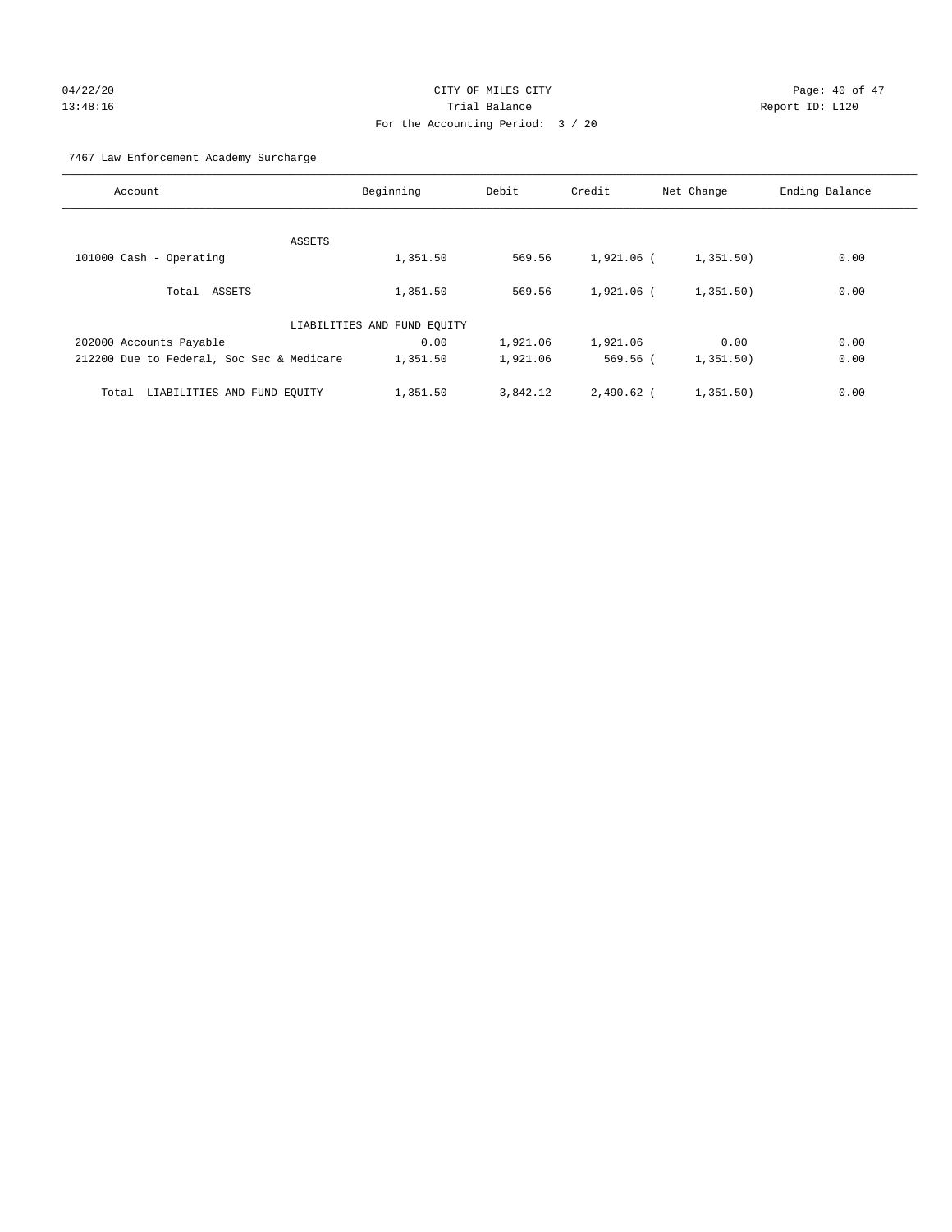# 04/22/20 Page: 40 of 47 13:48:16 Trial Balance Report ID: L120 For the Accounting Period: 3 / 20

7467 Law Enforcement Academy Surcharge

| Account                                   | Beginning                   | Debit    | Credit       | Net Change | Ending Balance |
|-------------------------------------------|-----------------------------|----------|--------------|------------|----------------|
|                                           |                             |          |              |            |                |
|                                           | ASSETS                      |          |              |            |                |
| 101000 Cash - Operating                   | 1,351.50                    | 569.56   | 1,921.06 (   | 1,351.50)  | 0.00           |
| Total ASSETS                              | 1,351.50                    | 569.56   | $1.921.06$ ( | 1,351.50)  | 0.00           |
|                                           | LIABILITIES AND FUND EQUITY |          |              |            |                |
| 202000 Accounts Payable                   | 0.00                        | 1,921.06 | 1,921.06     | 0.00       | 0.00           |
| 212200 Due to Federal, Soc Sec & Medicare | 1,351.50                    | 1,921.06 | 569.56 (     | 1,351.50)  | 0.00           |
| LIABILITIES AND FUND EQUITY<br>Total      | 1,351.50                    | 3,842.12 | $2.490.62$ ( | 1,351.50)  | 0.00           |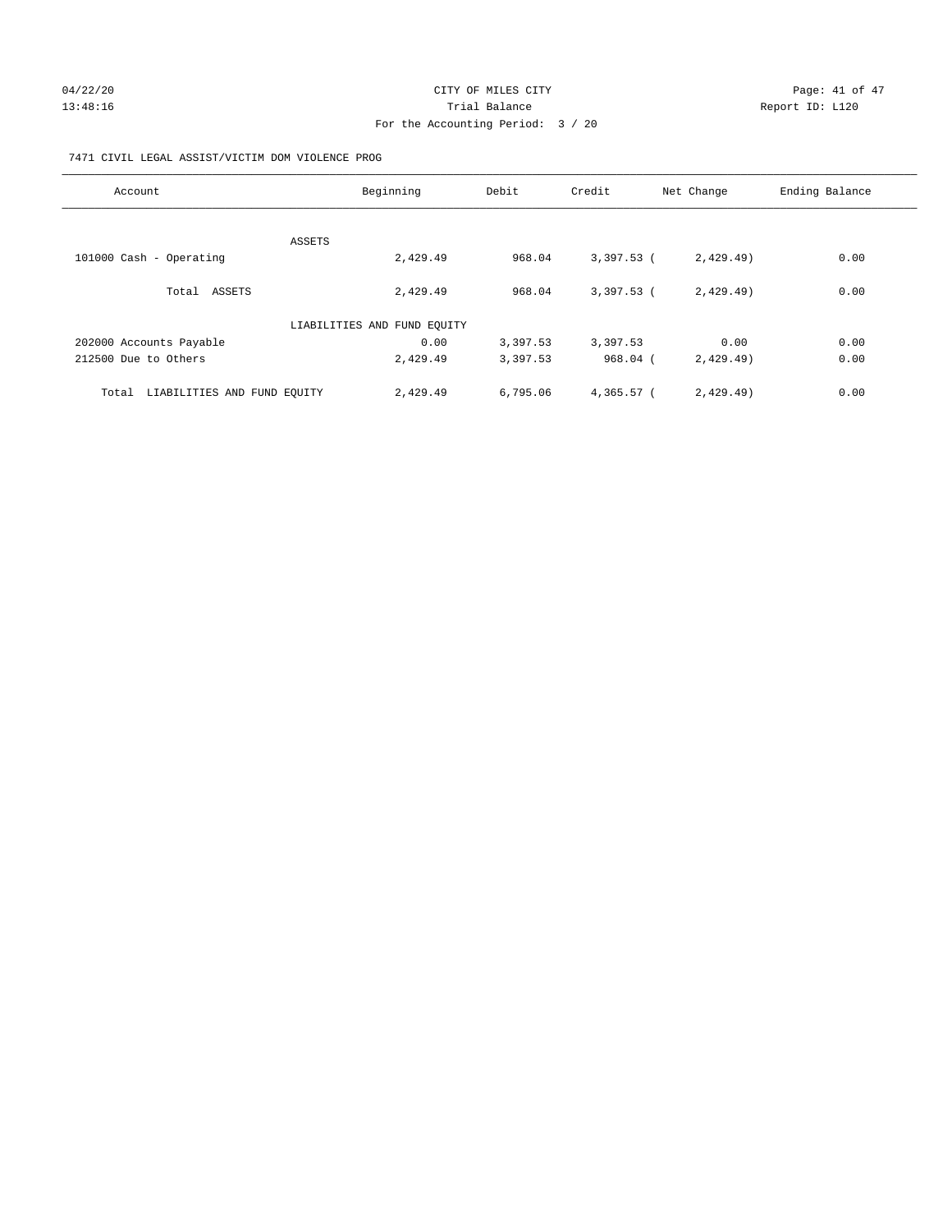## $04/22/20$  Page: 41 of 47 13:48:16 Channel Balance Trial Balance Report ID: L120 For the Accounting Period: 3 / 20

## 7471 CIVIL LEGAL ASSIST/VICTIM DOM VIOLENCE PROG

| Account                              | Beginning                   | Debit    | Credit       | Net Change | Ending Balance |
|--------------------------------------|-----------------------------|----------|--------------|------------|----------------|
|                                      |                             |          |              |            |                |
|                                      | ASSETS                      |          |              |            |                |
| 101000 Cash - Operating              | 2,429.49                    | 968.04   | $3,397.53$ ( | 2,429.49)  | 0.00           |
| Total ASSETS                         | 2,429.49                    | 968.04   | $3,397.53$ ( | 2,429.49)  | 0.00           |
|                                      | LIABILITIES AND FUND EQUITY |          |              |            |                |
| 202000 Accounts Payable              | 0.00                        | 3,397.53 | 3,397.53     | 0.00       | 0.00           |
| 212500 Due to Others                 | 2,429.49                    | 3,397.53 | $968.04$ (   | 2,429.49)  | 0.00           |
| LIABILITIES AND FUND EQUITY<br>Total | 2,429.49                    | 6,795.06 | 4,365.57 (   | 2,429.49)  | 0.00           |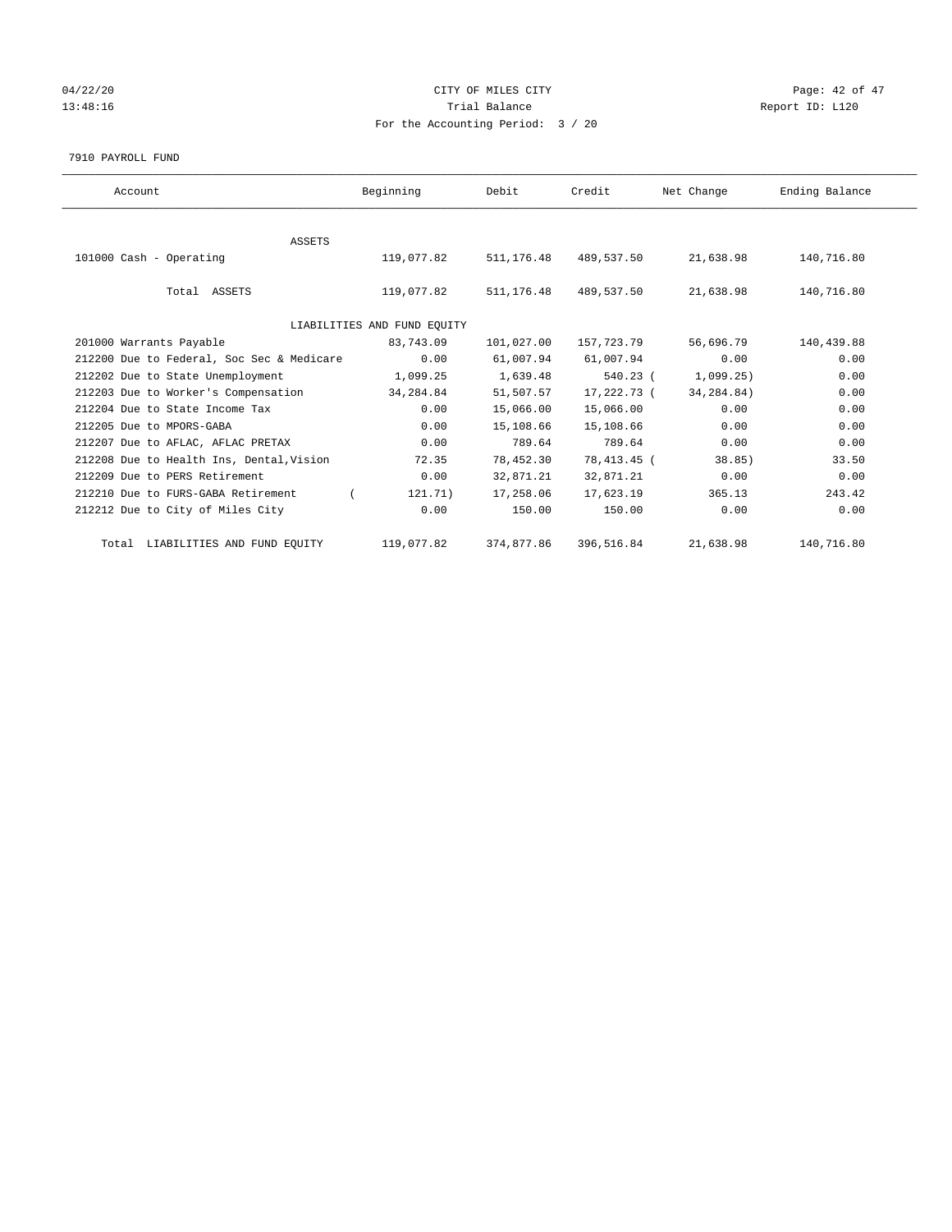# 04/22/20 Page: 42 of 47 13:48:16 Report ID: L120 For the Accounting Period: 3 / 20

7910 PAYROLL FUND

| Account                                   | Beginning                   | Debit      | Credit      | Net Change   | Ending Balance |
|-------------------------------------------|-----------------------------|------------|-------------|--------------|----------------|
|                                           |                             |            |             |              |                |
| <b>ASSETS</b><br>101000 Cash - Operating  | 119,077.82                  | 511,176.48 | 489,537.50  | 21,638.98    | 140,716.80     |
| Total ASSETS                              | 119,077.82                  | 511,176.48 | 489,537.50  | 21,638.98    | 140,716.80     |
|                                           | LIABILITIES AND FUND EQUITY |            |             |              |                |
| 201000 Warrants Payable                   | 83,743.09                   | 101,027.00 | 157,723.79  | 56,696.79    | 140,439.88     |
| 212200 Due to Federal, Soc Sec & Medicare | 0.00                        | 61,007.94  | 61,007.94   | 0.00         | 0.00           |
| 212202 Due to State Unemployment          | 1,099.25                    | 1,639.48   | $540.23$ (  | 1,099.25)    | 0.00           |
| 212203 Due to Worker's Compensation       | 34,284.84                   | 51,507.57  | 17,222.73 ( | 34, 284, 84) | 0.00           |
| 212204 Due to State Income Tax            | 0.00                        | 15,066.00  | 15,066.00   | 0.00         | 0.00           |
| 212205 Due to MPORS-GABA                  | 0.00                        | 15,108.66  | 15,108.66   | 0.00         | 0.00           |
| 212207 Due to AFLAC, AFLAC PRETAX         | 0.00                        | 789.64     | 789.64      | 0.00         | 0.00           |
| 212208 Due to Health Ins, Dental, Vision  | 72.35                       | 78,452.30  | 78,413.45 ( | 38.85        | 33.50          |
| 212209 Due to PERS Retirement             | 0.00                        | 32,871.21  | 32,871.21   | 0.00         | 0.00           |
| 212210 Due to FURS-GABA Retirement        | 121.71)                     | 17,258.06  | 17,623.19   | 365.13       | 243.42         |
| 212212 Due to City of Miles City          | 0.00                        | 150.00     | 150.00      | 0.00         | 0.00           |
| Total LIABILITIES AND FUND EQUITY         | 119,077.82                  | 374,877.86 | 396,516.84  | 21,638.98    | 140,716.80     |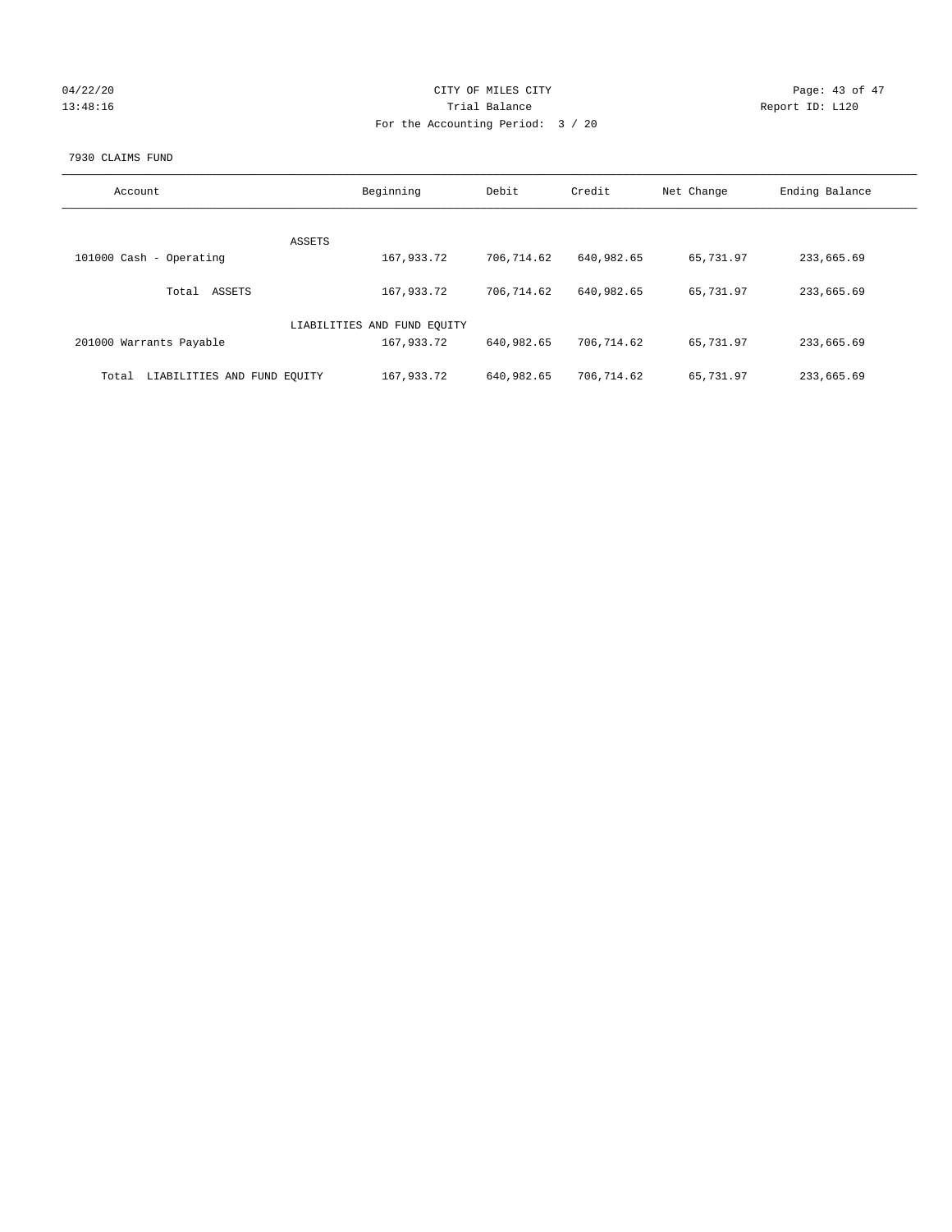| 04/22/20 |  |
|----------|--|
| 13:48:16 |  |

## CITY OF MILES CITY Page: 43 of 47<br>
Trial Balance Report ID: L120 13:48:16 Change Report ID: L120 For the Accounting Period: 3 / 20

## 7930 CLAIMS FUND

| Account                              | Beginning                   | Debit      | Credit     | Net Change | Ending Balance |
|--------------------------------------|-----------------------------|------------|------------|------------|----------------|
|                                      |                             |            |            |            |                |
| ASSETS                               |                             |            |            |            |                |
| 101000 Cash - Operating              | 167,933.72                  | 706,714.62 | 640,982.65 | 65,731.97  | 233,665.69     |
| ASSETS<br>Total                      | 167,933.72                  | 706,714.62 | 640,982.65 | 65,731.97  | 233,665.69     |
|                                      |                             |            |            |            |                |
|                                      | LIABILITIES AND FUND EQUITY |            |            |            |                |
| 201000 Warrants Payable              | 167,933.72                  | 640,982.65 | 706,714.62 | 65,731.97  | 233,665.69     |
|                                      |                             |            |            |            |                |
| LIABILITIES AND FUND EQUITY<br>Total | 167,933.72                  | 640,982.65 | 706,714.62 | 65,731.97  | 233,665.69     |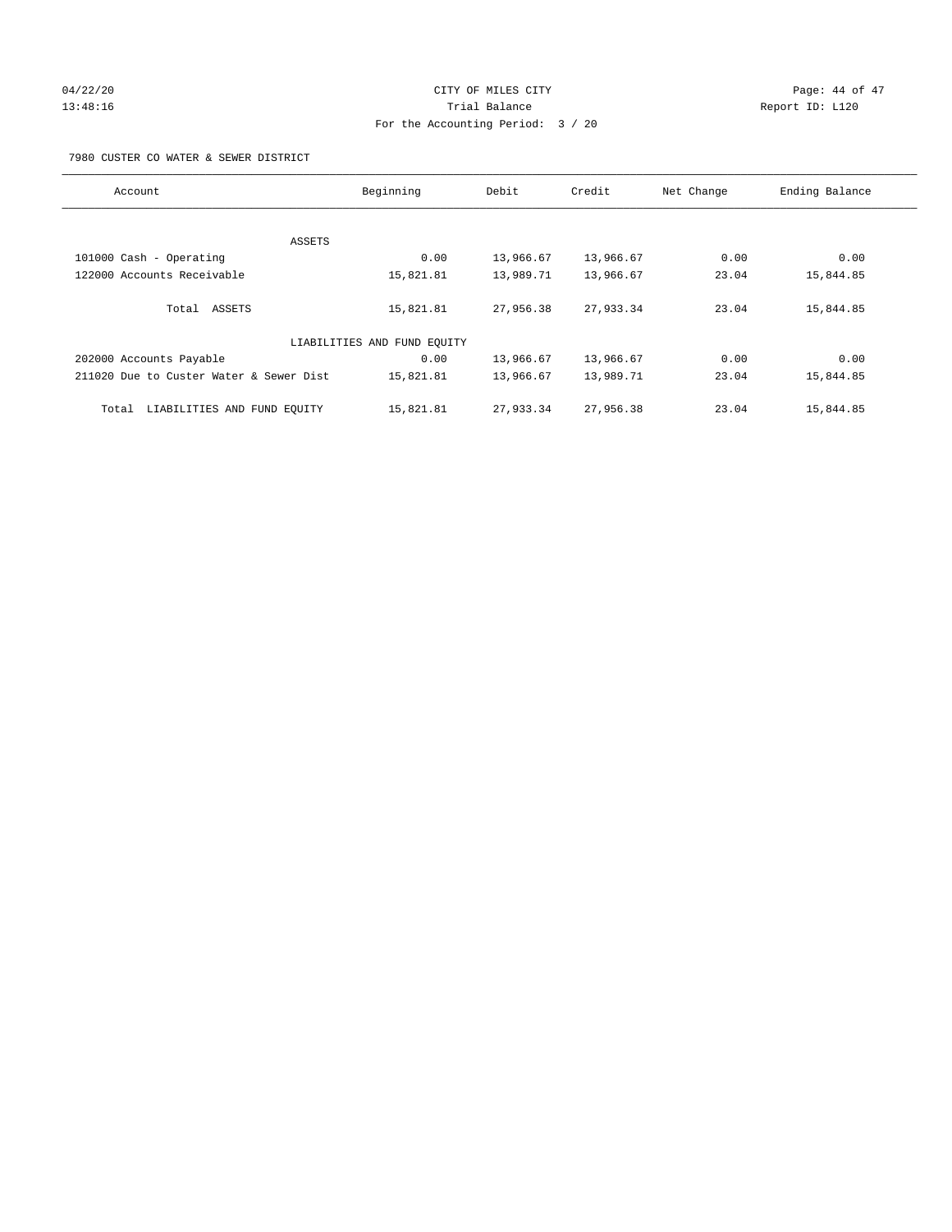## $04/22/20$  Page: 44 of 47 13:48:16 Trial Balance Report ID: L120 For the Accounting Period: 3 / 20

7980 CUSTER CO WATER & SEWER DISTRICT

| Account                                 | Beginning                   | Debit     | Credit    | Net Change | Ending Balance |
|-----------------------------------------|-----------------------------|-----------|-----------|------------|----------------|
|                                         |                             |           |           |            |                |
| ASSETS                                  |                             |           |           |            |                |
| 101000 Cash - Operating                 | 0.00                        | 13,966.67 | 13,966.67 | 0.00       | 0.00           |
| 122000 Accounts Receivable              | 15,821.81                   | 13,989.71 | 13,966.67 | 23.04      | 15,844.85      |
| Total ASSETS                            | 15,821.81                   | 27,956.38 | 27,933.34 | 23.04      | 15,844.85      |
|                                         | LIABILITIES AND FUND EQUITY |           |           |            |                |
| 202000 Accounts Payable                 | 0.00                        | 13,966.67 | 13,966.67 | 0.00       | 0.00           |
| 211020 Due to Custer Water & Sewer Dist | 15,821.81                   | 13,966.67 | 13,989.71 | 23.04      | 15,844.85      |
| LIABILITIES AND FUND EQUITY<br>Total    | 15,821.81                   | 27,933.34 | 27,956.38 | 23.04      | 15,844.85      |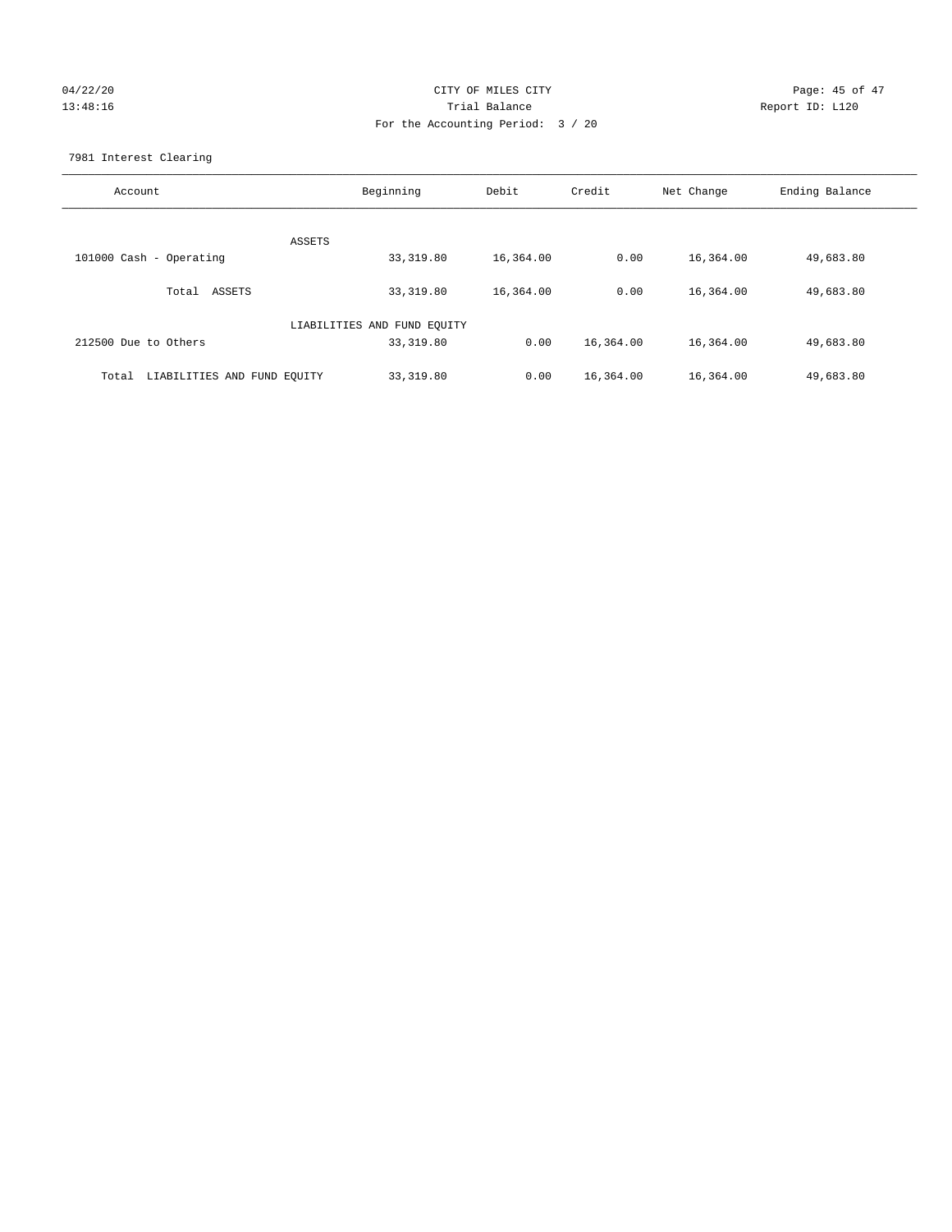# 04/22/20 Page: 45 of 47 13:48:16 Trial Balance Report ID: L120 For the Accounting Period: 3 / 20

7981 Interest Clearing

| Account                              | Beginning                   | Debit     | Credit    | Net Change | Ending Balance |
|--------------------------------------|-----------------------------|-----------|-----------|------------|----------------|
|                                      | ASSETS                      |           |           |            |                |
| 101000 Cash - Operating              | 33,319.80                   | 16,364.00 | 0.00      | 16,364.00  | 49,683.80      |
| ASSETS<br>Total                      | 33,319.80                   | 16,364.00 | 0.00      | 16,364.00  | 49,683.80      |
|                                      | LIABILITIES AND FUND EQUITY |           |           |            |                |
| 212500 Due to Others                 | 33, 319.80                  | 0.00      | 16,364.00 | 16,364.00  | 49,683.80      |
| LIABILITIES AND FUND EQUITY<br>Total | 33, 319.80                  | 0.00      | 16,364.00 | 16,364.00  | 49,683.80      |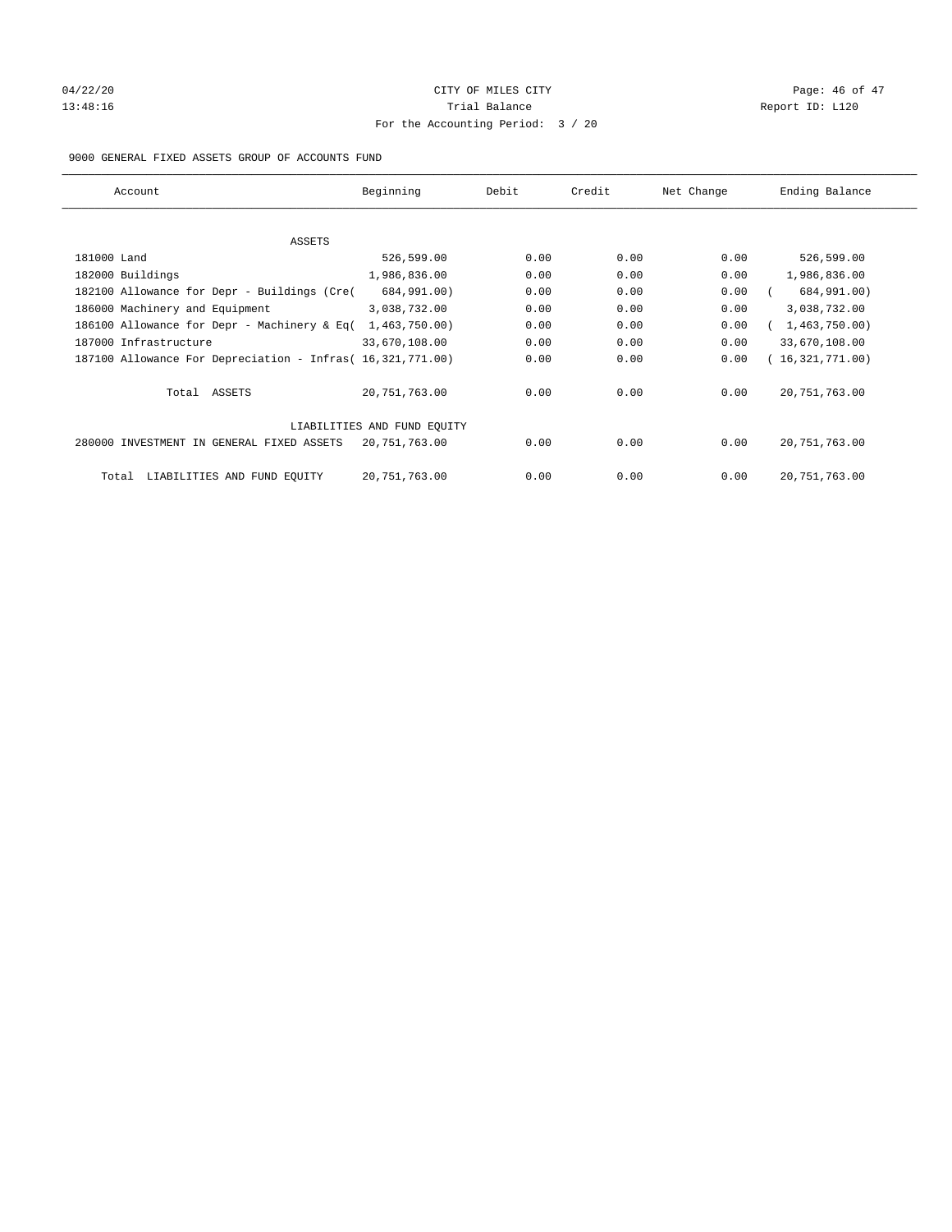## $04/22/20$  Page: 46 of 47 13:48:16 Report ID: L120 For the Accounting Period: 3 / 20

## 9000 GENERAL FIXED ASSETS GROUP OF ACCOUNTS FUND

| Account                                                    | Beginning                   | Debit | Credit | Net Change | Ending Balance  |
|------------------------------------------------------------|-----------------------------|-------|--------|------------|-----------------|
| ASSETS                                                     |                             |       |        |            |                 |
| 181000 Land                                                | 526,599.00                  | 0.00  | 0.00   | 0.00       | 526,599.00      |
| 182000 Buildings                                           | 1,986,836.00                | 0.00  | 0.00   | 0.00       | 1,986,836.00    |
| 182100 Allowance for Depr - Buildings (Cre(                | 684,991.00)                 | 0.00  | 0.00   | 0.00       | 684,991.00)     |
| 186000 Machinery and Equipment                             | 3,038,732.00                | 0.00  | 0.00   | 0.00       | 3,038,732.00    |
| 186100 Allowance for Depr - Machinery & Eq(                | 1,463,750.00)               | 0.00  | 0.00   | 0.00       | 1,463,750.00)   |
| 187000 Infrastructure                                      | 33,670,108.00               | 0.00  | 0.00   | 0.00       | 33,670,108.00   |
| 187100 Allowance For Depreciation - Infras( 16,321,771.00) |                             | 0.00  | 0.00   | 0.00       | 16,321,771.00)  |
| Total ASSETS                                               | 20,751,763.00               | 0.00  | 0.00   | 0.00       | 20, 751, 763.00 |
|                                                            | LIABILITIES AND FUND EQUITY |       |        |            |                 |
| 280000 INVESTMENT IN GENERAL FIXED ASSETS                  | 20,751,763.00               | 0.00  | 0.00   | 0.00       | 20, 751, 763.00 |
| LIABILITIES AND FUND EQUITY<br>Total                       | 20, 751, 763.00             | 0.00  | 0.00   | 0.00       | 20, 751, 763.00 |